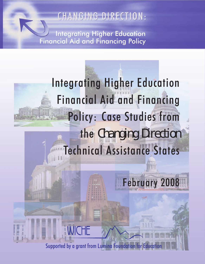# **CHANGING DIRECTION:**

Integrating Higher Education Financial Aid and Financing Policy

Integrating Higher Education Financial Aid and Financing Policy: Case Studies from the *Changing Direction* Technical Assistance States

February 2008

Supported by a grant from Lumina Foundation for Education

WICHE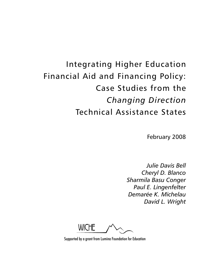# Integrating Higher Education Financial Aid and Financing Policy: Case Studies from the *Changing Direction*  Technical Assistance States

February 2008

*Julie Davis Bell Cheryl D. Blanco Sharmila Basu Conger Paul E. Lingenfelter Demarée K. Michelau David L. Wright*

WICHE

Supported by a grant from Lumina Foundation for Education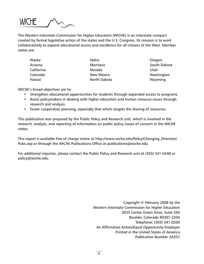

The Western Interstate Commission for Higher Education (WICHE) is an interstate compact created by formal legislative action of the states and the U.S. Congress. Its mission is to work collaboratively to expand educational access and excellence for all citizens of the West. Member states are:

| Alaska     | Idaho             | Oregon       |
|------------|-------------------|--------------|
| Arizona    | Montana           | South Dakota |
| California | Nevada            | Utah         |
| Colorado   | <b>New Mexico</b> | Washington   |
| Hawaii     | North Dakota      | Wyoming      |

WICHE's broad objectives are to:

- Strengthen educational opportunities for students through expanded access to programs.
- Assist policymakers in dealing with higher education and human resource issues through research and analysis.
- Foster cooperative planning, especially that which targets the sharing of resources.

This publication was prepared by the Public Policy and Research unit, which is involved in the research, analysis, and reporting of information on public policy issues of concern in the WICHE states.

This report is available free of charge online at http://www.wiche.edu/Policy/Changing\_Direction/ Pubs.asp or through the WICHE Publications Office at publications@wiche.edu.

For additional inquiries, please contact the Public Policy and Research unit at (303) 541-0248 or policy@wiche.edu.

> Copyright © February 2008 by the Western Interstate Commission for Higher Education 3035 Center Green Drive, Suite 200 Boulder, Colorado 80301-2204 Telephone: (303) 541-0200 An Affirmative Action/Equal Opportunity Employer Printed in the United States of America Publication Number 2A357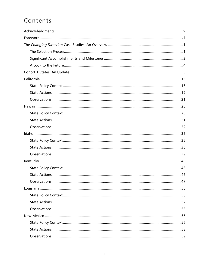# Contents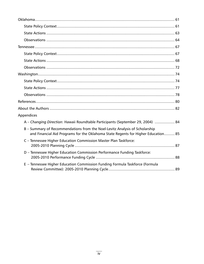| Appendices                                                                                                                                                       |  |
|------------------------------------------------------------------------------------------------------------------------------------------------------------------|--|
| A - Changing Direction: Hawaii Roundtable Participants (September 29, 2004)  84                                                                                  |  |
| B - Summary of Recommendations from the Noel-Levitz Analysis of Scholarship<br>and Financial Aid Programs for the Oklahoma State Regents for Higher Education 85 |  |
| C - Tennessee Higher Education Commission Master Plan Taskforce:                                                                                                 |  |
| D - Tennessee Higher Education Commission Performance Funding Taskforce:                                                                                         |  |
| E - Tennessee Higher Education Commission Funding Formula Taskforce (Formula                                                                                     |  |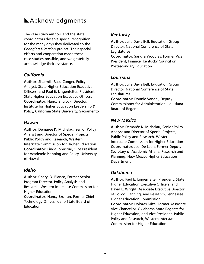# **LAcknowledgments**

The case study authors and the state coordinators deserve special recognition for the many days they dedicated to the *Changing Direction* project. Their special efforts and cooperation made these case studies possible, and we gratefully acknowledge their assistance.

# *California*

**Author**: Sharmila Basu Conger, Policy Analyst, State Higher Education Executive Officers, and Paul E. Lingenfelter, President, State Higher Education Executive Officers **Coordinator**: Nancy Shulock, Director, Institute for Higher Education Leadership & Policy, California State University, Sacramento

## *Hawaii*

**Author**: Demarée K. Michelau, Senior Policy Analyst and Director of Special Projects, Public Policy and Research, Western Interstate Commission for Higher Education **Coordinator**: Linda Johnsrud, Vice President for Academic Planning and Policy, University of Hawaii

## *Idaho*

**Author**: Cheryl D. Blanco, Former Senior Program Director, Policy Analysis and Research, Western Interstate Commission for Higher Education

**Coordinator**: Nancy Szofran, Former Chief Technology Officer, Idaho State Board of Education

# *Kentucky*

**Author**: Julie Davis Bell, Education Group Director, National Conference of State Legislatures **Coordinator**: Sandra Woodley, Former Vice President, Finance, Kentucky Council on Postsecondary Education

## *Louisiana*

**Author**: Julie Davis Bell, Education Group Director, National Conference of State Legislatures **Coordinator**: Donnie Vandal, Deputy Commissioner for Administration, Louisiana Board of Regents

## *New Mexico*

**Author**: Demarée K. Michelau, Senior Policy Analyst and Director of Special Projects, Public Policy and Research, Western Interstate Commission for Higher Education **Coordinator**: Jozi De Leon, Former Deputy Secretary of Academic Affairs, Research and Planning, New Mexico Higher Education Department

# *Oklahoma*

**Author**: Paul E. Lingenfelter, President, State Higher Education Executive Officers, and David L. Wright, Associate Executive Director of Policy, Planning, and Research, Tennessee Higher Education Commission **Coordinator**: Dolores Mize, Former Associate Vice Chancellor, Oklahoma State Regents for Higher Education, and Vice President, Public Policy and Research, Western Interstate Commission for Higher Education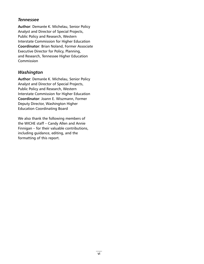# *Tennessee*

**Author**: Demarée K. Michelau, Senior Policy Analyst and Director of Special Projects, Public Policy and Research, Western Interstate Commission for Higher Education **Coordinator**: Brian Noland, Former Associate Executive Director for Policy, Planning, and Research, Tennessee Higher Education Commission

# *Washington*

**Author**: Demarée K. Michelau, Senior Policy Analyst and Director of Special Projects, Public Policy and Research, Western Interstate Commission for Higher Education **Coordinator**: Joann E. Wiszmann, Former Deputy Director, Washington Higher Education Coordinating Board

We also thank the following members of the WICHE staff – Candy Allen and Annie Finnigan – for their valuable contributions, including guidance, editing, and the formatting of this report.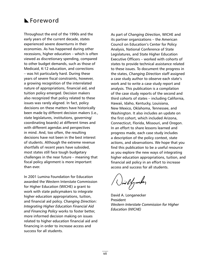# **L** Foreword

Throughout the end of the 1990s and the early years of the current decade, states experienced severe downturns in their economies. As has happened during other recessions, higher education – which is often viewed as discretionary spending, compared to other budget demands, such as those of Medicaid, K-12 education, and corrections – was hit particularly hard. During these years of severe fiscal constraints, however, a growing recognition of the interrelated nature of appropriations, financial aid, and tuition policy emerged. Decision makers also recognized that policy related to these issues was rarely aligned. In fact, policy decisions on these matters have historically been made by different decision makers (i.e., state legislatures, institutions, governing/ coordinating boards) at different times and with different agendas and perspectives in mind. And, too often, the resulting decisions have not been in the best interest of students. Although the extreme revenue shortfalls of recent years have subsided, most states still face tough budgetary challenges in the near future – meaning that fiscal policy alignment is more important than ever.

In 2001 Lumina Foundation for Education awarded the Western Interstate Commission for Higher Education (WICHE) a grant to work with state policymakers to integrate higher education appropriations, tuition, and financial aid policy. *Changing Direction: Integrating Higher Education Financial Aid and Financing Policy* works to foster better, more informed decision making on issues related to higher education financial aid and financing in order to increase access and success for all students.

As part of *Changing Direction*, WICHE and its partner organizations – the American Council on Education's Center for Policy Analysis, National Conference of State Legislatures, and State Higher Education Executive Officers – worked with cohorts of states to provide technical assistance related to these issues. To document the progress in the states, *Changing Direction* staff assigned a case study author to observe each state's work and to write a case study report and analysis. This publication is a compilation of the case study reports of the second and third cohorts of states – including California, Hawaii, Idaho, Kentucky, Louisiana, New Mexico, Oklahoma, Tennessee, and Washington. It also includes an update on the first cohort, which included Arizona, Connecticut, Florida, Missouri, and Oregon. In an effort to share lessons learned and progress made, each case study includes a description of the policy context, state actions, and observations. We hope that you find this publication to be a useful resource as you explore the new ways of integrating higher education appropriations, tuition, and financial aid policy in an effort to increase access and success for all students.

/ Vis*lifywch*eg

David A. Longanecker President *Western Interstate Commission for Higher Education (WICHE)*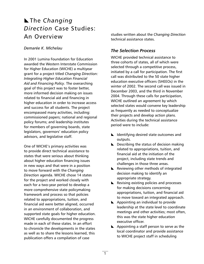# $\blacktriangle$  The *Changing Direction* Case Studies: An Overview

#### *Demarée K. Michelau*

In 2001 Lumina Foundation for Education awarded the Western Interstate Commission for Higher Education (WICHE) a multiyear grant for a project titled *Changing Direction: Integrating Higher Education Financial Aid and Financing Policy*. The overarching goal of this project was to foster better, more informed decision making on issues related to financial aid and financing in higher education in order to increase access and success for all students. The project encompassed many activities, including: commissioned papers; national and regional policy forums; and leadership institutes for members of governing boards, state legislators, governors' education policy advisors, and legislative staff.

One of WICHE's primary activities was to provide direct technical assistance to states that were serious about thinking about higher education financing issues in new ways and that were in a position to move forward with the *Changing Direction* agenda. WICHE chose 14 states for the project and worked closely with each for a two-year period to develop a more comprehensive state policymaking framework and process so that policies related to appropriations, tuition, and financial aid were better aligned, occurred in an environment of collaboration, and supported state goals for higher education. WICHE carefully documented the progress made in each of these states. In an effort to chronicle the developments in the states as well as to share the lessons learned, this publication offers a compilation of case

studies written about the *Changing Direction* technical assistance states.

# *The Selection Process*

WICHE provided technical assistance to three cohorts of states, all of which were selected through a competitive process, initiated by a call for participation. The first call was distributed to the 50 state higher education executive officers (SHEEOs) in the winter of 2002. The second call was issued in December 2003, and the third in November 2004. Through these calls for participation, WICHE outlined an agreement by which selected states would convene key leadership as frequently as needed to conceptualize their projects and develop action plans. Activities during the technical assistance period were to include:

- $\blacktriangleright$  Identifying desired state outcomes and outputs.
- $\blacktriangleright$  Describing the status of decision making related to appropriations, tuition, and financial aid at the initiation of the project, including state trends and challenges in those three areas.
- $\blacktriangleright$  Reviewing other methods of integrated decision making to identify an appropriate strategy.
- $\blacktriangleright$  Revising existing policies and processes for making decisions concerning appropriations, tuition, and financial aid to move toward an integrated approach.
- $\blacktriangle$  Appointing an individual to provide leadership at the state level to coordinate meetings and other activities; most often, this was the state higher education executive officer.
- $\blacktriangle$  Appointing a staff person to serve as the local coordinator and provide assistance to WICHE project staff in scheduling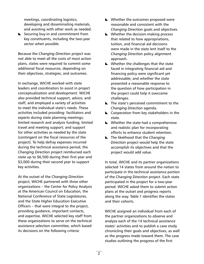meetings, coordinating logistics, developing and disseminating materials, and assisting with other work as needed.

 $\blacktriangleright$  Securing buy-in and commitment from key constituents, including the two-year sector when possible.

Because the *Changing Direction* project was not able to meet all the costs of most action plans, states were required to commit some additional fiscal resources, depending on their objectives, strategies, and outcomes.

In exchange, WICHE worked with state leaders and coordinators to assist in project conceptualization and development. WICHE also provided technical support, advice, and staff, and employed a variety of activities to meet the individual state's needs. These activities included providing: facilitators and experts during state planning meetings; limited research and analysis funding; limited travel and meeting support; and support for other activities as needed by the state (contingent on the fiscal resources of the project). To help defray expenses incurred during the technical assistance period, the *Changing Direction* project reimbursed each state up to \$6,500 during their first year and \$3,000 during their second year to support key activities.

At the outset of the *Changing Direction* project, WICHE partnered with three other organizations – the Center for Policy Analysis at the American Council on Education, the National Conference of State Legislatures, and the State Higher Education Executive Officers – that were integral to the project, providing guidance, important contacts, and expertise. WICHE selected key staff from these organizations to serve on the technical assistance selection committee, which based its decisions on the following criteria:

- $\blacktriangleright$  Whether the outcomes proposed were reasonable and consistent with the *Changing Direction* goals and objectives.
- $\blacktriangleright$  Whether the decision-making process that related to how appropriations, tuition, and financial aid decisions were made in the state lent itself to the *Changing Direction* policy alignment approach.
- $\blacktriangleright$  Whether the challenges that the state faced in integrating financial aid and financing policy were significant yet addressable; and whether the state presented a reasonable response to the question of how participation in the project could help it overcome challenges.
- $\blacktriangleright$  The state's perceived commitment to the *Changing Direction* agenda.
- $\blacktriangle$  Cooperation from key stakeholders in the state.
- $\blacktriangleright$  Whether the state had a comprehensive and realistic plan for incorporating efforts to enhance student retention.
- [ The likelihood that the *Changing Direction* project would help the state accomplish its objectives and that the project would add value.

In total, WICHE and its partner organizations selected 14 states from around the nation to participate in the technical assistance portion of the *Changing Direction* project. Each state participated in the project for a two-year period. WICHE asked them to submit action plans at the outset and progress reports along the way. Table 1 identifies the states and their cohorts.

WICHE assigned an individual from each of the partner organizations to observe and analyze each of the 14 technical assistance states' activities and to publish a case study chronicling their goals and objectives, as well as the progress made toward them. The case studies outlining the progress of the first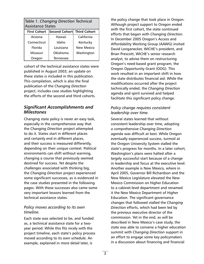| Table 1. Changing Direction Technical<br><b>Assistance States</b> |                            |            |  |  |
|-------------------------------------------------------------------|----------------------------|------------|--|--|
| <b>First Cohort</b>                                               | Second Cohort Third Cohort |            |  |  |
| Arizona                                                           | Hawaii                     | California |  |  |
| Connecticut                                                       | Idaho                      | Kentucky   |  |  |
| Florida                                                           | Louisiana                  | New Mexico |  |  |
| Missouri                                                          | Oklahoma                   | Washington |  |  |
| Oregon                                                            | Tennessee                  |            |  |  |

cohort of the technical assistance states were published in August 2003; an update on these states is included in this publication. This compilation, which is also the final publication of the *Changing Direction* project, includes case studies highlighting the efforts of the second and third cohorts.

# *Significant Accomplishments and Milestones*

Changing state policy is never an easy task, especially in the comprehensive way that the *Changing Direction* project attempted to do it. States start in different places and certainly end in different places, and their success is measured differently, depending on their unique context. Political environments can shift without warning, changing a course that previously seemed destined for success. Yet despite the challenges associated with thinking big, the *Changing Direction* project experienced some significant successes, as is evidenced in the case studies presented in the following pages. With these successes also came some very important lessons learned from the technical assistance states.

## *Policy moves according to its own timeline.*

Each state was selected to be, and funded as, a technical assistance state for a twoyear period. While this fits nicely with the project timeline, each state's policy process moved according to its own schedule. An example, explained in more detail later, is

the policy change that took place in Oregon. Although project support to Oregon ended with the first cohort, the state continued efforts that began with *Changing Direction*. In December 2005 Oregon's Access and Affordability Working Group (AAWG) invited David Longanecker, WICHE's president, and Brian Prescott, WICHE's senior research analyst, to advise them on restructuring Oregon's need-based grant program, the Oregon Opportunity Grant (OOG). This work resulted in an important shift in how the state distributes financial aid. While the modifications occurred after the project technically ended, the *Changing Direction*  agenda and spirit survived and helped facilitate this significant policy change.

# *Policy change requires consistent leadership over time.*

Several states learned that without consistent leadership over time, adopting a comprehensive *Changing Direction* agenda was difficult at best. While Oregon eventually experienced success, turmoil at the Oregon University System stalled the state's progress for months. In a later cohort, Washington's plans were halted after a largely successful start because of a change in leadership and focus at the executive level. Another example is New Mexico, where in April 2005, Governor Bill Richardson and the New Mexico Legislature elevated the New Mexico Commission on Higher Education to a cabinet-level department and renamed it the New Mexico Department of Higher Education. The significant governance changes that followed stalled the *Changing Direction* efforts, which had been led by the previous executive director of the commission. Yet in the end, as will be described in New Mexico's case study, the state was able to convene a higher education summit with *Changing Direction* support in an effort to engage some key policymakers in a discussion about financing and financial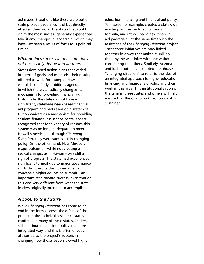aid issues. Situations like these were out of state project leaders' control but directly affected their work. The states that could claim the most success generally experienced few, if any, changes in leadership, which may have just been a result of fortuitous political timing.

#### *What defines success in one state does not necessarily define it in another.*

States developed action plans that varied in terms of goals and methods: their results differed as well. For example, Hawaii established a fairly ambitious agenda, in which the state radically changed its mechanism for providing financial aid. Historically, the state did not have a significant, statewide need-based financial aid program and had relied on a system of tuition waivers as a mechanism for providing student financial assistance. State leaders recognized that for a variety of reasons this system was no longer adequate to meet Hawaii's needs, and through *Changing Direction*, they were successful in changing policy. On the other hand, New Mexico's major outcome – while not creating a radical change, as in Hawaii – was still a sign of progress. The state had experienced significant turmoil due to major governance shifts, but despite this, it was able to convene a higher education summit – an important step toward success, even though this was very different from what the state leaders originally intended to accomplish.

# *A Look to the Future*

While *Changing Direction* has come to an end in the formal sense, the effects of the project in the technical assistance states continue. In many of these states, leaders still continue to consider policy in a more integrated way, and this is often directly attributed to the project's success in changing how those leaders viewed higher education financing and financial aid policy. Tennessee, for example, created a statewide master plan, restructured its funding formula, and introduced a new financial aid package all at the same time with the assistance of the *Changing Direction* project. These three initiatives are now linked together in a way that makes it unlikely that anyone will tinker with one without considering the others. Similarly, Arizona and Idaho both have adopted the phrase "changing direction" to refer to the idea of an integrated approach to higher education financing and financial aid policy and their work in this area. This institutionalization of the term in these states and others will help ensure that the *Changing Direction* spirit is sustained.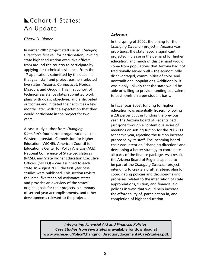# Cohort 1 States: An Update

### *Cheryl D. Blanco*

In winter 2002 project staff issued *Changing Direction*'s first call for participation, inviting state higher education executive officers from around the country to participate by applying for technical assistance. From the 17 applications submitted by the deadline that year, staff and project partners selected five states: Arizona, Connecticut, Florida, Missouri, and Oregon. This first cohort of technical assistance states submitted work plans with goals, objectives, and anticipated outcomes and initiated their activities a few months later, with the expectation that they would participate in the project for two years.

A case study author from *Changing Direction*'s four partner organizations – the Western Interstate Commission for Higher Education (WICHE), American Council for Education's Center for Policy Analysis (ACE), National Conference of State Legislatures (NCSL), and State Higher Education Executive Officers (SHEEO) – was assigned to each state. In August 2003 the first-year case studies were published. This section revisits the initial five technical assistance states and provides an overview of the states' original goals for their projects, a summary of second-year accomplishments, and other developments relevant to the project.

# *Arizona*

In the spring of 2002, the timing for the *Changing Direction* project in Arizona was propitious: the state faced a significant projected increase in the demand for higher education, and much of this demand would come from populations that Arizona had not traditionally served well – the economically disadvantaged, communities of color, and nontraditional populations. Additionally, it was highly unlikely that the state would be able or willing to provide funding equivalent to past levels on a per-student basis.

In fiscal year 2003, funding for higher education was essentially frozen, following a 2.8 percent cut in funding the previous year. The Arizona Board of Regents had just gone through a contentious series of meetings on setting tuition for the 2002-03 academic year, rejecting the tuition increase proposed by its staff. The incoming board chair was intent on "changing direction" and developing a better strategy to coordinate all parts of the finance package. As a result, the Arizona Board of Regents applied to be part of the *Changing Direction* project, intending to create a draft strategic plan for coordinating policies and decision-making processes related to the integration of state appropriations, tuition, and financial aid policies in ways that would help increase the affordability of, participation in, and completion of higher education.

*Integrating Financial Aid and Financial Policies: Case Studies from Five States* **is available for download at www.wiche.edu/Policy/Changing\_Direction/documents/CaseStudies.pdf.**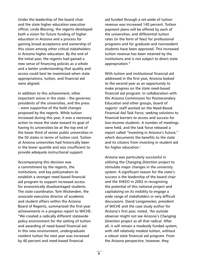Under the leadership of the board chair and the state higher education executive officer, Linda Blessing, the regents developed both a vision for future funding of higher education in Arizona and a process for gaining broad acceptance and ownership of this vision among other critical stakeholders in Arizona higher education. By the end of the initial year, the regents had gained a new sense of financing policies as a whole and a better understanding that quality and access could best be maximized when state appropriations, tuition, and financial aid were aligned.

In addition to this achievement, other important voices in the state – the governor, presidents of the universities, and the press – were supportive of the bold changes proposed by the regents. While tuition increased during this year, it was a necessary action to move the state toward its goal of having its universities be at the top end of the lower third of senior public universities in the 50 states in terms of tuition cost. Tuition at Arizona universities had historically been in the lower quartile and was insufficient to provide adequate instructional support.

Accompanying this decision was a commitment by the regents, the institutions, and key policymakers to establish a stronger need-based financial aid program to support increased access for economically disadvantaged students. The state coordinator, Tom Wickenden, the associate executive director of academic and student affairs within the Arizona Board of Regents, summarized the first-year achievements in a progress report to WICHE: "We created a radically different statewide policy environment for the setting of tuition and awarding of need-based financial aid. In this new environment, undergraduate resident tuition for next year was increased by 40 percent and need-based financial

aid funded through a set-aside of tuition revenue was increased 140 percent. Tuition payment plans will be offered by each of the universities, and differential tuition rates (in the form of fees) for professional programs and for graduate and nonresident students have been approved. This increased tuition revenue has been retained by the institutions and is not subject to direct state appropriation."

With tuition and institutional financial aid addressed in the first year, Arizona looked to the second year as an opportunity to make progress on the state need-based financial aid program. In collaboration with the Arizona Commission for Postsecondary Education and other groups, board of regents' staff worked on the Need-Based Financial Aid Task Force, seeking solutions to financial barriers to access and success for low-income students. A number of meetings were held, and the task force released a report called "Investing in Arizona's Future," which documents the benefits to the state and its citizens from investing in student aid for higher education.<sup>1</sup>

Arizona was particularly successful in utilizing the *Changing Direction* project to stimulate major changes in the university system. A significant reason for the state's success is the leadership of the board chair and the SHEEO in 2002 in recognizing the potential of this national project and capitalizing on its visibility to engage a wide range of stakeholders in very difficult discussions. David Longanecker, president of WICHE and the case study author for Arizona's first year, noted, "An outside observer might not see Arizona's *Changing Direction* project as all that radical. After all, it will remain a modestly funded system, with still relatively modest tuition, without a robust state financial aid program. From the Arizona perspective, however, they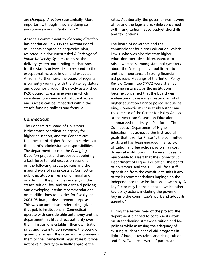are *changing direction* substantially. More importantly, though, they are doing so *appropriately* and *intentionally*."

Arizona's commitment to *changing direction*  has continued. In 2005 the Arizona Board of Regents adopted an aggressive plan, reflected in a document titled *A Redesigned Public University System*, to revise the delivery system and funding mechanisms for the state's universities to respond to the exceptional increase in demand expected in Arizona. Furthermore, the board of regents is currently working with the state legislature and governor through the newly established P-20 Council to examine ways in which incentives to enhance both student access and success can be imbedded within the state's funding policies and formula.

# *Connecticut*

The Connecticut Board of Governors is the state's coordinating agency for higher education, and the Connecticut Department of Higher Education carries out the board's administrative responsibilities. The department housed the *Changing Direction* project and proposed appointing a task force to hold discussion sessions on the following issues: policies and the major drivers of rising costs at Connecticut public institutions; reviewing, modifying, or affirming the principles underlying the state's tuition, fee, and student aid policies; and developing interim recommendations on modifications to policies for fiscal year 2003-05 budget development purposes. This was an ambitious undertaking, given that public institutions in Connecticut operate with considerable autonomy and the department has little direct authority over them. Institutions establish their own tuition rates and retain tuition revenue; the board of governors reviews the rates and recommends them to the Connecticut Legislature but does not have authority to actually approve the

rates. Additionally, the governor was leaving office and the legislature, while concerned with rising tuition, faced budget shortfalls and few options.

The board of governors and the commissioner for higher education, Valerie Lewis, who was also the state higher education executive officer, wanted to raise awareness among state policymakers about the "cost spiral" at public institutions and the importance of strong financial aid policies. Meetings of the Tuition Policy Review Committee (TPRC) were strained in some instances, as the institutions became concerned that the board was endeavoring to assume greater control of higher education finance policy. Jacqueline King, Connecticut's case study author and the director of the Center for Policy Analysis at the American Council on Education, summarized the first year's efforts: "The Connecticut Department of Higher Education has achieved the first several goals that it set for Phase 1: the committee exists and has been engaged in a review of tuition and fee policies, as well as cost drivers at institutions…. However, it seems reasonable to assert that the Connecticut Department of Higher Education, the board of governors, and the TPRC will face stiff opposition from the constituent units if any of their recommendations impinge on the independence these institutions now enjoy. A key factor may be the extent to which other key policy actors, including the governor, buy into the committee's work and adopt its agenda."

During the second year of the project, the department planned to continue its work on strengthening statewide tuition and fee policies while assessing the adequacy of existing student financial aid programs in light of budget restraints and rising tuition and fees. Two areas were of particular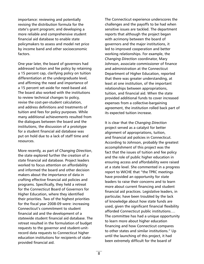importance: reviewing and potentially revising the distribution formula for the state's grant program; and developing a more reliable and comprehensive student financial aid database to enable state policymakers to assess and model net price by income band and other socioeconomic factors.

One year later, the board of governors had addressed tuition and fee policy by retaining a 15 percent cap, clarifying policy on tuition differentiation at the undergraduate level, and affirming the need and importance of a 15 percent set-aside for need-based aid. The board also worked with the institutions to review technical changes to policy, revise the cost-per-student calculation, and address definitions and treatments of tuition and fees for policy purposes. While many additional achievements resulted from the dialogues between the board and the institutions, the discussion of a prototype for a student financial aid database was put on hold due to a lack of staff time and resources.

More recently, as part of *Changing Direction*, the state explored further the creation of a state financial aid database. Project leaders worked to focus attention on affordability and informed the board and other decision makers about the importance of data in crafting effective financial aid policies and programs. Specifically, they held a retreat for the Connecticut Board of Governors for Higher Education, where they identified their priorities. Two of the highest priorities for the fiscal year 2008-09 were: increasing Connecticut's commitment to student financial aid and the development of a statewide student financial aid database. The retreat resulted in the formulation of budget requests to the governor and student-unitrecord data requests to Connecticut higher education institutions for recipients of stateprovided financial aid.

The Connecticut experience underscores the challenges and the payoffs to be had when sensitive issues are tackled. The department reports that although the project began with acrimony between the board of governors and the major institutions, it led to improved cooperation and better working relationships. For example, the *Changing Direction* coordinator, Mary Johnson, associate commissioner of finance and administration at the Connecticut Department of Higher Education, reported that there was greater understanding, at least at one institution, of the important relationships between appropriations, tuition, and financial aid. When the state provided additional funds to cover increased expenses from a collective-bargaining agreement, the institution rolled back part of its expected tuition increase.

It is clear that the *Changing Direction* project served as a catalyst for better alignment of appropriations, tuition, and financial aid policies in Connecticut. According to Johnson, probably the greatest accomplishment of this project was the fact that the issues of tuition and fee policy and the role of public higher education in ensuring access and affordability were raised at a state level. She commented in a progress report to WICHE that "the TPRC meetings have provided an opportunity for state leaders to raise their concerns and to learn more about current financing and student financial aid practices. Legislative leaders, in particular, have been troubled by the lack of knowledge about how state funds are used, given the significant financial flexibility afforded Connecticut public institutions…. The committee has had a unique opportunity to learn more about higher education financing and how Connecticut compares to other states and similar institutions." Up until the launching of this project, it had been extremely difficult for the board of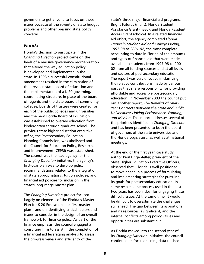governors to get anyone to focus on these issues because of the severity of state budget problems and other pressing state policy concerns.

# *Florida*

Florida's decision to participate in the *Changing Direction* project came on the heels of a massive governance reorganization that altered the way education policy is developed and implemented in the state. In 1998 a successful constitutional amendment resulted in the elimination of the previous state board of education and the implementation of a K-20 governing/ coordinating structure. In place of the board of regents and the state board of community colleges, boards of trustees were created for each of the public colleges and universities, and the new Florida Board of Education was established to oversee education from kindergarten through graduate school. The previous state higher education executive office, the Postsecondary Education Planning Commission, was abolished and the Council for Education Policy, Research, and Improvement (CEPRI) was established. The council was the lead agency for the *Changing Direction* initiative; the agency's first-year plan was to develop policy recommendations related to the integration of state appropriations, tuition policies, and financial aid policies for inclusion in the state's long-range master plan.

The *Changing Direction* project focused largely on elements of the Florida's Master Plan for K-20 Education – its first master plan – and on identifying critical factors and issues to consider in the design of an overall framework for finance policy. As part of the finance emphasis, the council engaged a consulting firm to assist in the completion of a financial aid leveraging analysis to assess the progressiveness and efficiency of the

state's three major financial aid programs: Bright Futures (merit), Florida Student Assistance Grant (need), and Florida Resident Access Grant (choice). In a related financial aid effort, the agency completed *Florida Trends in Student Aid and College Pricing, 1997-98 to 2001-02*, the most complete accounting to date in Florida of the amounts and types of financial aid that were made available to students from 1997-98 to 2001- 02 from all funding sources and at all levels and sectors of postsecondary education. The report was very effective in clarifying the relative contributions made by various parties that share responsibility for providing affordable and accessible postsecondary education. In November 2003 the council put out another report, *The Benefits of Multi-Year Contracts Between the State and Public Universities: Linking Performance, Funding, and Mission*. This report addresses several of the priorities identified in *Changing Direction* and has been presented to both the board of governors of the state universities and the Florida Legislature, as well as at national meetings.

At the end of the first year, case study author Paul Lingenfelter, president of the State Higher Education Executive Officers, observed that "Florida is well-positioned to move ahead in a process of formulating and implementing strategies for pursuing its goals for postsecondary education. In some respects the process used in the past two years has been ideal for engaging these difficult issues. At the same time, it would be difficult to overestimate the challenges still ahead. The gap between its aspirations and its resources is significant, and the internal conflicts among policy values and opportunities are substantial."

As Florida moved into the second year of its *Changing Direction* initiative, the council continued its focus on using data to shed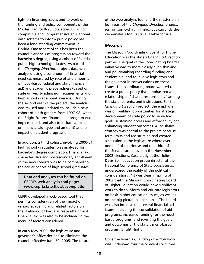light on financing issues and to work on the funding and policy components of the Master Plan for K-20 Education. Building compatible and comprehensive educational data systems to inform public policy has been a long-standing commitment in Florida. One aspect of this has been the council's analysis of progression toward the bachelor's degree, using a cohort of Florida public high school graduates. As part of the *Changing Direction* project, data were analyzed using a continuum of financial need (as measured by receipt and amounts of need-based federal and state financial aid) and academic preparedness (based on state university admission requirements and high school grade point average). During the second year of the project, the analysis was revised and updated to include a new cohort of ninth graders from 1997-98, when the Bright Futures financial aid program was implemented, and also to include a focus on financial aid (type and amount) and its impact on student progression.

In addition, a third cohort, involving 2000-01 high school graduates, was analyzed for bachelor's degree completion. Financial aid characteristics and postsecondary enrollment of the new cohorts was to be compared to the earlier cohort of high school graduates.

**Data and analyses can be found on CEPRI's web analysis tool page: www.cepri.state.fl.us/bacompletion.**

CEPRI developed a web-based tool that permits consideration of the impact of various academic and related factors on the likelihood of baccalaureate attainment. Financial aid was also to be included in the menu of factors considered.

In early May 2005, the legislature and governor's office decided to eliminate the council, effective June 30, 2005. The future of the web-analysis tool and the master plan, both part of the *Changing Direction* project, remain somewhat in limbo, but currently the web-analysis tool is still available for use.

# *Missouri*

The Missouri Coordinating Board for Higher Education was the state's *Changing Direction* partner. The goal of the coordinating board's initiative was to more closely align thinking and policymaking regarding funding and student aid, and to involve legislators and the governor in conversations on these issues. The coordinating board wanted to create a public policy that emphasized a relationship of "shared responsibility" among the state, parents, and institutions. For the *Changing Direction* project, the emphasis was on building opportunities for strategic development of state policy to serve two goals: sustaining access and affordability and enhancing student outcomes. A legislative strategy was central to the project because term limits and redistricting had created a situation in the legislature where over one-half of the House and one-third of the Senate turned over in the November 2002 elections. Case study author Julie Davis Bell, education group director at the National Conference of State Legislatures, underscored the reality of the political considerations: "It was clear in spring of 2002 that the Missouri Coordinating Board of Higher Education would have significant work to do to inform and educate legislators on basic higher education issues, as well as on the big picture connections." The board was also interested in several financial aid issues, including the consolidation of aid programs, increased funding for the needbased programs, and revisiting the goals and outcomes of the state's merit-based program, Bright Flight.

Once the board's *Changing Direction* work was underway, four major events occurred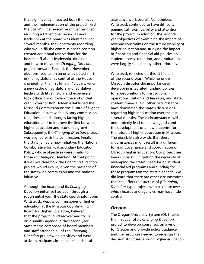that significantly impacted both the focus and the implementation of the project. First, the board's chief executive officer resigned, requiring a transitional period as new leadership at the board was identified. For several months, the uncertainty regarding who would fill the commissioner's position created additional reservations for the board staff about leadership, direction, and how to move the *Changing Direction* project forward. Second, the November elections resulted in an unanticipated shift in the legislature, as control of the House changed for the first time in 40 years, when a new cadre of legislators and legislative leaders with little history and experience took office. Third, toward the end of that year, Governor Bob Holden established the Missouri Commission on the Future of Higher Education, a statewide advisory commission, to address the challenges facing higher education and to improve the link between higher education and economic growth. Subsequently, the *Changing Direction* project was aligned with the commission. Finally, the state joined a new initiative, the National Collaborative for Postsecondary Education Policy, whose objectives were similar to those of *Changing Direction*. At that point it was not clear how the *Changing Direction* project would evolve, given the presence of the statewide commission and the national initiative.

Although the board and its *Changing Direction* initiative had been through a rough initial year, the state coordinator, John Wittstruck, deputy commissioner of higher education at the Missouri Coordinating Board for Higher Education, believed that the project could recover and focus on a smaller agenda in the second year. State teams composed of board members and staff attended all of the *Changing Direction* projectwide activities and were active participants in the state's technical

assistance work overall. Nonetheless, Wittstruck continued to have difficulty gaining sufficient visibility and attention for the project. In addition, the secondyear objectives of examining the impact of revenue constraints on the future viability of higher education and studying the impact of financing and financial aid policies on student access, retention, and graduation were largely sidelined by other priorities.

Wittstruck reflected on this at the end of the second year: "While no one in Missouri disputes the importance of developing integrated funding policies for appropriations for institutional operations, tuition and fee rates, and state student financial aid, other circumstances have dominated the state's discussions regarding higher education over the last several months. These circumstances will undoubtedly lead to a new agenda and the development of a new blueprint for the future of higher education in Missouri. The possibility also exists that these circumstances might result in a different form of governance and coordination of Missouri higher education. Our project has been successful in getting the necessity of revamping the state's need-based student financial aid programs and funding for those programs on the state's agenda. We did learn that there are other circumstances that can affect the success of *[Changing] Direction*-type projects within a state over which boards and agencies may have little control."

#### *Oregon*

The Oregon University System (OUS) used the first year of its *Changing Direction* project to develop consensus on a vision for Oregon and provide policy guidance and the resources needed to redesign the decision structures around higher education.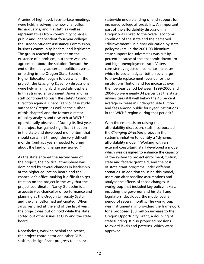A series of high-level, face-to-face meetings were held, involving the new chancellor, Richard Jarvis, and his staff, as well as representatives from community colleges, public and independent four-year colleges, the Oregon Student Assistance Commission, business-community leaders, and legislators. The group reached agreement on the existence of a problem, but there was less agreement about the solution. Toward the end of the first year, certain political events unfolding in the Oregon State Board of Higher Education began to overwhelm the project; the *Changing Direction* discussions were held in a highly charged atmosphere. In this strained environment, Jarvis and his staff continued to push the state's *Changing Direction* agenda. Cheryl Blanco, case study author for Oregon (as well as the author of this chapter) and the former director of policy analysis and research at WICHE, optimistically observed, "During its first year, the project has gained significant traction in the state and developed momentum that should sustain it through the very difficult months (perhaps years) needed to bring about the kind of change envisioned."

As the state entered the second year of the project, the political atmosphere was dominated by several changes in leadership at the higher education board and the chancellor's office, making it difficult to get traction on the project in the way that the project coordinator, Nancy Goldschmidt, associate vice chancellor of performance and planning at the Oregon University System, and the chancellor had anticipated. When Jarvis resigned at the end of the fiscal year, the project was put on hold while the state sorted out other issues at OUS and the state board.

Nonetheless, working behind the scenes, the project coordinator and other OUS staff made significant progress to enhance statewide understanding of and support for increased college affordability. An important part of the affordability discussion in Oregon was linked to the overall economic condition of the state and the perceived "disinvestment" in higher education by state policymakers. In the 2001-03 biennium, state support for universities was cut by 11 percent because of the economic downturn and high unemployment rate. Voters consistently rejected income tax increases, which forced a midyear tuition surcharge to provide replacement revenue for the institutions. Tuition and fee increases over the five-year period between 1999-2000 and 2004-05 were nearly 34 percent at the state universities (still well below the 45 percent average increase in undergraduate tuition and fees among public four-year institutions in the WICHE region during that period). $2$ 

With the emphasis on raising the affordability discussion, staff incorporated the *Changing Direction* project in the system's initiative to identify a "dynamic affordability model." Working with an external consultant, staff developed a model which was designed to enhance the capacity of the system to project enrollment, tuition, state and federal grant aid, and the cost of state grant programs under different scenarios. In addition to using this model, users can alter baseline assumptions and analyze the effects of those changes. A workgroup that included key policymakers, including the governor and his staff and legislators, developed the model over a period of several months. The workgroup was instrumental in providing the framework for a proposed \$50 million increase to the Oregon Opportunity Grant, a doubling of state funding. It also proposed revisions to award levels and patterns, which were approved.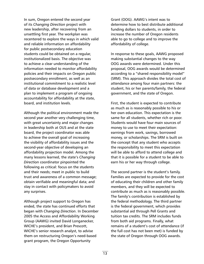In sum, Oregon entered the second year of its *Changing Direction* project with new leadership, after recovering from an unsettling first year. The workplan was recentered to explore the ways in which valid and reliable information on affordability for public postsecondary education students could be obtained on a regular, institutionalized basis. The objective was to achieve a clear understanding of the information needed to monitor affordability policies and their impacts on Oregon public postsecondary enrollment, as well as an institutional commitment to a realistic level of data or database development and a plan to implement a program of ongoing accountability for affordability at the state, board, and institution levels.

Although the political environment made the second year another very challenging time, with great uncertainty and major changes in leadership both at OUS and at the state board, the project coordinator was able to achieve the overall goal of increasing the visibility of affordability issues and the second-year objective of developing an affordability projection model. Among the many lessons learned, the state's *Changing Direction* coordinator pinpointed the following as critical: focus on the students and their needs; meet in public to build trust and awareness of a common message; obtain verifiable and meaningful data; and stay in contact with policymakers to avoid any surprises.

Although project support to Oregon has ended, the state has continued efforts that began with *Changing Direction*. In December 2005 the Access and Affordability Working Group (AAWG) invited David Longanecker, WICHE's president, and Brian Prescott, WICHE's senior research analyst, to advise them on restructuring Oregon's need-based grant program, the Oregon Opportunity

Grant (OOG). AAWG's intent was to determine how to best distribute additional funding dollars to students, in order to increase the number of Oregon residents able to go to college and to improve the affordability of college.

In response to these goals, AAWG proposed making substantial changes to the way OOG awards were determined. Under this proposal, OOG awards would be determined according to a "shared responsibility model" (SRM). This approach divides the total cost of attendance among four main partners: the student, his or her parents/family, the federal government, and the state of Oregon.

First, the student is expected to contribute as much as is reasonably possible to his or her own education. This expectation is the same for all students, whether rich or poor. Students would have four main sources of money to use to meet their expectation: earnings from work, savings, borrowed money, or scholarships. The SRM is built on the concept that any student who accepts the responsibility to meet this expectation will be able to afford to attend college and that it is possible for a student to be able to earn his or her way through college.

The second partner is the student's family. Families are expected to provide for the cost of educating their children and other family members, and they will be expected to contribute as much as is reasonably possible. The family's contribution is established by the federal methodology. The third partner is the federal government, which provides substantial aid through Pell Grants and tuition tax credits. The SRM includes funds from both aid programs. Finally, what remains of a student's cost of attendance (if the full cost has not been met) is funded by the state of Oregon through OOG awards.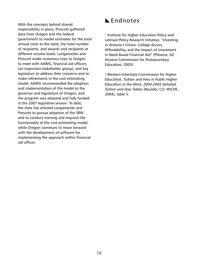With the concepts behind shared responsibility in place, Prescott gathered data from Oregon and the federal government to model estimates for the total annual costs to the state, the total number of recipients, and awards and recipients at different income levels. Longanecker and Prescott made numerous trips to Oregon to meet with AAWG, financial aid officers (an important stakeholder group), and key legislators to address their concerns and to make refinements in the cost-estimating model. AAWG recommended the adoption and implementation of the model to the governor and legislature of Oregon, and the program was adopted and fully funded in the 2007 legislative session. To date, the state has enlisted Longanecker and Prescott to pursue adoption of the SRM and to conduct training and improve the functionality of the cost-estimating model, while Oregon continues to move forward with the development of software for implementing the approach within financial aid offices.

# **L** Endnotes

<sup>1</sup> Institute for Higher Education Policy and Latina/o Policy Research Initiative, "Investing in Arizona's Future: College Access, Affordability, and the Impact of Investment in Need-Based Financial Aid" (Phoenix, AZ: Arizona Commission for Postsecondary Education, 2005).

2 Western Interstate Commission for Higher Education, *Tuition and Fees in Public Higher Education in the West, 2004-2005 Detailed Tuition and Fees Tables* (Boulder, CO: WICHE, 2004), table 5.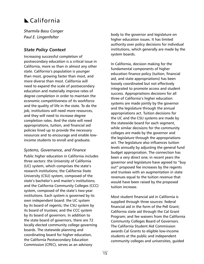# $\blacktriangle$  California

*Sharmila Basu Conger Paul E. Lingenfelter*

# *State Policy Context*

Increasing successful completion of postsecondary education is a critical issue in California, more so than in almost any other state. California's population is younger than most, growing faster than most, and more diverse than most. California will need to expand the scale of postsecondary education and materially improve rates of degree completion in order to maintain the economic competitiveness of its workforce and the quality of life in the state. To do the job, institutions will need more resources, and they will need to increase degree completion rates. And the state will need appropriations, tuition, and financial aid policies lined up to provide the necessary resources and to encourage and enable lowincome students to enroll and graduate.

#### *Systems, Governance, and Finance*

Public higher education in California includes three sectors: the University of California (UC) system, which comprises the state's research institutions; the California State University (CSU) system, composed of the state's bachelor's and master's institutions; and the California Community Colleges (CCC) system, composed of the state's two-year institutions. Each system is governed by its own independent board: the UC system by its board of regents; the CSU system by its board of trustees; and the CCC system by its board of governors. In addition to the state board of governors, there are 72 locally elected community college governing boards. The statewide planning and coordinating board for higher education, the California Postsecondary Education Commission (CPEC), serves as an advisory

body to the governor and legislature on higher education issues. It has limited authority over policy decisions for individual institutions, which generally are made by the system boards.

In California, decision making for the fundamental components of higher education finance policy (tuition, financial aid, and state appropriations) has been loosely coordinated but not effectively integrated to promote access and student success. Appropriations decisions for all three of California's higher education systems are made jointly by the governor and the legislature through the annual appropriations act. Tuition decisions for the UC and the CSU systems are made by the statewide board for each segment, while similar decisions for the community colleges are made by the governor and the legislature through the appropriations act. The legislature also influences tuition levels annually by adjusting the general fund budget appropriation. The connection has been a very direct one; in recent years the governor and legislature have agreed to "buy out" proposed fee increases by the regents and trustees with an augmentation in state revenues equal to the tuition revenue that would have been raised by the proposed tuition increase.

Most student financial aid in California is supplied through three sources: federal financial aid in the form of the Pell Grant; California state aid through the Cal Grant Program; and fee waivers from the California Community Colleges Board of Governors. The California Student Aid Commission awards Cal Grants to eligible low-income students at the public and independent community colleges and universities, guided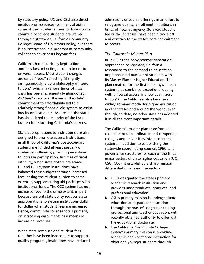by statutory policy. UC and CSU also direct institutional resources for financial aid for some of their students. Fees for low-income community college students are waived through a statewide California Community Colleges Board of Governors policy, but there is no institutional aid program at community colleges to cover costs beyond fees.

California has historically kept tuition and fees low, reflecting a commitment to universal access. Most student charges are called "fees," reflecting (if slightly disingenuously) a core philosophy of "zero tuition," which in various times of fiscal crisis has been incrementally abandoned. As "fees" grew over the years, the state's commitment to affordability led to a relatively strong financial aid system to assist low-income students. As a result, the state has shouldered the majority of the fiscal burden for educating California's citizens.

State appropriations to institutions are also designed to promote access. Institutions in all three of California's postsecondary systems are funded at least partially on student enrollments, providing incentives to increase participation. In times of fiscal difficulty, when state dollars are scarce, UC and CSU system institutions have balanced their budgets through increased fees, easing the student burden to some extent by supplementing aid packages with institutional funds. The CCC system has not increased fees to the same extent, in part because current state policy reduces state appropriations to system institutions dollar for dollar when student fees are increased. Hence, community colleges focus primarily on increasing enrollments as a means of increasing revenues.

When state revenues and student fees together have been inadequate to support quality programs, institutions have reduced admissions or course offerings in an effort to safeguard quality. Enrollment limitations in times of fiscal stringency (to avoid student fee or tax increases) have been a trade-off and contrary to the state's core commitment to access.

#### *The California Master Plan*

In 1960, as the baby boomer generation approached college age, California responded to the demand to educate an unprecedented number of students with its Master Plan for Higher Education. The plan created, for the first time anywhere, a system that combined exceptional quality with universal access and low cost ("zero tuition"). The California plan became a widely admired model for higher education in other states and around the world, even though, to date, no other state has adopted it in all the most important details.

The California master plan transformed a collection of uncoordinated and competing colleges and universities into a coherent system. In addition to establishing the statewide coordinating council, CPEC, and governance structures for each of the three major sectors of state higher education (UC, CSU, CCC), it established a sharp mission differentiation among the sectors:

- $\blacktriangleright$  UC is designated the state's primary academic research institution and provides undergraduate, graduate, and professional education.
- $\blacktriangle$  CSU's primary mission is undergraduate education and graduate education through the master's degree, including professional and teacher education, with recently obtained authority to offer just the educational doctorate.
- $\blacktriangleright$  The California Community Colleges system's primary mission is providing academic and vocational instruction for older and younger students through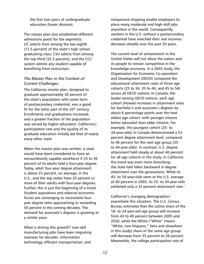the first two years of undergraduate education (lower division).

The master plan also established different admissions pools for the segments: UC selects from among the top eighth (12.5 percent) of the state's high school graduating class; CSU selects from among the top third (33.3 percent); and the CCC system admits any student capable of benefiting from instruction.

### *The Master Plan in the Context of Current Challenges*

The California master plan, designed to graduate approximately 30 percent of the state's population with some form of postsecondary credential, was a good fit for the latter part of the  $20<sup>th</sup>$  century. Enrollments and graduations increased, and a greater fraction of the population was served by higher education. California's participation rate and the quality of its graduate education initially led that of nearly every other state.

When the master plan was written, a state would have been considered to have an extraordinarily capable workforce if 25 to 30 percent of its adults held a four-year degree. Today, adult four-year degree attainment is above 25 percent, on average, in the U.S., and the top states have 35 percent or more of their adults with four-year degrees. Further, this is just the beginning of a trend. Student aspirations and external economic forces are converging to necessitate fouryear degree rates approaching or exceeding 50 percent in the coming decades. The demand for associate's degrees is growing at a similar pace.

What is driving this growth? Low-skill manufacturing jobs have been migrating overseas for decades. Information technology, efficient transportation, and

inexpensive shipping enable employers to place many moderate and high-skill jobs anywhere in the world. Consequently, workers in the U.S. without a postsecondary credential have watched their real incomes decrease steadily over the past 20 years.

The current level of achievement in the United States will not allow the nation and its people to remain competitive in the knowledge economy. In a 2003 study, the Organisation for Economic Co-operation and Development (OECD) compared the educational attainment rates of three age cohorts (25 to 34, 35 to 44, and 45 to 54) across all OECD nations. In Canada, the leader among OECD nations, each age cohort showed increases in attainment rates for bachelor's and associate's degrees by about 6 percentage points over the next oldest age cohort, with younger citizens better educated than older citizens. For example, the youngest cohort (25- to 34-year-olds) in Canada demonstrated a 53 percent degree attainment level, compared to 46 percent for the next age group (35 to 44-year-olds). In contrast, U.S. degree attainment held steady at about 40 percent for all age cohorts in the study. In California the trend was even more disturbing: the state had fallen backward in degree attainment over the generations. While its 45- to 54-year-olds were at the U.S. average of 40 percent in 2003, its 25- to 34-year-olds exhibited only a 33 percent attainment rate.<sup>1</sup>

California's changing demographics exacerbate this situation. The U.S. Census Bureau estimates that the Latino share of the 18- to 24-year-old age group will increase from 43 to 49 percent between 2005 and 2020, while the White ("White" means "White, non-Hispanic," here and elsewhere in this study) share of the same age group will decrease from 35 percent to 26 percent. Meanwhile, the college participation rate of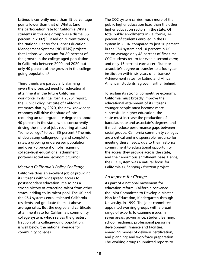Latinos is currently more than 15 percentage points lower than that of Whites (and the participation rate for California White students in this age group was a dismal 35 percent in 2002).<sup>2</sup> Based on current trends, the National Center for Higher Education Management Systems (NCHEMS) projects that Latinos will account for 80 percent of the growth in the college-aged population in California between 2000 and 2020 but only 40 percent of the growth in the collegegoing population.<sup>3</sup>

These trends are particularly alarming given the projected need for educational attainment in the future California workforce. In its "California 2025" report, the Public Policy Institute of California estimates that by 2020, the new knowledge economy will drive the share of jobs requiring an undergraduate degree to about 40 percent in the state, while concurrently driving the share of jobs requiring at least "some college" to over 35 percent. $4$  The mix of decreasing college-going and completion rates, a growing underserved population, and over 75 percent of jobs requiring college-level educational attainment portends social and economic turmoil.

## *Meeting California's Policy Challenge*

California does an excellent job of providing its citizens with widespread access to postsecondary education. It also has a strong history of attracting talent from other states, adding to its talent pool. The UC and the CSU systems enroll talented California residents and graduate them at above average rates. But the degree and certificate attainment rate for California's community college system, which serves the greatest fraction of its college-going population, is well below the national average for community colleges.

The CCC system carries much more of the public higher education load than the other higher education sectors in the state. Of total public enrollments in California, 74 percent of students enrolled in the CCC system in 2004, compared to just 16 percent in the CSU system and 10 percent in UC. Yet on average only 48 percent of first-time CCC students return for even a second *term*; and only 15 percent earn a certificate or associate's degree or transfer to a four-year institution within six years of entrance.<sup>5</sup> Achievement rates for Latino and African American students lag even farther behind.

To sustain its strong, competitive economy, California must broadly improve the educational attainment of its citizens. Younger people must become more successful in higher education, the state must increase the production of baccalaureate and associate's degrees, and it must reduce performance gaps between racial groups. California community colleges are a critical and indispensable resource for meeting these needs, due to their historical commitment to educational opportunity, the access they provide across the state, and their enormous enrollment base. Hence, the CCC system was a natural focus for California's *Changing Direction* project.

#### *An Impetus for Change*

As part of a national movement for education reform, California convened the Joint Committee to Develop a Master Plan for Education, Kindergarten through University, in 1999. The joint committee appointed working groups with a broad range of experts to examine issues in seven areas: governance; student learning; school readiness; professional personnel development; finance and facilities; emerging modes of delivery, certification, and planning; and workforce preparation. The working groups submitted reports to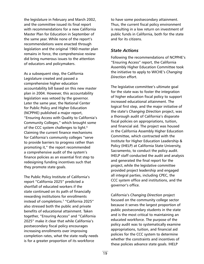the legislature in February and March 2002, and the committee issued its final report with recommendations for a new California Master Plan for Education in September of the same year. While none of the report's recommendations were enacted through legislation and the original 1960 master plan remains in force, the comprehensive review did bring numerous issues to the attention of educators and policymakers.

As a subsequent step, the California Legislature created and passed a comprehensive higher education accountability bill based on this new master plan in 2004. However, this accountability legislation was vetoed by the governor. Later the same year, the National Center for Public Policy and Higher Education (NCPPHE) published a major report, "Ensuring Access with Quality to California's Community Colleges," which brought some of the CCC system challenges to light.<sup>6</sup> Claiming the current finance mechanisms for California's community colleges "serve to provide barriers to progress rather than promoting it," the report recommended a comprehensive audit of the system's finance policies as an essential first step to redesigning funding incentives such that they promote state goals.

The Public Policy Institute of California's report "California 2025" predicted a shortfall of educated workers if the state continued on its path of financially rewarding institutions for enrollments instead of completions.<sup>7</sup> "California 2025" also stressed both the public and private benefits of educational attainment. Taken together, "Ensuring Access" and "California 2025" make it clear that while California's postsecondary fiscal policy encourages increasing enrollments over improving completion rates, what the state really needs is for a greater proportion of its workforce

to have some postsecondary attainment. Thus, the current fiscal policy environment is resulting in a low return on investment of public funds in California, both for the state and for its citizens.

#### *State Actions*

Following the recommendations of NCPPHE's "Ensuring Access" report, the California Assembly Higher Education Committee took the initiative to apply to WICHE's *Changing Direction* effort.

The legislative committee's ultimate goal for the state was to foster the integration of higher education fiscal policy to support increased educational attainment. The logical first step, and the major initiative of the state's *Changing Direction* project, was a thorough audit of California's disparate fiscal policies on appropriations, tuition, and financial aid. The project was housed in the California Assembly Higher Education Committee, which contracted with the Institute for Higher Education Leadership & Policy (IHELP) at California State University, Sacramento, to conduct the policy audit. IHELP staff conducted the audit and analysis and generated the final report for the project, while the legislative committee provided project leadership and engaged all integral parties, including CPEC, the CCC system office and institutions, and the governor's office.

California's *Changing Direction* project focused on the community college sector because it serves the largest proportion of public postsecondary students in the state and is the most critical to maintaining an educated workforce. The purpose of the policy audit was to systematically examine appropriations, tuition, and financial aid policies for the CCC system to determine whether the constraints and incentives of these policies advance state goals. IHELP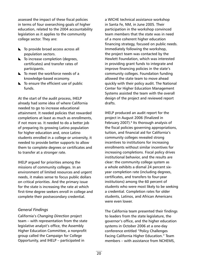assessed the impact of these fiscal policies in terms of four overarching goals of higher education, related to the 2004 accountability legislation as it applies to the community college sector. They are:

- $\blacktriangleright$  To provide broad access across all population sectors.
- $\blacktriangleright$  To increase completion (degrees, certificates) and transfer rates of participants.
- $\blacktriangleright$  To meet the workforce needs of a knowledge-based economy.
- $\blacktriangleright$  To ensure the efficient use of public funds.

At the start of the audit process, IHELP already had some idea of where California needed to go to increase educational attainment. It needed policies that rewarded completions at least as much as enrollments, if not more so. It needed to do a better job of preparing its growing Latino population for higher education and, once Latino students enrolled in a college or university, it needed to provide better supports to allow them to complete degrees or certificates and to transfer at a stronger rate.

IHELP argued for priorities among the missions of community colleges. In an environment of limited resources and urgent needs, it makes sense to focus public dollars on critical priorities. And the primary issue for the state is increasing the rate at which first-time degree seekers enroll in college and complete their postsecondary credential.

#### *General Findings*

California's *Changing Direction* project team – with representation from the state legislative analyst's office, the Assembly Higher Education Committee, a nonprofit group called the Campaign for College Opportunity, and IHELP – participated in

a WICHE technical assistance workshop in Santa Fe, NM, in June 2005. Their participation in the workshop convinced team members that the state was in need of a more coherent higher education financing strategy, focused on public needs. Immediately following the workshop, the project team was contacted by the Hewlett Foundation, which was interested in providing grant funds to integrate and improve financing policies in the state's community colleges. Foundation funding allowed the state team to move ahead quickly with their policy audit. The National Center for Higher Education Management Systems assisted the team with the overall design of the project and reviewed report drafts.

IHELP produced an audit report for the project in August 2006 (finalized in February 2007).<sup>8</sup> Its thorough analysis of the fiscal policies governing appropriations, tuition, and financial aid for California's community colleges revealed strong incentives to institutions for increasing enrollments without similar incentives for increasing completions. Fiscal policy drives institutional behavior, and the results are clear: the community college system as a whole exhibits a dismal 24 percent sixyear completion rate (including degrees, certificates, and transfers to four-year institutions) among the 60 percent of students who were most likely to be seeking a credential. Completion rates for older students, Latinos, and African Americans were even lower.

The California team presented their findings to leaders from the state legislature, the governor's office, and the higher education systems in October 2006 at a one-day conference entitled "Policy Challenges Facing California Higher Education." Team members – with assistance from NCHEMS,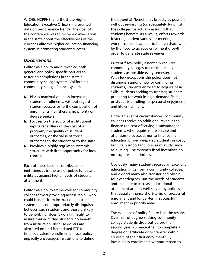WICHE, NCPPHE, and the State Higher Education Executive Officers – presented data on performance trends. The goal of the conference was to foster a conversation in the state about the effectiveness of the current California higher education financing system in promoting student success.

# *Observations*

California's policy audit revealed both general and policy-specific barriers to fostering completions in the state's community college system. California's community college finance system:

- $\blacktriangleright$  Places maximal value on increasing student enrollments, without regard to student success or to the composition of enrollments (i.e., there is no priority on degree-seekers).
- $\blacktriangleright$  Focuses on the equity of institutional inputs regardless of the cost of a program, the quality of student outcomes, or the value of those outcomes to the student or to the state.
- $\blacktriangleright$  Provides a highly regulated systemic structure with little opportunity for local control.

Each of these factors contributes to inefficiencies in the use of public funds and militates against higher levels of student attainment.

California's policy framework for community colleges favors providing access "to all who could benefit from instruction," but the system does not appropriately distinguish between such students and those unlikely to benefit, nor does it do all it might to assure that admitted students do benefit from instruction. Because dollars are allocated on undifferentiated FTE (fulltime equivalent) enrollments, fiscal policy implicitly encourages institutions to define

the potential "benefit" as broadly as possible without rewarding (or adequately funding) the colleges for actually assuring that students benefit. As a result, efforts towards fostering student success or meeting workforce needs appear to be overshadowed by the need to achieve enrollment growth in order to generate state revenues.

Current fiscal policy essentially requires community colleges to enroll as many students as possible every semester. With few exceptions the policy does not distinguish among new or continuing students, students enrolled to acquire basic skills, students seeking to transfer, students preparing for work in high-demand fields, or students enrolling for personal enjoyment and life enrichment.

Under this set of circumstances, community colleges receive no additional revenues to finance the cost of serving disadvantaged students, who require more service and attention to succeed, nor to finance the education of well-prepared students in costly but vitally important courses of study, such as nursing. The system's fiscal incentives do not support its priorities.

Obviously, many students receive an excellent education in California community colleges, and a good many also transfer and obtain four-year degrees. But the needs of students and the state to increase educational attainment are not well-served by policies that equally finance short-term, unsuccessful enrollment and longer-term, successful enrollment in priority areas.

The evidence of policy failure is in the results. Over half of degree-seeking community college students drop out before their second year; 75 percent fail to complete a degree or certificate or to transfer within six years of their first enrollment. $9$  By investing in enrollments without regard to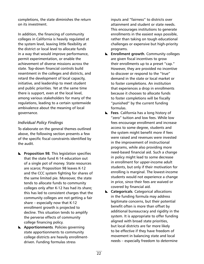completions, the state diminishes the return on its investment.

In addition, the financing of community colleges in California is heavily regulated at the system level, leaving little flexibility at the district or local level to allocate funds in a way that would improve performance, permit experimentation, or enable the achievement of diverse missions across the state. Top-down financial controls build resentment in the colleges and districts, and retard the development of local capacity, initiative, and leadership to meet student and public priorities. Yet at the same time there is support, even at the local level, among various stakeholders for many of the regulations, leading to a certain systemwide ambivalence about the meaning of local governance.

### *Individual Policy Findings*

To elaborate on the general themes outlined above, the following section presents a few of the specific fiscal constraints identified by the audit.

- **E** Proposition 98. This legislation specifies that the state fund K-14 education out of a single pot of money. State resources are scarce; Proposition 98 leaves K-12 and the CCC system fighting for shares of the same limited pie. Moreover, the state tends to allocate funds to community colleges only after K-12 has had its share; this has led to consistent charges that the community colleges are not getting a fair share – especially now that K-12 enrollment growth is projected to decline. This situation tends to amplify the perverse effects of community college financing policy.
- [ **Apportionments***.* Policies governing state apportionments to community college districts are heavily enrollmentdriven. Funding formulas stress

inputs and "fairness" to districts over attainment and student or state needs. This encourages institutions to generate enrollments in the easiest ways possible, rather than taking on tough educational challenges or expensive but high-priority programs.

- **Enrollment growth**. Community colleges are given fiscal incentives to grow their enrollments up to a preset "cap." However, they are provided no incentive to discover or respond to the "true" demand in the state or local market or to foster completions. An institution that experiences a drop in enrollments because it chooses to allocate funds to foster completions will be fiscally "punished" by the current funding formulas.
- **EXEC** Fees. California has a long history of "zero" tuition and low fees. While low fees encourage enrollment and increase access to some degree, students and the system might benefit more if fees were raised and revenues were invested in the improvement of instructional programs, while also providing more need-based financial aid. Such a change in policy might lead to some decrease in enrollment for upper-income adult students, but only if their motivation for enrolling is marginal. The lowest-income students would not experience a change in price, since their fees are waived or covered by financial aid.
- **L** Categoricals. Categorical allocations in the funding formula may address legitimate concerns, but their potential benefit often is more than offset by additional bureaucracy and rigidity in the system. It is appropriate to offer funding aligned with broad state priorities, but local districts are far more likely to be effective if they have freedom of movement in balancing state and local needs – especially freedom to determine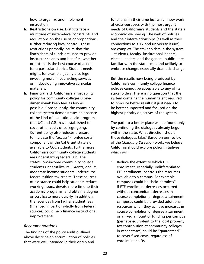how to organize and implement instruction.

- **Restrictions on use** Districts face a multitude of system-level constraints and regulations on the use of appropriations, further reducing local control. These restrictions primarily insure that the lion's share of funds are used to provide instructor salaries and benefits, whether or not this is the best course of action for a particular district. Student needs might, for example, justify a college investing more in counseling services or in developing innovative curricular materials.
- [ **Financial aid***.* California's affordability policy for community colleges is onedimensional: keep fees as low as possible. Consequently, the community college system demonstrates an absence of the kind of institutional aid programs that UC and CSU have established to cover other costs of college-going. Current policy also reduces pressure to increase the "access" (nonfee costs) component of the Cal Grant state aid available to CCC students. Furthermore, California's community college students are underutilizing federal aid. The state's low-income community college students underutilize Pell Grants, and its moderate-income students underutilize federal tuition tax credits. These sources of assistance could help students reduce working hours, devote more time to their academic programs, and obtain a degree or certificate more quickly. In addition, the revenues from higher student fees (financed in part or wholly from federal sources) could help finance instructional improvements.

#### *Recommendations*

The findings of the policy audit outlined above describe an accumulation of policies that were well intended in their origin and

functional in their time but which now work at cross-purposes with the most urgent needs of California's students and the state's economic well-being. The web of policies and their interrelationships (as well as their connections to K-12 and university issues) are complex. The stakeholders in the system – students, faculty, institutional leaders, elected leaders, and the general public – are familiar with the status quo and unlikely to embrace change, especially dramatic change.

But the results now being produced by California's community college finance policies cannot be acceptable to any of its stakeholders. There is no question that the system contains the human talent required to produce better results; it just needs to be better supported and focused on the highest-priority objectives of the system.

The path to a better place will be found only by continuing the dialogues already begun within the state. What direction should those dialogues take? Based on our review of the *Changing Direction* work, we believe California should explore policy initiatives which will:

1. Reduce the extent to which FTE enrollment, especially undifferentiated FTE enrollment, controls the resources available to a campus. For example: campuses could be "held harmless" if FTE enrollment decreases occurred without concomitant decreases in course completion or degree attainment; campuses could be provided additional resources when they achieve increases in course completion or degree attainment; or a fixed amount of funding per campus (perhaps equivalent to the local property tax contribution at community colleges in other states) could be "guaranteed" to cover fixed costs, regardless of enrollment shifts.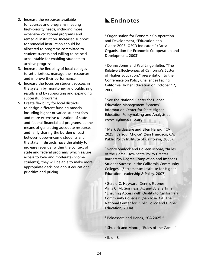- 2. Increase the resources available for courses and programs meeting high-priority needs, including more expensive vocational programs and remedial instruction. Increased support for remedial instruction should be allocated to programs committed to student success and willing to be held accountable for enabling students to achieve progress.
- 3. Increase the flexibility of local colleges to set priorities, manage their resources, and improve their performance.
- 4. Increase the focus on student success in the system by monitoring and publicizing results and by supporting and expanding successful programs.
- 5. Create flexibility for local districts to design different funding models, including higher or varied student fees and more extensive utilization of state and federal financial aid programs, as the means of generating adequate resources and fairly sharing the burden of cost between upper-income students and the state. If districts have the ability to increase revenue (within the context of state and federal programs which assure access to low- and moderate-income students), they will be able to make more appropriate decisions about educational priorities and pricing.

# **L** Endnotes

<sup>1</sup> Organisation for Economic Co-operation and Development, "Education at a Glance 2003: OECD Indicators" (Paris: Organisation for Economic Co-operation and Development, 2003).

<sup>2</sup> Dennis Jones and Paul Lingenfelter, "The Relative Effectiveness of California's System of Higher Education," presentation to the Conference on Policy Challenges Facing California Higher Education on October 17, 2006.

<sup>3</sup> See the National Center for Higher Education Management Systems' Information Center for State Higher Education Policymaking and Analysis at www.higheredinfo.org.

<sup>4</sup> Mark Baldassare and Ellen Hanak, "CA 2025: It's Your Choice" (San Francisco, CA: Public Policy Institute of California, 2005).

<sup>5</sup> Nancy Shulock and Colleen Moore, "Rules of the Game: How State Policy Creates Barriers to Degree Completion and Impedes Student Success in the California Community Colleges" (Sacramento: Institute for Higher Education Leadership & Policy, 2007).

<sup>6</sup> Gerald C. Hayward, Dennis P. Jones, Aims C. McGuinness, Jr., and Allene Timar, "Ensuring Access with Quality to California's Community Colleges" (San Jose, CA: The National Center for Public Policy and Higher Education, 2004).

- <sup>7</sup> Baldassare and Hanak, "CA 2025."
- <sup>8</sup> Shulock and Moore, "Rules of the Game."
- $9$  Ibid., 8.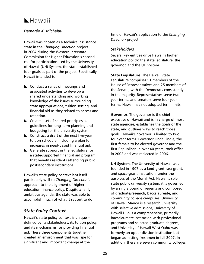# $\blacktriangle$  Hawaii

### *Demarée K. Michelau*

Hawaii was chosen as a technical assistance state in the *Changing Direction* project in 2004 during the Western Interstate Commission for Higher Education's second call for participation. Led by the University of Hawaii (UH) System, the state established four goals as part of the project. Specifically, Hawaii intended to:

- $\blacktriangle$  Conduct a series of meetings and associated activities to develop a shared understanding and working knowledge of the issues surrounding state appropriations, tuition setting, and financial aid as they related to access and retention.
- $\blacktriangle$  Create a set of shared principles as guidelines for long-term planning and budgeting for the university system.
- $\blacktriangle$  Construct a draft of the next five-year tuition schedule, including a plan for increases in need-based financial aid.
- $\blacktriangle$  Generate support in the legislature for a state-supported financial aid program that benefits residents attending public postsecondary institutions.

Hawaii's state policy context lent itself particularly well to *Changing Direction*'s approach to the alignment of higher education finance policy. Despite a fairly ambitious agenda, the state was able to accomplish much of what it set out to do.

# *State Policy Context*

Hawaii's state policy context is unique – defined by its stakeholders, its tuition policy, and its mechanisms for providing financial aid. These three components together created an environment that was ripe for significant and important change at the

time of Hawaii's application to the *Changing Direction* project.

### *Stakeholders*

Several key entities drive Hawaii's higher education policy: the state legislature, the governor, and the UH System.

**State Legislature**. The Hawaii State Legislature comprises 51 members of the House of Representatives and 25 members of the Senate, with the Democrats consistently in the majority. Representatives serve twoyear terms, and senators serve four-year terms. Hawaii has not adopted term limits.

**Governor**. The governor is the chief executive of Hawaii and is in charge of most state agencies, establishes the goals of the state, and outlines ways to reach those goals. Hawaii's governor is limited to two four-year terms. Governor Linda Lingle, the first female to be elected governor and the first Republican in over 40 years, took office in 2002 and was reelected in 2006.

**UH System**. The University of Hawaii was founded in 1907 as a land-grant, sea-grant, and space-grant institution, under the auspices of the Morrill Act. Hawaii's sole state public university system, it is governed by a single board of regents and composed of graduate/research, baccalaureate, and community college campuses. University of Hawaii Manoa is a research university with selective admissions; University of Hawaii Hilo is a comprehensive, primarily baccalaureate institution with professional programs and selected graduate degrees; and University of Hawaii West Oahu was formerly an upper-division institution but began admitting freshmen in fall 2007. In addition, there are seven community colleges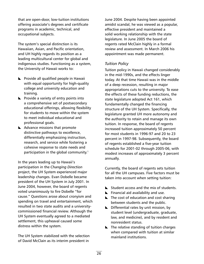that are open-door, low-tuition institutions offering associate's degrees and certificate programs in academic, technical, and occupational subjects.

The system's special distinction is its Hawaiian, Asian, and Pacific orientation, and UH highly regards its position as a leading multicultural center for global and indigenous studies. Functioning as a system, the University of Hawaii works to:

- $\blacktriangleright$  Provide all qualified people in Hawaii with equal opportunity for high-quality college and university education and training.
- $\blacktriangleright$  Provide a variety of entry points into a comprehensive set of postsecondary educational offerings, allowing flexibility for students to move within the system to meet individual educational and professional goals.
- $\blacktriangle$  Advance missions that promote distinctive pathways to excellence, differentially emphasizing instruction, research, and service while fostering a cohesive response to state needs and participation in the global community.<sup>1</sup>

In the years leading up to Hawaii's participation in the *Changing Direction* project, the UH System experienced major leadership changes. Evan Dobelle became president of the UH System in July 2001. In June 2004, however, the board of regents voted unanimously to fire Dobelle "for cause." Questions arose about cronyism and spending on travel and entertainment, which resulted in two state audits and a universitycommissioned financial review. Although the UH System eventually agreed to a mediated settlement, this upheaval caused some distress within the system.

The UH System stabilized with the selection of David McClain as its interim president in

June 2004. Despite having been appointed amidst scandal, he was viewed as a popular, effective president and maintained a solid working relationship with the state legislature. In June 2005 the board of regents rated McClain highly in a formal review and assessment. In March 2006 his appointment was made permanent.

## *Tuition Policy*

Tuition policy in Hawaii changed considerably in the mid-1990s, and the effects linger today. At that time Hawaii was in the middle of a deep recession, resulting in major appropriations cuts to the university. To ease the effects of these funding reductions, the state legislature adopted Act 161, which fundamentally changed the financing structure of the UH System. Specifically, the legislature granted UH more autonomy and the authority to retain and manage its own tuition. In response, the board of regents increased tuition approximately 50 percent for most students in 1996-97 and 20 to 23 percent in 1997-98. Subsequently, the board of regents established a five-year tuition schedule for 2001-02 through 2005-06, with modest increases of approximately 3 percent annually.

Currently, the board of regents sets tuition for all the UH campuses. Five factors must be taken into account when setting tuition:

- $\blacktriangleright$  Student access and the mix of students.
- $\blacktriangleright$  Financial aid availability and use.
- $\blacktriangleright$  The cost of education and cost sharing between students and the public.
- $\blacktriangleright$  Differential rates by unit mission, by student level (undergraduate, graduate, law, and medicine), and by resident and nonresident status.
- $\blacktriangleright$  The relative standing of tuition charges when compared with tuition at similar mainland institutions.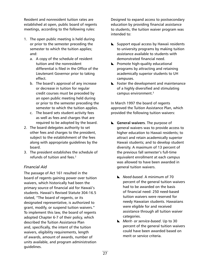Resident and nonresident tuition rates are established at open, public board of regents meetings, according to the following rules:

- 1. The open public meeting is held during or prior to the semester preceding the semester to which the tuition applies; and:
	- a. A copy of the schedule of resident tuition and the nonresident differential is filed in the Office of the Lieutenant Governor prior to taking effect.
	- b. The board's approval of any increase or decrease in tuition for regular credit courses must be preceded by an open public meeting held during or prior to the semester preceding the semester to which the tuition applies.
	- c. The board sets student activity fees as well as fees and charges that are required to be adopted by the board.
- 2. The board delegates authority to set other fees and charges to the president, subject to the establishment of the fees along with appropriate guidelines by the board.
- 3. The president establishes the schedule of refunds of tuition and fees.<sup>2</sup>

# *Financial Aid*

The passage of Act 161 resulted in the board of regents gaining power over tuition waivers, which historically had been the primary source of financial aid for Hawaii's students. Hawaii's Revised Statute 304-16.5 stated, "The board of regents, or its designated representative, is authorized to grant, modify, or suspend tuition waivers." To implement this law, the board of regents adopted Chapter 6-7 of their policy, which described the Tuition Assistance Plan and, specifically, the intent of the tuition waivers, eligibility requirements, length of awards, amount of awards, number of units available, and program administration guidelines.

Designed to expand access to postsecondary education by providing financial assistance to students, the tuition waiver program was intended to:

- $\blacktriangleright$  Support equal access by Hawaii residents to university programs by making tuition assistance available to students with demonstrated financial need.
- $\blacktriangleright$  Promote high-quality educational programs by attracting and retaining academically superior students to UH campuses.
- $\blacktriangleright$  Foster the development and maintenance of a highly diversified and stimulating campus environment.<sup>3</sup>

In March 1997 the board of regents approved the Tuition Assistance Plan, which provided the following tuition waivers:

- **E** General waivers. The purpose of general waivers was to provide access to higher education to Hawaii residents; to attract and retain academically superior Hawaii students; and to develop student diversity. A maximum of 13 percent of the previous fall semester's full-time equivalent enrollment at each campus was allowed to have been awarded in general tuition waivers.
	- [ *Need-based*. A minimum of 70 percent of the general tuition waivers had to be awarded on the basis of financial need: 250 need-based tuition waivers were reserved for needy Hawaiian students. Hawaiians were eligible for and received assistance through all tuition waiver categories.
	- **Merit- or service-based. Up to 30** percent of the general tuition waivers could have been awarded based on merit or service criteria.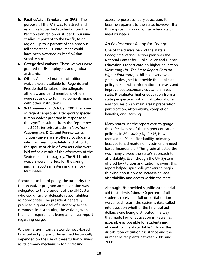- **E** Pacific/Asian Scholarships (PAS). The purpose of the PAS was to attract and retain well-qualified students from the Pacific/Asian region or students pursuing studies important to the Pacific/Asian region. Up to 2 percent of the previous fall semester's FTE enrollment could have been awarded as Pacific/Asian Scholarships.
- **L** Categorical waivers. These waivers were granted to UH employees and graduate assistants.
- **L** Other. A limited number of tuition waivers were available for Regents and Presidential Scholars, intercollegiate athletes, and band members. Others were set aside to fulfill agreements made with other institutions.
- [ **9-11 waivers**. In October 2001 the board of regents approved a temporary special tuition waiver program in response to the layoffs resulting from the September 11, 2001, terrorist attacks in New York, Washington, D.C., and Pennsylvania. Tuition waivers were offered to students who had been completely laid off or to the spouse or child of workers who were laid off as a result of the aftermath of the September 11th tragedy. The 9-11 tuition waivers were in effect for the spring and fall 2003 semesters and are now terminated.

According to board policy, the authority for tuition waiver program administration was delegated to the president of the UH System, who could further delegate responsibilities as appropriate. The president generally provided a great deal of autonomy to the campuses in distributing the waivers, with the main requirement being an annual report regarding usage.

Without a significant statewide need-based financial aid program, Hawaii had historically depended on the use of these tuition waivers as its primary mechanism for increasing

access to postsecondary education. It became apparent to the state, however, that this approach was no longer adequate to meet its needs.

#### *An Environment Ready for Change*

One of the drivers behind the state's *Changing Direction* action plan was the National Center for Public Policy and Higher Education's report card on higher education. *Measuring Up: The State Report Card on Higher Education*, published every two years, is designed to provide the public and policymakers with information to assess and improve postsecondary education in each state. It evaluates higher education from a state perspective, not an institutional one, and focuses on six main areas: preparation, participation, affordability, completion, benefits, and learning.

Many states use the report card to gauge the effectiveness of their higher education policies. In *Measuring Up 2004*, Hawaii received a "D" in affordability, primarily because it had made no investment in needbased financial aid.4 This grade affected the way many viewed the state's approach to affordability. Even though the UH System offered low tuition and tuition waivers, this report helped spur policymakers to begin thinking about how to increase college affordability and access within the state.

Although UH provided significant financial aid to students (about 40 percent of all students received a full or partial tuition waiver each year), the system's data called into question whether the financial aid dollars were being distributed in a way that made higher education in Hawaii as accessible as possible for students and efficient for the state. Table 1 shows the distribution of tuition assistance and the number of recipients between 2001 and 2006.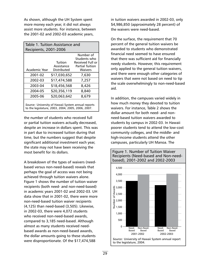As shown, although the UH System spent more money each year, it did not always assist more students. For instance, between the 2001-02 and 2002-03 academic years,

| Table 1. Tuition Assistance and                                                                         |                       |                                                                  |  |  |  |  |
|---------------------------------------------------------------------------------------------------------|-----------------------|------------------------------------------------------------------|--|--|--|--|
| <b>Recipients, 2001-2006</b>                                                                            |                       |                                                                  |  |  |  |  |
|                                                                                                         | Tuition<br>Assistance | Number of<br>Students who<br>Received Full or<br>Partial Tuition |  |  |  |  |
| Academic Year                                                                                           | Distributed           | <b>Waivers</b>                                                   |  |  |  |  |
| 2001-02                                                                                                 | \$17,030,652          | 7,630                                                            |  |  |  |  |
| 2002-03                                                                                                 | \$17,474,588          | 7,257                                                            |  |  |  |  |
| 2003-04                                                                                                 | \$18,456,568          | 8,426                                                            |  |  |  |  |
| 2004-05                                                                                                 | \$20,356,119          | 8,840                                                            |  |  |  |  |
| 2005-06                                                                                                 | \$20,063,642          | 8,679                                                            |  |  |  |  |
| Source: University of Hawaii System annual reports<br>to the legislature, 2003, 2004, 2005, 2006, 2007. |                       |                                                                  |  |  |  |  |

the number of students who received full or partial tuition waivers actually decreased, despite an increase in dollars spent. This was in part due to increased tuition during that time, but the numbers suggest that despite significant additional investment each year, the state may not have been receiving the most benefit for its dollars.

A breakdown of the types of waivers (needbased versus non-need-based) reveals that perhaps the goal of access was not being achieved through tuition waivers alone. Figure 1 shows the number of tuition waiver recipients (both need- and non-need-based) in academic years 2001-02 and 2002-03. UH data show that in 2001-02, there were more non-need-based tuition waiver recipients (4,125) than need-based (3,505). Likewise, in 2002-03, there were 4,072 students who received non-need-based awards, compared to 3,185 need-based. Although almost as many students received needbased awards as non-need-based awards, the dollar amounts going to these students were disproportionate. Of the \$17,474,588

in tuition waivers awarded in 2002-03, only \$4,986,850 (approximately 28 percent) of the waivers were need-based.

On the surface, the requirement that 70 percent of the general tuition waivers be awarded to students who demonstrated financial need seemed to have ensured that there was sufficient aid for financially needy students. However, this requirement only applied to the general tuition waivers, and there were enough other categories of waivers that were not based on need to tip the scale overwhelmingly to non-need-based aid.

In addition, the campuses varied widely in how much money they devoted to tuition waivers. For instance, Table 2 shows the dollar amount for both need- and nonneed-based tuition waivers awarded to students by campus in 2002-03. In Hawaii poorer students tend to attend the low-cost community colleges, and the middle- and high-income students attend the other campuses, particularly UH Manoa. The

Figure 1. Number of Tuition Waiver

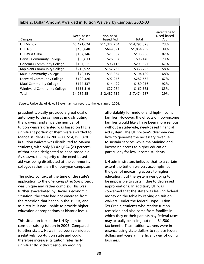| Campus                            | Need-based<br>Aid | Non-need-<br>based Aid | Total        | Percentage to<br>Need-based<br>Aid |
|-----------------------------------|-------------------|------------------------|--------------|------------------------------------|
| <b>UH Manoa</b>                   | \$3,421,624       | \$11,372,254           | \$14,793,878 | 23%                                |
| UH Hilo                           | \$405,848         | \$649,091              | \$1,054,939  | 38%                                |
| UH West Oahu                      | \$107,346         | \$23,562               | \$130,908    | 82%                                |
| Hawaii Community College          | \$69,833          | \$26,307               | \$96,140     | 73%                                |
| Honolulu Community College        | \$197,511         | \$96,116               | \$293,627    | 67%                                |
| Kapiolani Community College       | \$213,972         | \$152,753              | \$366,725    | 58%                                |
| Kauai Community College           | \$70,335          | \$33,854               | \$104,189    | 68%                                |
| <b>Leeward Community College</b>  | \$190,326         | \$92,236               | \$282,562    | 67%                                |
| <b>Maui Community College</b>     | \$174,537         | \$14,499               | \$189,036    | 92%                                |
| <b>Windward Community College</b> | \$135,519         | \$27,064               | \$162,583    | 83%                                |
| Total                             | \$4,986,851       | \$12,487,736           | \$17,474,587 | 29%                                |
|                                   |                   |                        |              |                                    |

#### Table 2. Dollar Amount Awarded in Tuition Waivers by Campus, 2002-03

*Source:* University of Hawaii System annual report to the legislature, 2004.

president typically provided a great deal of autonomy to the campuses in distributing the waivers, and since the number of tuition waivers granted was based on FTE, a significant portion of them were awarded to Manoa students. In 2002-03, \$14,793,878 in tuition waivers was distributed to Manoa students, with only \$3,421,624 (23 percent) of that being designated as need-based aid. As shown, the majority of the need-based aid was being distributed at the community colleges rather than the four-year campuses.

The policy context at the time of the state's application to the *Changing Direction* project was unique and rather complex. This was further exacerbated by Hawaii's economic situation: the state had not emerged from the recession that began in the 1990s, and as a result, it was unable to provide higher education appropriations at historic levels.

This situation forced the UH System to consider raising tuition in 2005. Compared to other states, Hawaii had been considered a relatively low-tuition state and could therefore increase its tuition rates fairly significantly without seriously eroding

affordability for middle- and high-income families. However, the effects on low-income families would likely have been more serious without a statewide, need-based financial aid system. The UH System's dilemma was how to generate the necessary revenue to sustain services while maintaining and increasing access to higher education, particularly for low-income students.

UH administrators believed that to a certain extent the tuition waivers accomplished the goal of increasing access to higher education, but the system was going to be impossible to sustain due to decreased appropriations. In addition, UH was concerned that the state was leaving federal money on the table by relying on tuition waivers. Under the federal Hope Tuition Tax Credit, students who receive tuition remission and also come from families in which they or their parents pay federal taxes may actually be losing out on a \$1,500 tax benefit. Thus, tuition waivers were in essence using state dollars to replace federal dollars and were an inefficient way of doing business.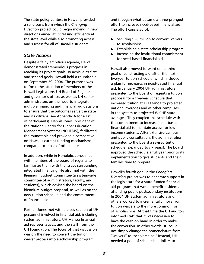The state policy context in Hawaii provided a solid basis from which the *Changing Direction* project could begin moving in new directions aimed at increasing efficiency at the state level while also promoting access and success for all of Hawaii's students.

### *State Actions*

Despite a fairly ambitious agenda, Hawaii demonstrated tremendous progress in reaching its project goals. To achieve its first and second goals, Hawaii held a roundtable on September 29, 2004. The purpose was to focus the attention of members of the Hawaii Legislature, UH Board of Regents, and governor's office, as well as UH senior administrators on the need to integrate multiple financing and financial aid decisions to ensure that the outcomes serve the state and its citizens (see Appendix A for a list of participants). Dennis Jones, president of the National Center for Higher Education Management Systems (NCHEMS), facilitated the roundtable and provided a perspective on Hawaii's current funding mechanisms, compared to those of other states.

In addition, while in Honolulu, Jones met with members of the board of regents to familiarize them with the issues surrounding integrated financing. He also met with the Biennium Budget Committee (a systemwide committee of administrators, faculty, and students), which advised the board on the biennium budget proposal, as well as on the new tuition schedule and the commitment of financial aid.

Further, Jones met with a cross-section of UH personnel involved in financial aid, including system administrators, UH Manoa financial aid representatives, and the staff from the UH Foundation. The focus of that discussion was on the need to convert the tuition waiver process into a scholarship program,

and it began what became a three-pronged effort to increase need-based financial aid. The effort consisted of:

- $\blacktriangleright$  Securing \$20 million to convert waivers to scholarships.
- $\blacktriangleright$  Establishing a state scholarship program.
- $\blacktriangleright$  Increasing the institutional commitment for need-based financial aid.

Hawaii also moved forward on its third goal of constructing a draft of the next five-year tuition schedule, which included a plan for increases in need-based financial aid. In January 2004 UH administrators presented to the board of regents a tuition proposal for a five-year schedule that increased tuition at UH Manoa to projected national averages and at other campuses in the system to projected WICHE state averages. They coupled this schedule with the commitment to increase need-based financial aid to maintain access for lowincome students. After extensive campus and public consultation, the administration presented to the board a revised tuition schedule (expanded to six years). The board approved the schedule a full year prior to its implementation to give students and their families time to prepare.

Hawaii's fourth goal in the *Changing Direction* project was to generate support in the legislature for a state-funded financial aid program that would benefit residents attending public postsecondary institutions. In 2004 UH System administrators and others worked to incrementally move from tuition waivers to the more common form of scholarships. At that time the UH auditors informed staff that it was necessary to have the cash on hand in order to make the conversion. In other words UH could not simply change the nomenclature from "waivers" to "scholarships." Instead, UH needed a pool of scholarship dollars to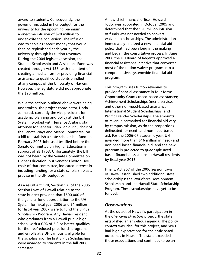award to students. Consequently, the governor included in her budget for the university for the upcoming biennium a one-time infusion of \$20 million to underwrite the conversion. The infusion was to serve as "seed" money that would then be replenished each year by the university through its tuition revenues. During the 2004 legislative session, the Student Scholarship and Assistance Fund was created through Act 138, with the intent of creating a mechanism for providing financial assistance to qualified students enrolled at any campus of the University of Hawaii. However, the legislature did not appropriate the \$20 million.

While the actions outlined above were being undertaken, the project coordinator, Linda Johnsrud, currently the vice president for academic planning and policy at the UH System, worked with Terrence Aratani, staff attorney for Senator Brian Taniguchi, chair of the Senate Ways and Means Committee, on a bill to establish a state scholarship fund. In February 2005 Johnsrud testified before the Senate Committee on Higher Education in support of SB 1753. Unfortunately, the bill was not heard by the Senate Committee on Higher Education, but Senator Clayton Hee, chair of that committee, indicated interest in including funding for a state scholarship as a proviso in the UH budget bill.

As a result Act 178, Section 57, of the 2005 Session Laws of Hawaii relating to the state budget provided that \$500,000 of the general fund appropriation to the UH System for fiscal year 2006 and \$1 million for fiscal year 2007 were to fund the B Plus Scholarship Program. Any Hawaii resident who graduates from a Hawaii public high school with a GPA of 3.0 or better, qualifies for the free/reduced-price lunch program, and enrolls at a UH campus is eligible for the scholarship. The first B Plus Scholarships were awarded to students in the fall 2006 semester.

A new chief financial officer, Howard Todo, was appointed in October 2005 and determined that the \$20 million infusion of funds was not needed to convert waivers to scholarships. The administration immediately finalized a new financial aid policy that had been long in the making and began the consultative process. In June 2006 the UH Board of Regents approved a financial assistance initiative that converted most of the tuition waiver program into a comprehensive, systemwide financial aid program.

This program uses tuition revenues to provide financial assistance in four forms: Opportunity Grants (need-based assistance); Achievement Scholarships (merit, service, and other non-need-based assistance); International Student Scholarships; and Pacific Islander Scholarships. The amounts of revenue earmarked for financial aid vary by campus mission, as do the proportions delineated for need- and non-need-based aid. For the 2006-07 academic year, UH awarded more than \$16 million in need- and non-need-based financial aid, and the new program is projected to quadruple needbased financial assistance to Hawaii residents by fiscal year 2013.

Finally, Act 257 of the 2006 Session Laws of Hawaii established two additional state scholarships: the Workforce Development Scholarship and the Hawaii State Scholarship Program. These scholarships have yet to be funded.

#### *Observations*

At the outset of Hawaii's participation in the *Changing Direction* project, the state established an ambitious agenda. The policy context was ideal for this project, and WICHE had high expectations for the anticipated outcomes in Hawaii. The state exceeded those expectations and continues to be an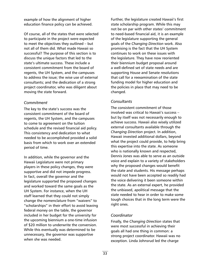example of how the alignment of higher education finance policy can be achieved.

Of course, all of the states that were selected to participate in the project were expected to meet the objectives they outlined – but not all of them did. What made Hawaii so successful? The purpose of this section is to discuss the unique factors that led to the state's ultimate success. These include a consistent commitment from the board of regents, the UH System, and the campuses to address the issue; the wise use of external consultants; and the dedication of a strong project coordinator, who was diligent about moving the state forward.

#### *Commitment*

The key to the state's success was the consistent commitment of the board of regents, the UH System, and the campuses to come to agreement on the tuition schedule and the revised financial aid policy. This consistency and dedication to what needed to be accomplished provided a solid basis from which to work over an extended period of time.

In addition, while the governor and the Hawaii Legislature were not primary players in these policy changes, they were supportive and did not impede progress. In fact, overall the governor and the legislature supported the proposed changes and worked toward the same goals as the UH System. For instance, when the UH staff learned that they could not simply change the nomenclature from "waivers" to "scholarships" in their effort to avoid leaving federal money on the table, the governor included in her budget for the university for the upcoming biennium a one-time infusion of \$20 million to underwrite the conversion. While this eventually was determined to be unnecessary, the governor was supportive when she was needed.

Further, the legislature created Hawaii's first state scholarship program. While this may not be on par with other states' commitment to need-based financial aid, it is an example of the legislature supporting the general goals of the *Changing Direction* work. Also promising is the fact that the UH System continues to work on these issues with the legislature. They have now reoriented their biennium budget proposal around a well-defined set of state needs and are supporting House and Senate resolutions that call for a reexamination of the state funding model for higher education and the policies in place that may need to be changed.

### *Consultants*

The consistent commitment of those involved was critical to Hawaii's success – but by itself was not necessarily enough to achieve success. Hawaii also wisely utilized external consultants available through the *Changing Direction* project. In addition, Hawaii invested additional dollars, beyond what the project could provide, to help bring this expertise into the state. As someone who is nationally known and respected, Dennis Jones was able to serve as an outside voice and explain to a variety of stakeholders why the proposed changes would benefit the state and students. His message perhaps would not have been accepted so readily had the voice delivering it been someone within the state. As an external expert, he provided the unbiased, apolitical message that the state needed to hear in order to make some tough choices that in the long term were the right ones.

### *Coordinator*

Finally, the *Changing Direction* states that were most successful in achieving their goals all had one thing in common: a strong project coordinator. Hawaii was no exception. Linda Johnsrud led the charge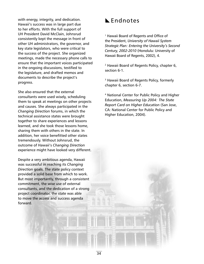with energy, integrity, and dedication. Hawaii's success was in large part due to her efforts. With the full support of UH President David McClain, Johnsrud consistently kept the message in front of other UH administrators, the governor, and key state legislators, who were critical to the success of the project. She organized meetings, made the necessary phone calls to ensure that the important voices participated in the ongoing discussions, testified to the legislature, and drafted memos and documents to describe the project's progress.

She also ensured that the external consultants were used wisely, scheduling them to speak at meetings on other projects and causes. She always participated in the *Changing Direction* forums, in which the technical assistance states were brought together to share experiences and lessons learned, and she took those lessons home, sharing them with others in the state. In addition, her voice benefitted other states tremendously. Without Johnsrud, the outcome of Hawaii's *Changing Direction* experience might have looked very different.

Despite a very ambitious agenda, Hawaii was successful in reaching its *Changing Direction* goals. The state policy context provided a solid base from which to work. But most importantly, through a consistent commitment, the wise use of external consultants, and the dedication of a strong project coordinator, the state was able to move the access and success agenda forward.

# **L** Endnotes

1 Hawaii Board of Regents and Office of the President, *University of Hawaii System Strategic Plan: Entering the University's Second Century, 2002-2010* (Honolulu: University of Hawaii Board of Regents, 2002), 4.

<sup>2</sup> Hawaii Board of Regents Policy, chapter 6, section 6-1.

<sup>3</sup> Hawaii Board of Regents Policy, formerly chapter 6, section 6-7.

<sup>4</sup> National Center for Public Policy and Higher Education, *Measuring Up 2004: The State Report Card on Higher Education* (San Jose, CA: National Center for Public Policy and Higher Education, 2004).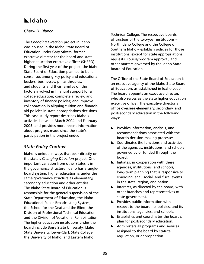# $\blacksquare$ Idaho

### *Cheryl D. Blanco*

The *Changing Direction* project in Idaho was housed in the Idaho State Board of Education under Gary Stivers, former executive director for the board and state higher education executive officer (SHEEO). During the first year of the project, the Idaho State Board of Education planned to build consensus among key policy and educational leaders, businesses, philanthropies, and students and their families on the factors involved in financial support for a college education; complete a review and inventory of finance policies; and improve collaboration in aligning tuition and financial aid policies in state appropriations decisions. This case study report describes Idaho's activities between March 2004 and February 2005, and provides more recent information about progress made since the state's participation in the project ended.

## *State Policy Context*

Idaho is unique in ways that bear directly on the state's *Changing Direction* project. One important variation from other states is in the governance structure. Idaho has a singleboard system: higher education is under the same governance structure as elementary/ secondary education and other entities. The Idaho State Board of Education is responsible for the general supervision of the State Department of Education, the Idaho Educational Public Broadcasting System, the School for the Deaf and the Blind, the Division of Professional-Technical Education, and the Division of Vocational Rehabilitation. The higher education institutions under the board include Boise State University, Idaho State University, Lewis-Clark State College, the University of Idaho, and Eastern Idaho

Technical College. The respective boards of trustees of the two-year institutions – North Idaho College and the College of Southern Idaho – establish policies for those institutions, except for state appropriations requests, course/program approval, and other matters governed by the Idaho State Board of Education.

The Office of the State Board of Education is an executive agency of the Idaho State Board of Education, as established in Idaho code. The board appoints an executive director, who also serves as the state higher education executive officer. The executive director's office oversees elementary, secondary, and postsecondary education in the following ways:

- $\blacktriangleright$  Provides information, analysis, and recommendations associated with the board's decision-making processes.
- $\blacktriangle$  Coordinates the functions and activities of the agencies, institutions, and schools governed by or funded through the board.
- $\blacktriangleright$  Initiates, in cooperation with these agencies, institutions, and schools, long-term planning that is responsive to emerging legal, social, and fiscal events in the state, region, and nation.
- $\blacktriangleright$  Interacts, as directed by the board, with other branches and representatives of state government.
- $\blacktriangleright$  Provides public information with respect to the board, its policies, and its institutions, agencies, and schools.
- $\blacktriangleright$  Establishes and coordinates the board's plan for postsecondary education.
- $\blacktriangle$  Administers all programs and services assigned to the board by statute, regulation, or appropriation.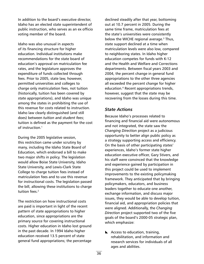In addition to the board's executive director, Idaho has an elected state superintendent of public instruction, who serves as an ex officio voting member of the board.

Idaho was also unusual in aspects of its financing structure for higher education. Individual institutions make recommendations for the state board of education's approval on matriculation fee rates, and the legislature approves the expenditure of funds collected through fees. Prior to 2005, state law, however, permitted universities and colleges to charge only matriculation fees, not tuition (historically, tuition has been covered by state appropriations), and Idaho was unique among the states in prohibiting the use of this revenue for costs related to instruction. Idaho law clearly distinguished (and still does) between *tuition* and *student fees*; tuition is defined as the payment for the cost of instruction.<sup>1</sup>

During the 2005 legislative session, this restriction came under scrutiny by many, including the Idaho State Board of Education, which endorsed a bill to make two major shifts in policy. The legislation would allow Boise State University, Idaho State University, and Lewis-Clark State College to charge tuition fees instead of matriculation fees and to use this revenue for instructional costs. The legislation passed the bill, allowing these institutions to charge tuition fees.<sup>2</sup>

The restriction on how instructional costs are paid is important in light of the recent pattern of state appropriations to higher education, since appropriations are the primary source for covering instructional costs. Higher education in Idaho lost ground in the past decade. In 1994 Idaho higher education received 13.5 percent of state general fund appropriations; the percentage declined steadily after that year, bottoming out at 10.7 percent in 2005. During the same time frame, matriculation fees at the state's universities were consistently below the WICHE regional average.<sup>3</sup> Thus, state support declined at a time when matriculation levels were also low, compared to neighboring states. In Idaho higher education competes for funds with K-12 and the Health and Welfare and Corrections departments. Between fiscal years 2003 and 2004, the percent change in general fund appropriations to the other three agencies all exceeded the percent change for higher education.<sup>4</sup> Recent appropriations trends, however, suggest that the state may be recovering from the losses during this time.

### *State Actions*

Because Idaho's processes related to financing and financial aid were autonomous and not integrated, the state saw the *Changing Direction* project as a judicious opportunity to better align public policy as a strategy supporting access and efficiency. On the basis of other participating states' experiences, Idaho's former state higher education executive officer, Gary Stivers, and his staff were convinced that the knowledge and experience gained by participation in this project could be used to implement improvements to the existing policymaking framework. They anticipated that by bringing policymakers, educators, and business leaders together to educate one another, exchange information, and discuss major issues, they would be able to develop tuition, financial aid, and appropriation policies that were aligned. Additionally, the *Changing Direction* project supported two of the five goals of the board's 2000-05 strategic plan, which emphasize:

 $\blacktriangle$  Access to education, training, rehabilitation, and information and research services for individuals of all ages and abilities.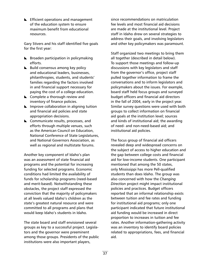$\blacktriangleright$  Efficient operations and management of the education system to ensure maximum benefit from educational resources.

Gary Stivers and his staff identified five goals for the first year:

- $\blacktriangleright$  Broaden participation in policymaking efforts.
- $\blacktriangleright$  Build consensus among key policy and educational leaders, businesses, philanthropies, students, and students' families regarding the factors involved in and financial support necessary for paying the cost of a college education.
- $\blacktriangle$  Complete a thorough review and inventory of finance policies.
- $\blacktriangleright$  Improve collaboration in aligning tuition and financial aid policies and state appropriation decisions.
- $\blacktriangle$  Communicate results, processes, and efforts through multiple venues, such as the American Council on Education, National Conference of State Legislatures, and National Governors Association, as well as regional and multistate forums.

Another key component of Idaho's plan was an assessment of state financial aid programs and the potential for increasing funding for selected programs. Economic conditions had limited the availability of funds for scholarship programs (need-based and merit-based). Notwithstanding these obstacles, the project staff expressed the conviction that the majority of policymakers at all levels valued Idaho's children as the state's greatest natural resource and were committed to all programs and plans that would keep Idaho's students in Idaho.

The state board and staff envisioned several groups as key to a successful project. Legislators and the governor were preeminent among those groups. Presidents of the public institutions were also important players,

since recommendations on matriculation fee levels and most financial aid decisions are made at the institutional level. Project staff in Idaho drew on several strategies to address their goals, and involving legislators and other key policymakers was paramount.

Staff organized two meetings to bring them all together (described in detail below). To support those meetings and follow-up discussions with key legislators and staff from the governor's office, project staff pulled together information to frame the conversations and to inform legislators and policymakers about the issues. For example, board staff held focus groups and surveyed budget officers and financial aid directors in the fall of 2004, early in the project year. Similar survey questions were used with both groups to collect information on financial aid goals at the institution level; sources and kinds of institutional aid; the awarding of need- and non-need-based aid; and institutional aid policies.

The focus group of financial aid officers revealed deep and widespread concerns on the subject of access to higher education and the gap between college costs and financial aid for low-income students. One participant mentioned that among the 50 states, only Mississippi has more Pell-qualified students than does Idaho. The group was also concerned with how the *Changing Direction* project might impact institutional policies and practices. Budget officers reported that an informal relationship exists between tuition and fee rates and funding for institutional aid programs; only one participant indicated that future institutional aid funding would be increased in direct proportion to increases in tuition and fee rates. Another information-gathering activity was an inventory to identify board policies related to appropriations, fees, and financial aid.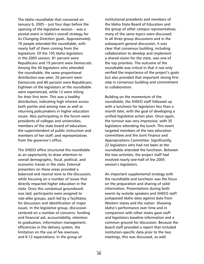The Idaho roundtable that convened on January 6, 2005 – just four days before the opening of the legislative session – was a pivotal event in Idaho's overall strategy for its *Changing Direction* goals. Approximately 70 people attended the roundtable, with nearly half of them coming from the legislature. Of the 105 Idaho legislators in the 2005 session, 81 percent were Republicans and 19 percent were Democrats. Among the 30 legislators who attended the roundtable, the same proportional distribution was seen: 20 percent were Democrats and 80 percent were Republicans. Eighteen of the legislators at the roundtable were experienced, while 12 were sitting for their first term. This was a healthy distribution, indicating high interest across both parties and among new as well as returning policymakers in higher education issues. Also participating in the forum were presidents of colleges and universities; members of the state board of education; the superintendent of public instruction and members of her staff; and representatives from the governor's office.

The SHEEO office structured the roundtable as an opportunity to draw attention to overall demographic, fiscal, political, and economic trends in the state. External presenters on these areas provided a balanced and neutral tone to the discussion, while focusing on a number of issues that directly impacted higher education in the state. Once this contextual groundwork was laid, participants were assigned to role-alike groups, each led by a facilitator, for discussion and identification of major issues. In the legislative group, discussion centered on a number of concerns: funding and financial aid, accountability, retention to graduation, information management, efficiencies in the delivery system, the limitation on the use of fee revenues, and K-12 expectations. In the group of

institutional presidents and members of the Idaho State Board of Education and the group of other campus representatives, many of the same topics were discussed. In all three group discussions and in the subsequent general discussion, it was clear that consensus building, including collaboration to develop and implement a shared vision for the state, was one of the top priorities. The outcome of the roundtable was critical in that it not only verified the importance of the project's goals but also provided that important strong first step in consensus building and commitment to collaboration.

Building on the momentum of the roundtable, the SHEEO staff followed up with a luncheon for legislators less than a month later, with the goal of developing a unified legislative action plan. Once again, the turnout was very impressive, with 35 legislators attending the lunch. This event targeted members of the two education committees and the Joint Finance and Appropriations Committee. Significantly, 22 legislators who had not been at the roundtable attended the luncheon. Between the two activities, the project staff had involved nearly one-half of the 2005 session's legislators.

An important supplemental strategy with the roundtable and luncheon was the focus on the preparation and sharing of solid information. Presentations during both events by outside speakers and SHEEO staff juxtaposed Idaho data against data from Western states and the nation. Showing Idaho's performance over time and in comparison with other states gave staff and legislators baseline information and a common ground for discussion. Because the board staff provided a report that included institution-specific data prior to the two meetings, this was discussed, as well.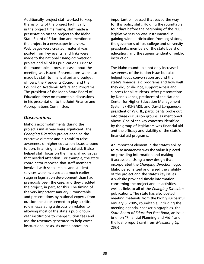Additionally, project staff worked to keep the visibility of the project high. Early in the project time frame, staff made a presentation on the project to the Idaho State Board of Education and mentioned the project in a newspaper interview. Web pages were created, material was posted from key events, and links were made to the national *Changing Direction* project and all of its publications. Prior to the roundtable, a press release about the meeting was issued. Presentations were also made by staff to financial aid and budget officers; the Presidents Council; and the Council on Academic Affairs and Programs. The president of the Idaho State Board of Education drew on roundtable discussions in his presentation to the Joint Finance and Appropriations Committee.

### *Observations*

Idaho's accomplishments during the project's initial year were significant. The *Changing Direction* project enabled the executive director and his staff to raise awareness of higher education issues around tuition, financing, and financial aid. It also helped staff focus on the financial aid issues that needed attention. For example, the state coordinator reported that staff members involved with scholarships and student services were involved at a much earlier stage in legislation development than had previously been the case, and they credited the project, in part, for this. The timing of the very important January 6 roundtable and presentations by national experts from outside the state seemed to play a critical role in escalating a discussion related to allowing most of the state's public fouryear institutions to charge tuition fees and use the revenues generated to help cover instructional costs. As noted above, an

important bill passed that paved the way for this policy shift. Holding the roundtable four days before the beginning of the 2005 legislative session was instrumental in gaining wide participation from legislators, the governor's office, college and university presidents, members of the state board of education, and the superintendent of public instruction.

The Idaho roundtable not only increased awareness of the tuition issue but also helped focus conversation around the state's financial aid programs and how well they did, or did not, support access and success for all students. After presentations by Dennis Jones, president of the National Center for Higher Education Management Systems (NCHEMS), and David Longanecker, president of WICHE, participants broke out into three discussion groups, as mentioned above. One of the key concerns identified by the group of legislators was financial aid and the efficacy and viability of the state's financial aid programs.

An important element in the state's ability to raise awareness was the value it placed on providing information and making it accessible. Using a new design that incorporated the *Changing Direction* logo, Idaho personalized and raised the visibility of the project and the state's key issues. A website provided timely information concerning the project and its activities, as well as links to all of the *Changing Direction*  publications. The state has also posted meeting materials from the highly successful January 6, 2005, roundtable, including the meeting agenda, speaker biographies, the *State Board of Education Fact Book*, an issue brief on "Financial Planning and Aid," and the Idaho report card from *Measuring Up 2004*.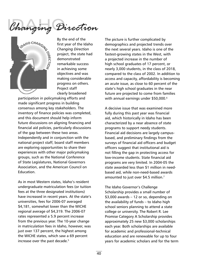Changing Direction



By the end of the first year of the Idaho *Changing Direction*  project, the state had demonstrated remarkable success in achieving some objectives and was making considerable progress on others. Project staff clearly broadened

participation in policymaking efforts and made significant progress in building consensus among key stakeholders. The inventory of finance policies was completed, and this document should help inform future discussions on aligning financing and financial aid policies, particularly discussions of the gap between these two areas. Independently and in conjunction with the national project staff, board staff members are exploring opportunities to share their experiences with other major policymaking groups, such as the National Conference of State Legislatures, National Governors Association, and the American Council on Education.

As in most Western states, Idaho's resident undergraduate matriculation fees (or tuition fees at the three designated institutions) have increased in recent years. At the state's universities, fees for 2006-07 averaged \$4,181, somewhat lower than the WICHE regional average of \$4,319. The 2006-07 rates represented a 5.9 percent increase from the previous year. The 10-year change in matriculation fees in Idaho, however, was just over 137 percent, the highest among the WICHE states, which saw a 69 percent increase over the past decade.<sup>5</sup>

The picture is further complicated by demographics and projected trends over the next several years. Idaho is one of the fastest-growing states in the West, with a projected increase in the number of high school graduates of 17 percent, or nearly 3,000 students, in the class of 2018, compared to the class of 2002. In addition to access and capacity, affordability is becoming an acute issue, as close to 60 percent of the state's high school graduates in the near future are projected to come from families with annual earnings under \$50,000.<sup>6</sup>

A decisive issue that was examined more fully during this past year was financial aid, which historically in Idaho has been characterized by a near absence of state programs to support needy students. Financial aid decisions are largely campusbased, and preliminary findings from the surveys of financial aid officers and budget officers suggest that institutional aid is not filling the gap in protecting access for low-income students. State financial aid programs are very limited. In 2004-05 the state awarded less than \$1 million in needbased aid, while non-need-based awards amounted to just over \$4.5 million.7

The Idaho Governor's Challenge Scholarship provides a small number of \$3,000 awards – 12 or so, depending on the availability of funds – to Idaho high school seniors planning to attend a state college or university. The Robert R. Lee Promise Category A Scholarship provides approximately 25 new \$3,000 scholarships each year. Both scholarships are available for academic and professional-technical education and are renewable for up to four years for academic scholars and for the term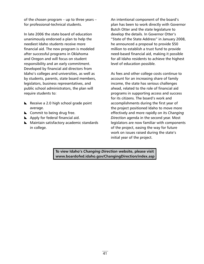of the chosen program – up to three years – for professional-technical students.

In late 2006 the state board of education unanimously endorsed a plan to help the neediest Idaho students receive more financial aid. The new program is modeled after successful programs in Oklahoma and Oregon and will focus on student responsibility and an early commitment. Developed by financial aid directors from Idaho's colleges and universities, as well as by students, parents, state board members, legislators, business representatives, and public school administrators, the plan will require students to:

- $\blacktriangleright$  Receive a 2.0 high school grade point average.
- $\blacktriangle$  Commit to being drug free.
- $\blacktriangle$  Apply for federal financial aid.
- $\blacktriangleright$  Maintain satisfactory academic standards in college.

An intentional component of the board's plan has been to work directly with Governor Butch Otter and the state legislature to develop the details. In Governor Otter's "State of the State Address" in January 2008, he announced a proposal to provide \$50 million to establish a trust fund to provide need-based financial aid, making it possible for all Idaho residents to achieve the highest level of education possible.

As fees and other college costs continue to account for an increasing share of family income, the state has serious challenges ahead, related to the role of financial aid programs in supporting access and success for its citizens. The board's work and accomplishments during the first year of the project positioned Idaho to move more effectively and more rapidly on its *Changing Direction* agenda in the second year. Most legislators are now familiar with components of the project, easing the way for future work on issues raised during the state's initial year of the project.

**To view Idaho's** *Changing Direction* **website, please visit www.boardofed.idaho.gov/ChangingDirection/index.asp**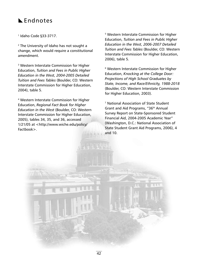# **L** Endnotes

<sup>1</sup> Idaho Code §33-3717.

<sup>2</sup> The University of Idaho has not sought a change, which would require a constitutional amendment.

<sup>3</sup> Western Interstate Commission for Higher Education, *Tuition and Fees in Public Higher Education in the West, 2004-2005 Detailed Tuition and Fees Tables* (Boulder, CO: Western Interstate Commission for Higher Education, 2004), table 5.

<sup>4</sup> Western Interstate Commission for Higher Education, *Regional Fact Book for Higher Education in the West* (Boulder, CO: Western Interstate Commission for Higher Education, 2005), tables 34, 35, and 36, accessed 1/21/05 at <http://www.wiche.edu/policy/ Factbook>.

<sup>5</sup> Western Interstate Commission for Higher Education, *Tuition and Fees in Public Higher Education in the West, 2006-2007 Detailed Tuition and Fees Tables* (Boulder, CO: Western Interstate Commission for Higher Education, 2006), table 5.

<sup>6</sup> Western Interstate Commission for Higher Education, *Knocking at the College Door: Projections of High School Graduates by State, Income, and Race/Ethnicity, 1988-2018* (Boulder, CO: Western Interstate Commission for Higher Education, 2003).

<sup>7</sup> National Association of State Student Grant and Aid Programs, "36<sup>th</sup> Annual Survey Report on State-Sponsored Student Financial Aid, 2004-2005 Academic Year" (Washington, D.C.: National Association of State Student Grant Aid Programs, 2006), 4 and 10.

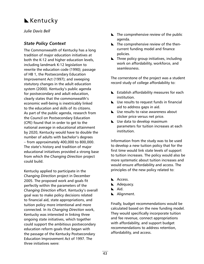# $\blacktriangleright$  Kentucky

*Julie Davis Bell*

## *State Policy Context*

The Commonwealth of Kentucky has a long tradition of major education initiatives at both the K-12 and higher education levels, including landmark K-12 legislation to rewrite the education code (1990); passage of HB 1, the Postsecondary Education Improvement Act (1997); and sweeping statutory changes in the adult education system (2000). Kentucky's public agenda for postsecondary and adult education, clearly states that the commonwealth's economic well-being is inextricably linked to the education and skills of its citizens. As part of the public agenda, research from the Council on Postsecondary Education (CPE) found that in order to get to the national average in educational attainment by 2020, Kentucky would have to double the number of adults with bachelor's degrees – from approximately 400,000 to 800,000. The state's history and tradition of major educational initiatives provided a strong base from which the *Changing Direction* project could build.

Kentucky applied to participate in the *Changing Direction* project in December 2005. The proposed work and goals fit perfectly within the parameters of the *Changing Direction* effort. Kentucky's overall goal was to make policy decisions related to financial aid, state appropriations, and tuition policy more intentional and more connected. In its *Changing Direction* work, Kentucky was interested in linking three ongoing state initiatives, which together could support the ambitious postsecondary education reform goals that began with the passage of the Kentucky Postsecondary Education Improvement Act of 1997. The three initiatives were:

- $\blacktriangleright$  The comprehensive review of the public agenda.
- $\blacktriangleright$  The comprehensive review of the thencurrent funding model and finance policies.
- $\blacktriangleright$  Three policy group initiatives, including work on affordability, workforce, and seamlessness.

The cornerstone of the project was a student record study of college affordability to:

- $\blacktriangleright$  Establish affordability measures for each institution.
- $\blacktriangleright$  Use results to request funds in financial aid to address gaps in aid.
- $\blacktriangleright$  Use results to raise awareness about sticker price versus net price.
- $\blacktriangleright$  Use data to develop maximum parameters for tuition increases at each institution.

Information from the study was to be used to develop a new tuition policy that for the first time would link state levels of support to tuition increases. The policy would also be more systematic about tuition increases and would ensure affordability and access. The principles of the new policy related to:

- Access.
- Adequacy.
- $\blacktriangle$  Aid.
- $\blacktriangle$  Alignment.

Finally, budget recommendations would be calculated based on the new funding model. They would specifically incorporate tuition and fee revenue, connect appropriations with affordability, and support budget recommendations to address retention, affordability, and access.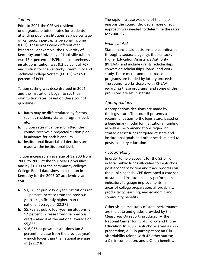### *Tuition*

Prior to 2001 the CPE set resident undergraduate tuition rates for students attending public institutions as a percentage of Kentucky's per-capita personal income (PCPI). These rates were differentiated by sector. For example, the University of Kentucky and University of Louisville tuition was 13.4 percent of PCPI; the comprehensive institutions' tuition was 9.2 percent of PCPI; and tuition for the Kentucky Community and Technical College System (KCTCS) was 5.0 percent of PCPI.

Tuition setting was decentralized in 2001, and the institutions began to set their own tuition rates, based on these council guidelines:

- $\blacktriangleright$  Rates may be differentiated by factors such as residency status, program level, etc.
- $\blacktriangleright$  Tuition rates must be submitted; the council receives a projected tuition plan in advance for each biennium.
- $\blacktriangleright$  Institutional financial aid decisions are made at the institutional level.

Tuition increased an average of \$2,200 from 2000 to 2005 at the four-year universities and by \$1,100 at the community colleges. College Board data show that tuition in Kentucky for the 2006-07 academic year was:

- $\blacktriangleright$  \$3,270 at public two-year institutions (an 11 percent increase from the previous year) – significantly higher than the national average of \$2,272.
- $\blacktriangleright$  \$5,758 at public four-year institutions (a 12 percent increase from the previous year) – almost at the national average of \$5,836.
- $\blacktriangleright$  \$16,966 at private institutions (an 8 percent increase from the previous year) – much lower than the national average of \$22,218.1

The rapid increase was one of the major reasons the council decided a more direct approach was needed to determine the rates for 2006-07.

### *Financial Aid*

State financial aid decisions are coordinated through a separate agency, the Kentucky Higher Education Assistance Authority (KHEAA), and include grants, scholarships, conversion scholarships, loans, and work study. These merit- and need-based programs are funded by lottery proceeds. The council works closely with KHEAA regarding these programs, and some of the provisions are set in statute.

### *Appropriations*

Appropriations decisions are made by the legislature. The council presents a recommendation to the legislature, based on a benchmark model for institutional funding as well as recommendations regarding strategic trust funds targeted at state and institutional goals and other needs related to postsecondary education.

#### *Accountability*

In order to help account for the \$2 billion in total public funds allocated to Kentucky's postsecondary system and track progress on the public agenda, CPE developed a core set of state and institutional key performance indicators to gauge improvements in areas of college preparation, affordability, productivity, learning, and economic and community benefits.

Other visible measures of state performance are the data and grades provided by the *Measuring Up* reports produced by the National Center for Public Policy and Higher Education. In 2006 Kentucky received a C- in preparation; a B- in participation; an F in affordability (along with 42 other states);  $a C+ in completion; and a C+ in benefits.$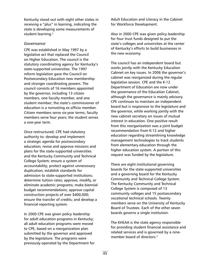Kentucky stood out with eight other states in receiving a "plus" in learning, indicating the state is developing some measurements of student learning.<sup>2</sup>

#### *Governance*

CPE was established in May 1997 by a legislative act that replaced the Council on Higher Education. The council is the statutory coordinating agency for Kentucky's state-supported universities. The 1997 reform legislation gave the Council on Postsecondary Education new membership and stronger coordinating powers. The council consists of 16 members appointed by the governor, including 13 citizen members, one faculty member, and one student member; the state's commissioner of education is a nonvoting ex officio member. Citizen members serve six-year terms; faculty members serve four years; the student serves a one-year term.

Once restructured, CPE had statutory authority to: develop and implement a strategic agenda for postsecondary education; revise and approve missions and plans for the state-supported universities and the Kentucky Community and Technical College System; ensure a system of accountability; protect against unnecessary duplication; establish standards for admission to state-supported institutions; determine tuition rates; approve, modify, or eliminate academic programs; make biennial budget recommendations; approve capital construction projects of over \$400,000; ensure the transfer of credits; and develop a financial-reporting system.

In 2000 CPE was given policy leadership for adult education programs in Kentucky; all adult education programs were moved to CPE, based on a reorganization plan submitted by the governor and approved by the legislature. The programs were previously operated by the Department for Adult Education and Literacy in the Cabinet for Workforce Development.

Also in 2000 CPE was given policy leadership for four trust funds designed to put the state's colleges and universities at the center of Kentucky's efforts to build businesses in the new economy.

The council has an independent board but works jointly with the Kentucky Education Cabinet on key issues. In 2006 the governor's cabinet was reorganized during the regular legislative session. CPE and the K-12 Department of Education are now under the governance of the Education Cabinet, although the governance is mainly advisory. CPE continues to maintain an independent board but is responsive to the legislature and the governor, while working jointly with the new cabinet secretary on issues of mutual interest in education. One positive result from this reorganization was a joint budget recommendation from K-12 and higher education regarding streamlining knowledge management technologies to track students from elementary education through the higher education system. A portion of this request was funded by the legislature.

There are eight institutional governing boards for the state-supported universities and a governing board for the Kentucky Community and Technical College System. The Kentucky Community and Technical College System is composed of 13 community colleges and 15 postsecondary vocational technical schools. Twenty members serve on the University of Kentucky Board of Trustees. Each of the other seven boards governs a single institution.

The KHEAA is the state agency responsible for providing student financial assistance and related services and is governed by a ninemember board of directors.<sup>3</sup>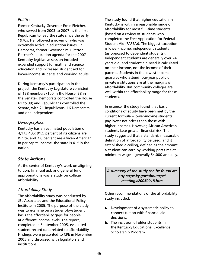### *Politics*

Former Kentucky Governor Ernie Fletcher, who served from 2003 to 2007, is the first Republican to lead the state since the early 1970s. He followed a governor who was extremely active in education issues – a Democrat, former Governor Paul Patton. Fletcher's education agenda for the 2007 Kentucky legislative session included expanded support for math and science education and increased student aid for lower-income students and working adults.

During Kentucky's participation in the project, the Kentucky Legislature consisted of 138 members (100 in the House, 38 in the Senate). Democrats controlled the House 61 to 39; and Republicans controlled the Senate, with 21 Republicans, 16 Democrats, and one Independent.

### *Demographics*

Kentucky has an estimated population of 4,173,405; 91.5 percent of its citizens are White, and 7.8 percent are African American. In per capita income, the state is  $41^{st}$  in the nation.

## *State Actions*

At the center of Kentucky's work on aligning tuition, financial aid, and general fund appropriations was a study on college affordability.

## *Affordability Study*

The affordability study was conducted by JBL Associates and the Educational Policy Institute in 2005. The purpose of the study was to examine on a student-by-student basis the affordability gaps for people at different income levels. The report, completed in September 2005, evaluated student record data related to affordability. Findings were presented to CPE in November 2005 and discussed with legislators and institutions.

The study found that higher education in Kentucky is within a reasonable range of affordability for most full-time students (based on a review of students who completed the Free Application for Federal Student Aid (FAFSA)). The biggest exception is lower-income, independent students (as opposed to dependent students). Independent students are generally over 24 years old, and student aid need is calculated on their income, not the income of their parents. Students in the lowest-income quartiles who attend four-year public or private institutions are at the margins of affordability. But community colleges are well within the affordability range for these students.

In essence, the study found that basic conditions of equity have been met by the current formula – lower-income students pay lower net prices than those with higher incomes. However, African American students face greater financial risk. The study suggested that a standard, measurable definition of affordability be used, and it established a ceiling, defined as the amount a student can earn by working part time at minimum wage – generally \$4,000 annually.

*A summary of the study can be found at: http://cpe.ky.gov/about/cpe/ meetings/20050918.htm*

Other recommendations of the affordability study included:

- $\blacktriangleright$  Development of a systematic policy to connect tuition with financial aid decisions.
- $\blacktriangleright$  The inclusion of older students in the Kentucky Educational Excellence Scholarship Program.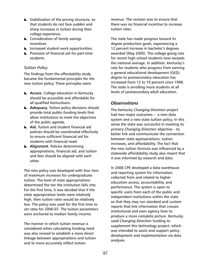- $\blacktriangleright$  Stabilization of the pricing structure, so that students do not face sudden and sharp increases in tuition during their college experience.
- $\blacktriangle$  Consideration of family savings incentives.
- $\blacktriangleright$  Increased student work opportunities.
- $\blacktriangleright$  Provision of financial aid for part-time students.

### *Tuition Policy*

The findings from the affordability study became the fundamental principles for the new tuition policy. These principles were:

- **Access.** College education in Kentucky should be accessible and affordable for all qualified Kentuckians.
- **Adequacy.** Tuition policy decisions should provide total public-funding levels that allow institutions to meet the objectives of the public agenda.
- **Aid.** Tuition and student financial aid policies should be coordinated effectively to ensure sufficient financial aid for students with financial need.
- **Alignment.** Policies determining appropriations, financial aid, and tuition and fees should be aligned with each other.

The new policy was developed with four tiers of maximum increases for undergraduate tuition. The level of state appropriations determined the tier the institution falls into. For the first time, it was decided that if the state appropriation levels were relatively high, then tuition rates would be relatively low. The policy was used for the first time to set rates for 2006-07. The tuition parameters were anchored to median family income.

The manner in which tuition revenue is considered when calculating funding need was also revised to establish a more direct linkage between appropriations and tuition and to more accurately reflect tuition

revenue. The revision was to ensure that there was no financial incentive to increase tuition rates.

The state has made progress toward its degree production goals, experiencing a 12 percent increase in bachelor's degrees awarded (May 2005). The college-going rate for recent high school students now exceeds the national average. In addition, Kentucky's rate for students who progress from earning a general educational development (GED) degree to postsecondary education has increased from 12 to 19 percent since 1998. The state is enrolling more students at all levels of postsecondary adult education.

## *Observations*

The Kentucky *Changing Direction* project had two major outcomes – a new data system and a new state tuition policy. In this sense the state was successful in meeting its primary *Changing Direction* objective – to better link and communicate the connection between state appropriations, tuition increases, and affordability. The fact that the new tuition formula was influenced by a statewide affordability study also meant that it was informed by research and data.

In 2006 CPE developed a data warehouse and reporting system for information collected from and related to higher education access, accountability, and performance. The system is open to specific users from each of the public and independent institutions within the state so that they may run standard and custom reports that link information that crosses institutional and even agency lines to produce a more complete picture. Kentucky used *Changing Direction* funding to supplement this technology project, which was intended to assist and support policy development and implementation via data analyses.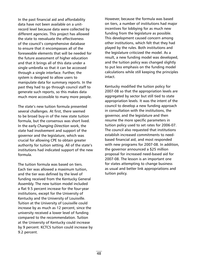In the past financial aid and affordability data have not been available on a unitrecord level because data were collected by different agencies. This project has allowed the state to reevaluate the effectiveness of the council's comprehensive database to ensure that it encompasses all of the foreseeable elements that will be needed for the future assessment of higher education and that it brings all of this data under a single umbrella so that it can be accessed through a single interface. Further, the system is designed to allow users to manipulate data for summary reports. In the past they had to go through council staff to generate such reports, so this makes data much more accessible to many more people.

The state's new tuition formula presented several challenges. At first, there seemed to be broad buy-in of the new state tuition formula, but the consensus was short lived. In the early *Changing Direction* work, the state had involvement and support of the governor and the legislature, which was crucial for allowing CPE to obtain greater authority for tuition setting. All of the state's institutions had indicated support of the new formula.

The tuition formula was based on tiers. Each tier was allowed a maximum tuition, and the tier was defined by the level of funding received from the Kentucky General Assembly. The new tuition model included a flat 9.5 percent increase for the four-year institutions, except for the University of Kentucky and the University of Louisville. Tuition at the University of Louisville could increase by as much as 12 percent, since the university received a lower level of funding compared to the recommendation. Tuition at the University of Kentucky could increase by 9 percent. KCTCS tuition could increase by 9.2 percent.

However, because the formula was based on tiers, a number of institutions had major incentives for lobbying for as much new funding from the legislature as possible. This development caused concern among other institutions, which felt that they had played by the rules. Both institutions and the legislature criticized the model. As a result, a new funding model was developed, and the tuition policy was changed slightly to put less emphasis on the funding model calculations while still keeping the principles intact.

Kentucky modified the tuition policy for 2007-08 so that the appropriation levels are aggregated by sector but still tied to state appropriation levels. It was the intent of the council to develop a new funding approach in consultation with the institutions, the governor, and the legislature and then resume the more specific parameters in tuition policy used to set rates for 2006-07. The council also requested that institutions establish increased commitments to needbased financial aid, and most responded with new programs for 2007-08. In addition, the governor announced a \$25 million proposal for increased need-based aid for 2007-08. The lesson is an important one for states attempting to change business as usual and better link appropriations and tuition policy.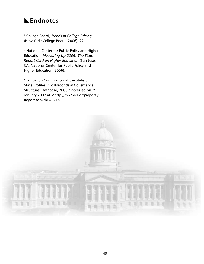# **LEndnotes**

<sup>1</sup> College Board, *Trends in College Pricing*  (New York: College Board, 2006), 22.

2 National Center for Public Policy and Higher Education, *Measuring Up 2006: The State Report Card on Higher Education* (San Jose, CA: National Center for Public Policy and Higher Education, 2006).

<sup>3</sup> Education Commission of the States, State Profiles, "Postsecondary Governance Structures Database, 2006," accessed on 29 January 2007 at <http://mb2.ecs.org/reports/ Report.aspx?id=221>.

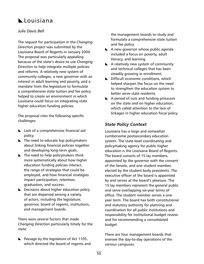# $\blacksquare$ Louisiana

### *Julie Davis Bell*

The request for participation in the *Changing Direction* project was submitted by the Louisiana Board of Regents in January 2004. The proposal was particularly appealing because of the state's desire to use *Changing Direction* to help integrate multiple policies and reforms. A relatively new system of community colleges, a new governor with an interest in adult learning and poverty, and a mandate from the legislature to formulate a comprehensive state tuition and fee policy helped to create an environment in which Louisiana could focus on integrating state higher education funding policies.

The proposal cites the following specific challenges:

- $\blacktriangle$  Lack of a comprehensive financial aid policy.
- $\blacktriangleright$  The need to educate top policymakers about linking financial policies together and developing long-term goals.
- $\blacktriangleright$  The need to help policymakers think more systematically about how higher education funding policies interact, the range of strategies that could be employed, and how financial strategies impact participation, retention, graduation, and success.
- $\blacktriangleright$  Decisions about higher education policy that are dispersed among a variety of actors, including the legislature, governor, board of regents, institutions, and management boards.

There were several factors that made *Changing Direction* particularly timely for the state:

 $\blacktriangleright$  Passage by the legislature of Act 1105, which directed the board of regents and the management boards to study and formulate a comprehensive state tuition and fee policy.

- $\blacktriangle$  A new governor whose public agenda included a focus on poverty, adult literacy, and learning.
- $\blacktriangle$  A relatively new system of community and technical colleges that has been steadily growing in enrollment.
- $\blacktriangleright$  Difficult economic conditions, which helped sharpen the focus on the need to strengthen the education system to better serve state residents.
- $\blacktriangle$  A period of cuts and funding pressures on the state and on higher education, which called attention to the lack of linkages in higher education fiscal policy.

## *State Policy Context*

Louisiana has a large and somewhat cumbersome postsecondary education system. The state-level coordinating and policymaking agency for public higher education is the Louisiana Board of Regents. The board consists of 15 lay members, appointed by the governor with the consent of the Senate, and one student member, elected by the student body presidents. The executive officer of the board is appointed by and serves at the board's pleasure. The 15 lay members represent the general public and serve overlapping six-year terms of office. The student member serves a oneyear term. The board has both constitutional and statutory authority for planning and coordination for all public institutions and responsibility for institutional budget review and for recommending a consolidated budget.

There are four management boards that oversee the day-to-day operations of the various campuses: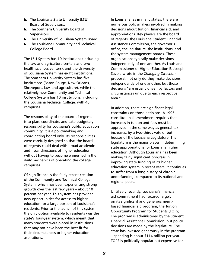- $\blacktriangleright$  The Louisiana State University (LSU) Board of Supervisors.
- $\blacktriangleright$  The Southern University Board of Supervisors.
- $\blacktriangleright$  The University of Louisiana System Board.
- $\blacktriangleright$  The Louisiana Community and Technical College Board.

The LSU System has 10 institutions (including the law and agriculture centers and two health sciences centers), and the University of Louisiana System has eight institutions. The Southern University System has five institutions (Baton Rouge, New Orleans, Shreveport, law, and agriculture), while the relatively new Community and Technical College System has 10 institutions, including the Louisiana Technical College, with 40 campuses.

The responsibility of the board of regents is to plan, coordinate, and take budgetary responsibility for Louisiana's public education community. It is a policymaking and coordinating board only. Its responsibilities were carefully designed so that the board of regents could deal with broad academic and fiscal directions of higher education without having to become enmeshed in the daily mechanics of operating the college campuses.

Of significance is the fairly recent creation of the Community and Technical College System, which has been experiencing strong growth over the last few years – about 10 percent per year. This system has provided new opportunities for access to higher education for a large portion of Louisiana's residents. Prior to the launch of this system, the only option available to residents was the state's four-year system, which meant that many students were placed in institutions that may not have been the best fit for their circumstances or higher education aspirations.

In Louisiana, as in many states, there are numerous policymakers involved in making decisions about tuition, financial aid, and appropriations. Key players are the board of regents, the Louisiana Student Financial Assistance Commission, the governor's office, the legislature, the institutions, and the system management boards. These organizations typically make decisions independently of one another. As Louisiana Commissioner of Higher Education E. Joseph Savoie wrote in the *Changing Direction* proposal, not only do they make decisions independently of one another, but those decisions "are usually driven by factors and circumstances unique to each respective area."

In addition, there are significant legal constraints on those decisions. A 1995 constitutional amendment requires that increases in tuition and fees must be approved in the same way as general tax increases: by a two-thirds vote of both houses of the Louisiana Legislature. The legislature is the major player in determining state appropriations for Louisiana higher education. Although Louisiana has been making fairly significant progress in improving state funding of its higher education system in recent years, it continues to suffer from a long history of chronic underfunding, compared to its national and regional peers.

Until very recently, Louisiana's financial aid commitment had focused largely on its significant and generous meritbased financial aid program, the Tuition Opportunity Program for Students (TOPS). The program is administered by the Student Financial Assistance Commission, but policy decisions are made by the legislature. The state has invested generously in the program – spending is about \$114 million per year. TOPS is politically popular but expensive for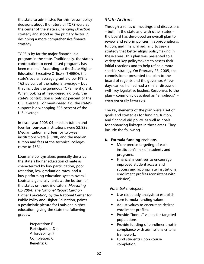the state to administer. For this reason policy decisions about the future of TOPS were at the center of the state's *Changing Direction* strategy and stood as the primary factor in designing a more comprehensive finance strategy.

TOPS is by far the major financial aid program in the state. Traditionally, the state's contribution to need-based programs has been minimal. According to the State Higher Education Executive Officers (SHEEO), the state's overall average grant aid per FTE is 163 percent of the national average – but that includes the generous TOPS merit grant. When looking at need-based aid only, the state's contribution is only 22 percent of the U.S. average. For merit-based aid, the state's support is a whopping 595 percent of the U.S. average.

In fiscal year 2003-04, median tuition and fees for four-year institutions were \$2,928. Median tuition and fees for two-year institutions were \$1,708, and the median tuition and fees at the technical colleges came to \$681.

Louisiana policymakers generally describe the state's higher education climate as characterized by low participation, poor retention, low graduation rates, and a low-performing education system overall. Louisiana generally ranks at the bottom of the states on these indicators. *Measuring Up 2004: The National Report Card on Higher Education,* by the National Center for Public Policy and Higher Education, paints a pessimistic picture for Louisiana higher education, giving the state the following grades:

> Preparation: F Participation: D+ Affordability: F Completion: C Benefits: C <sup>1</sup>

## *State Actions*

Through a series of meetings and discussions – both in the state and with other states – the board has developed an overall plan to review and reform policies in appropriations, tuition, and financial aid, and to seek a strategy that better aligns policymaking in these areas. This plan was presented to a variety of key policymakers to assess their initial reactions and to help refine a more specific strategy. On February 23, 2005, the commissioner presented the plan to the board of regents and the governor. A few days earlier, he had had a similar discussion with key legislative leaders. Responses to the plan – commonly described as "ambitious" – were generally favorable.

The key elements of the plan were a set of goals and strategies for funding, tuition, and financial aid policy, as well as goals for enhancing linkages in these areas. They include the following.

#### **EXECUTE:** Formula funding revisions:

- More precise targeting of each institution's mix of students and programs.
- Financial incentives to encourage improved student access and success and appropriate institutional enrollment profiles (consistent with mission).

#### *Potential strategies:*

- Use cost study analysis to establish core formula-funding values.
- Adjust values to encourage desired enrollment profiles.
- Provide "bonus" values for targeted populations.
- Provide funding of enrollment not in compliance with admissions criteria framework.
- Fund students upon course completion.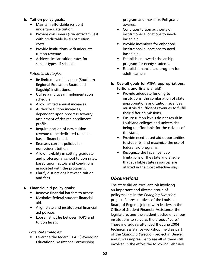#### **L** Tuition policy goals:

- Maintain affordable resident undergraduate tuition.
- Provide consumers (students/families) with predictable levels of tuition costs.
- Provide institutions with adequate tuition revenue.
- $\bullet$  Achieve similar tuition rates for similar types of schools.

#### *Potential strategies:*

- Be limited overall by peer (Southern Regional Education Board and flagship) institutions.
- Utilize a multiyear implementation schedule.
- Allow limited annual increases.
- Authorize tuition increases, dependent upon progress toward/ attainment of desired enrollment profile.
- Require portion of new tuition revenue to be dedicated to needbased financial aid.
- Reassess current policies for nonresident tuition.
- Allow flexibility in setting graduate and professional school tuition rates, based upon factors and conditions associated with the programs.
- Clarify distinctions between tuition and fees.

### **Example 1** Financial aid policy goals:

- Remove financial barriers to access.
- Maximize federal student financial aid.
- Align state and institutional financial aid policies.
- Loosen strict tie between TOPS and tuition levels.

### *Potential strategies*:

• Leverage the federal LEAP (Leveraging Educational Assistance Partnership)

program and maximize Pell grant awards.

- Condition tuition authority on institutional allocations to needbased aid.
- Provide incentives for enhanced institutional allocations to needbased aid.
- Establish endowed scholarship program for needy students.
- Establish financial aid program for adult learners.
- **L** Overall goals for ATFA (appropriations, **tuition, and financial aid):**
	- Provide adequate funding to institutions: the combination of state appropriations and tuition revenues must yield sufficient revenues to fulfill their differing missions.
	- Ensure tuition levels do not result in Louisiana colleges and universities being unaffordable for the citizens of the state.
	- Provide need-based aid opportunities to students, and maximize the use of federal aid programs.
	- Recognize the fiscal realities/ limitations of the state and ensure that available state resources are utilized in the most effective way.

## *Observations*

The state did an excellent job involving an important and diverse group of policymakers in the *Changing Direction* project. Representatives of the Louisiana Board of Regents joined with leaders in the Office of Student Financial Assistance, the legislature, and the student bodies of various institutions to serve as the project "core." These individuals attended the June 2004 technical assistance workshop, held as part of the *Changing Direction* project in Denver, and it was impressive to see all of them still involved in the effort the following February.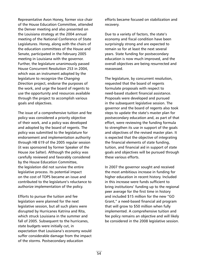Representative Avon Honey, former vice chair of the House Education Committee, attended the Denver meeting and also presented on the Louisiana strategy at the 2004 annual meeting of the National Conference of State Legislatures. Honey, along with the chairs of the education committees of the House and Senate, participated in the February 2005 meeting in Louisiana with the governor. Further, the legislature unanimously passed House Concurrent Resolution 253 in 2004, which was an instrument adopted by the legislature to recognize the *Changing Direction* project, endorse the purposes of the work, and urge the board of regents to use the opportunity and resources available through the project to accomplish various goals and objectives.

The issue of a comprehensive tuition and fee policy was considered a priority objective of their work, and a policy was developed and adopted by the board of regents. The policy was submitted to the legislature for endorsement and implementation authority through HB 619 of the 2005 regular session (it was sponsored by former Speaker of the House Joe Salter). Although the policy was carefully reviewed and favorably considered by the House Education Committee, the legislation did not survive the entire legislative process. Its potential impact on the cost of TOPS became an issue and contributed to the legislature's reluctance to authorize implementation of the policy.

Efforts to pursue the tuition and fee legislation were planned for the next legislative session, but all such plans were disrupted by Hurricanes Katrina and Rita, which struck Louisiana in the summer and fall of 2005. Subsequent to the hurricanes, state budgets were initially cut, in expectation that Louisiana's economy would suffer considerable damage from the impact of the storms. Postsecondary education

efforts became focused on stabilization and recovery.

Due to a variety of factors, the state's economy and fiscal condition have been surprisingly strong and are expected to remain so for at least the next several years. State funding for postsecondary education is now much improved, and the overall objectives are being resurrected and reassessed.

The legislature, by concurrent resolution, requested that the board of regents formulate proposals with respect to need-based student financial assistance. Proposals were developed and pursued in the subsequent legislative session. The governor and the board of regents also took steps to update the state's master plan for postsecondary education and, as part of that effort, were reviewing the funding formula to strengthen its use in support of the goals and objectives of the revised master plan. It is expected that the objective of integrating the financial elements of state funding, tuition, and financial aid in support of state goals and objectives will be pursued through these various efforts.

In 2007 the governor sought and received the most ambitious increase in funding for higher education in recent history. Included in this increase were funds sufficient to bring institutions' funding up to the regional peer average for the first time in history and included \$15 million for the new "GO Grant," a need-based financial aid program that will grow to \$50 million when fully implemented. A comprehensive tuition and fee policy remains an objective and will likely be considered in the 2008 legislative session.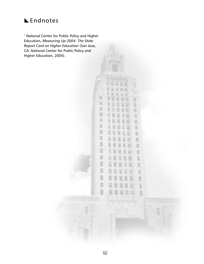# **LEndnotes**

<sup>1</sup> National Center for Public Policy and Higher Education, *Measuring Up 2004: The State Report Card on Higher Education* (San Jose, CA: National Center for Public Policy and Higher Education, 2004).

∎ Ħ n

B

a

m

n

B U D

ü

N

ī

B

Ħ

ń

Ø.

t

b

眉

ı

D

ï

ı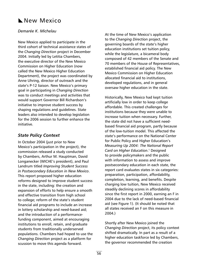## New Mexico

#### *Demarée K. Michelau*

New Mexico applied to participate in the third cohort of technical assistance states of the *Changing Direction* project in December 2004. Initially led by Letitia Chambers, the executive director of the New Mexico Commission on Higher Education (now called the New Mexico Higher Education Department), the project was coordinated by Anne Uhring, director of outreach and the state's P-12 liaison. New Mexico's primary goal in participating in *Changing Direction*  was to conduct meetings and activities that would support Governor Bill Richardson's initiative to improve student success by shaping regulations and guidelines. State leaders also intended to develop legislation for the 2006 session to further enhance the initiative.

## *State Policy Context*

In October 2004 (just prior to New Mexico's participation in the project), the commission released a study conducted by Chambers, Arthur M. Hauptman, David Longanecker (WICHE's president), and Paul Landrum titled *Improving Student Success in Postsecondary Education in New Mexico*. This report proposed higher education reforms designed to improve student success in the state, including: the creation and expansion of efforts to help ensure a smooth and effective transition from high school to college; reform of the state's student financial aid programs to include an increase in lottery scholarship and need-based aid; and the introduction of a performancefunding component, aimed at encouraging institutions to enroll, retain, and graduate students from traditionally underserved populations. Chambers had hoped to use the *Changing Direction* project as a platform for scussion to move this agenda forward.

At the time of New Mexico's application to the *Changing Direction* project, the governing boards of the state's higher education institutions set tuition policy, while the legislature, a bicameral body composed of 42 members of the Senate and 70 members of the House of Representatives, established financial aid policy. The New Mexico Commission on Higher Education allocated financial aid to institutions, developed regulations, and in general oversaw higher education in the state.

Historically, New Mexico had kept tuition artificially low in order to keep college affordable. This created challenges for institutions because they were unable to increase tuition when necessary. Further, the state did not have a sufficient needbased financial aid program, partly because of the low-tuition model. This affected the state's performance on the National Center for Public Policy and Higher Education's *Measuring Up 2004: The National Report Card on Higher Education*. <sup>1</sup> Designed to provide policymakers and the public with information to assess and improve postsecondary education in each state, the report card evaluates states in six categories: preparation, participation, affordability, completion, learning, and benefits. Despite charging low tuition, New Mexico received steadily declining scores in affordability since the first report in 2000, earning an F in 2004 due to the lack of need-based financial aid (see Figure 1). (It should be noted that all states received an F on this measure in 2004.)

Shortly after New Mexico joined the *Changing Direction* project, its policy context shifted dramatically. In part as a result of a higher education taskforce led by Chambers, the governor recommended the creation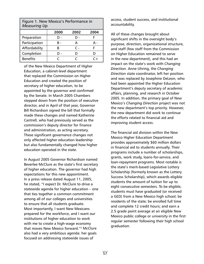| Figure 1. New Mexico's Performance in<br><b>Measuring Up</b> |      |                      |      |  |  |
|--------------------------------------------------------------|------|----------------------|------|--|--|
|                                                              | 2000 | 2002                 | 2004 |  |  |
| Preparation                                                  | n -  | - ח                  |      |  |  |
| Participation                                                | R -  | А                    | д.   |  |  |
| Affordability                                                | R    | $\mathsf{\subset}\,$ | F    |  |  |
| Completion                                                   |      | D                    |      |  |  |
| <b>Benefits</b>                                              |      |                      | ⊂+   |  |  |

of the New Mexico Department of Higher Education, a cabinet-level department that replaced the Commission on Higher Education and created the position of secretary of higher education, to be appointed by the governor and confirmed by the Senate. In March 2005 Chambers stepped down from the position of executive director, and in April of that year, Governor Bill Richardson signed the bill that formally made these changes and named Katherine Cantrell, who had previously served as the commission's deputy director for finance and administration, as acting secretary. These significant governance changes not only affected higher education leadership but also fundamentally changed how higher education operated in the state.

In August 2005 Governor Richardson named Beverlee McClure as the state's first secretary of higher education. The governor had high expectations for this new appointment. In a press release dated August 11, 2005, he stated, "I expect Dr. McClure to drive a statewide agenda for higher education – one that ties together a common commitment among all of our colleges and universities to ensure that all students graduate. Most importantly, I want New Mexicans prepared for the workforce, and I want our institutions of higher education to work with me to create a high-wage economy that moves New Mexico forward."2 McClure also had a very ambitious agenda: her goals focused on addressing statewide issues of

access, student success, and institutional accountability.

All of these changes brought about significant shifts in the oversight body's purpose, direction, organizational structure, and staff (few staff from the Commission on Higher Education remained to serve in the new department), and this had an impact on the state's work with *Changing Direction*. Anne Uhring, the *Changing Direction* state coordinator, left her position and was replaced by Josephine DeLeon, who had been appointed the Higher Education Department's deputy secretary of academic affairs, planning, and research in October 2005. In addition, the primary goal of New Mexico's *Changing Direction* project was not the new department's top priority. However, the new department did work to continue the efforts related to financial aid and improving student access.

The financial aid division within the New Mexico Higher Education Department provides approximately \$60 million dollars in financial aid to students annually. Their programs include a number of scholarships, grants, work study, loans-for-service, and loan-repayment programs. Most notable is the state's merit-based Legislative Lottery Scholarship (formerly known as the Lottery Success Scholarship), which awards eligible students the amount of tuition for up to eight consecutive semesters. To be eligible, students must have graduated (or received a GED) from a New Mexico high school; be residents of the state; be enrolled full time and complete 12 credit hours; and earn a 2.5 grade point average at an eligible New Mexico public college or university in the first regular semester following their high school graduation.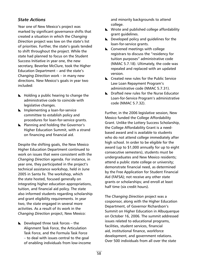## *State Actions*

Year one of New Mexico's project was marked by significant governance shifts that created a situation in which the *Changing Direction* project was low on the state's list of priorities. Further, the state's goals tended to shift throughout the project. While the state had planned to focus on the Student Success Initiative in year one, the new secretary, Beverlee McClure, took the Higher Education Department – and the state's *Changing Direction* work – in many new directions. New Mexico's goals in year two included:

- $\blacktriangleright$  Holding a public hearing to change the administrative code to coincide with legislative changes.
- $\blacktriangleright$  Implementing a loan-for-service committee to establish policy and procedures for loan-for-service grants.
- $\blacktriangleright$  Planning and holding the Governor's Higher Education Summit, with a strand on financing and financial aid.

Despite the shifting goals, the New Mexico Higher Education Department continued to work on issues that were consistent with the *Changing Direction* agenda. For instance, in year one, they participated in the project's technical assistance workshop, held in June 2005 in Santa Fe. The workshop, which the state hosted, focused generally on integrating higher education appropriations, tuition, and financial aid policy. The state also informed students regarding scholarship and grant eligibility requirements. In year two, the state engaged in several more activities. As a result of its work in the *Changing Direction* project, New Mexico:

 $\blacktriangleright$  Developed three task forces – the Alignment Task Force, the Articulation Task Force, and the Formula Task Force – to deal with issues central to the goal of enabling individuals from low-income and minority backgrounds to attend college.

- $\blacktriangleright$  Wrote and published college affordability grant guidelines.
- $\blacktriangleright$  Developed policy and guidelines for the loan-for-service grants.
- $\blacktriangle$  Convened meetings with college registrars to discuss the "residency for tuition purposes" administrative code (NMAC 5.7.18). Ultimately, the code was repealed and replaced with an updated version.
- $\blacktriangleright$  Created new rules for the Public Service Law Loan Repayment Program's administrative code (NMAC 5.7.31).
- $\blacktriangleright$  Drafted new rules for the Nurse Educator Loan-for-Service Program's administrative code (NMAC 5.7.32).

Further, in the 2006 legislative session, New Mexico funded the College Affordability Grant. Unlike the Lottery Success Scholarship, the College Affordability Grant is a needbased award and is available to students who do not attend college immediately after high school. In order to be eligible for the award (up to \$1,000 annually for up to eight consecutive semesters), students must be undergraduates and New Mexico residents; attend a public state college or university; demonstrate financial need, as determined by the Free Application for Student Financial Aid (FAFSA); not receive any other state grants or scholarships; and enroll at least half time (six credit hours).

The *Changing Direction* project was a cosponsor, along with the Higher Education Department, of Governor Richardson's Summit on Higher Education in Albuquerque on October 16, 2006. The summit addressed issues related to educational programs, facilities, student services, financial aid, institutional finance, workforce development, and government relations. Over 500 individuals from all over the state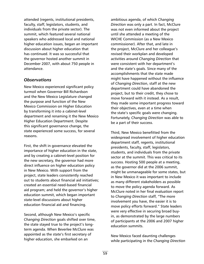attended (regents, institutional presidents, faculty, staff, legislators, students, and individuals from the private sector). The summit, which featured several national speakers who addressed local and national higher education issues, began an important discussion about higher education that has continued. It was so successful that the governor hosted another summit in December 2007, with about 750 people in attendance.

### *Observations*

New Mexico experienced significant policy turmoil when Governor Bill Richardson and the New Mexico Legislature changed the purpose and function of the New Mexico Commission on Higher Education by transforming it into a cabinet-level department and renaming it the New Mexico Higher Education Department. Despite this significant governance change, the state experienced some success, for several reasons.

First, the shift in governance elevated the importance of higher education in the state, and by creating a cabinet-level position for the new secretary, the governor had more direct influence on higher education policy in New Mexico. With support from the project, state leaders consistently reached out to students about financial aid initiatives; created an essential need-based financial aid program; and held the governor's higher education summit, which began important state-level discussions about higher education financial aid and financing.

Second, although New Mexico's specific *Changing Direction* goals shifted over time, the state stayed true to the project's longterm agenda. When Beverlee McClure was appointed as the state's first secretary of higher education, she embarked on an

ambitious agenda, of which *Changing Direction* was only a part. In fact, McClure was not even informed about the project until she attended a meeting of the WICHE Commission (as a New Mexico commissioner). After that, and late in the project, McClure and her colleague's revised their workplan and developed activities around *Changing Direction* that were consistent with her department's and the state's goals. Since many of the accomplishments that the state made might have happened without the influence of *Changing Direction*, staff at the new department could have abandoned the project, but to their credit, they chose to move forward with it instead. As a result, they made some important progress toward their objectives, even at a time when the state's specific goals were changing. Fortunately, *Changing Direction* was able to be a part of their success.

Third, New Mexico benefitted from the widespread involvement of higher education department staff, regents, institutional presidents, faculty, staff, legislators, students, and individuals from the private sector at the summit. This was critical to its success. Hosting 500 people at a meeting, as the governor did at the 2006 summit, might be unmanageable for some states, but in New Mexico it was important to include as many different stakeholders as possible to move the policy agenda forward. As McClure noted in her final evaluation report to *Changing Direction* staff, "The more involvement you have, the easier it is to move policy efforts forward." State leaders were very effective in securing broad buyin, as demonstrated by the large numbers of participants at the 2006 and 2007 higher education summits.

New Mexico faced daunting challenges while participating in the *Changing Direction*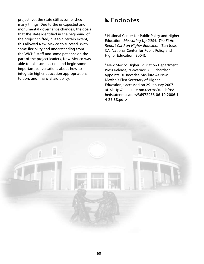project, yet the state still accomplished many things. Due to the unexpected and monumental governance changes, the goals that the state identified in the beginning of the project shifted, but to a certain extent, this allowed New Mexico to succeed. With some flexibility and understanding from the WICHE staff and some patience on the part of the project leaders, New Mexico was able to take some action and begin some important conversations about how to integrate higher education appropriations, tuition, and financial aid policy.

# **L** Endnotes

<sup>1</sup> National Center for Public Policy and Higher Education, *Measuring Up 2004: The State Report Card on Higher Education* (San Jose, CA: National Center for Public Policy and Higher Education, 2004).

2 New Mexico Higher Education Department Press Release, "Governor Bill Richardson appoints Dr. Beverlee McClure As New Mexico's First Secretary of Higher Education," accessed on 29 January 2007 at <http://hed.state.nm.us/cms/kunde/rts/ hedstatenmus/docs/36972938-06-19-2006-1 4-25-38.pdf>.

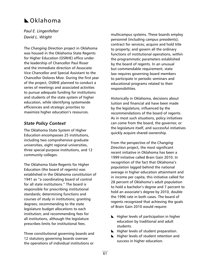# $\blacksquare$  Oklahoma

*Paul E. Lingenfelter David L. Wright*

The *Changing Direction* project in Oklahoma was housed in the Oklahoma State Regents for Higher Education (OSRHE) office under the leadership of Chancellor Paul Risser and the immediate direction of Associate Vice Chancellor and Special Assistant to the Chancellor Dolores Mize. During the first year of the project, OSRHE planned to conduct a series of meetings and associated activities to pursue adequate funding for institutions and students of the state system of higher education, while identifying systemwide efficiencies and strategic priorities to maximize higher education's resources.

## *State Policy Context*

The Oklahoma State System of Higher Education encompasses 25 institutions, including two comprehensive graduate universities, eight regional universities, three special-purpose institutions, and 12 community colleges.

The Oklahoma State Regents for Higher Education (the board of regents) was established in the Oklahoma constitution of 1941 as "a coordinating board of control for all state institutions." The board is responsible for prescribing institutional standards; determining functions and courses of study in institutions; granting degrees; recommending to the state legislature budget allocations to each institution; and recommending fees for all institutions, although the legislature prescribes limits for institutional fees.

Three constitutional governing boards and 12 statutory governing boards oversee the operations of individual institutions or

multicampus systems. These boards employ personnel (including campus presidents); contract for services; acquire and hold title to property; and govern all the ordinary functions of institutional operations, within the programmatic parameters established by the board of regents. In an unusual but commendable requirement, state law requires governing board members to participate in periodic seminars and educational programs related to their responsibilities.

Historically in Oklahoma, decisions about tuition and financial aid have been made by the legislature, influenced by the recommendations of the board of regents. As in most such situations, policy initiatives can come from the board, the governor, or the legislature itself, and successful initiatives quickly acquire shared ownership.

From the perspective of the *Changing Direction* project, the most significant recent initiative in Oklahoma has been a 1999 initiative called Brain Gain 2010. In recognition of the fact that Oklahoma's population lagged behind the national average in higher education attainment and in income per capita, this initiative called for 28 percent of Oklahoma's adult population to hold a bachelor's degree and 7 percent to hold an associate's degree by 2010, double the 1996 rate in both cases. The board of regents recognized that achieving the goals of Brain Gain 2010 would require:

- $\blacktriangleright$  Higher levels of participation in higher education by traditional and adult students.
- $\blacktriangleright$  Higher levels of student preparation.
- $\blacktriangleright$  Higher levels of student retention and success in higher education.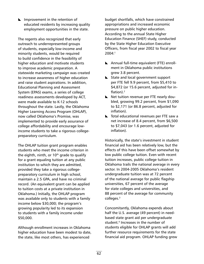$\blacktriangleright$  Improvement in the retention of educated residents by increasing quality employment opportunities in the state.

The regents also recognized that early outreach to underrepresented groups of students, especially low-income and minority students, would be required to build confidence in the feasibility of higher education and motivate students to improve academic preparation. A statewide marketing campaign was created to increase awareness of higher education and raise student aspirations. In addition, Educational Planning and Assessment System (EPAS) exams, a series of college readiness assessments developed by ACT, were made available to K-12 schools throughout the state. Lastly, the Oklahoma Higher Learning Access Program (OHLAP), now called Oklahoma's Promise, was implemented to provide early assurance of college affordability and encourage lowincome students to take a rigorous collegepreparatory curriculum.

The OHLAP tuition grant program enables students who meet the income criterion in the eighth, ninth, or  $10<sup>th</sup>$  grade to qualify for a grant equaling tuition at any public institution to which they are admitted, provided they take a rigorous collegepreparatory curriculum in high school, maintain a 2.5 GPA, and have no criminal record. (An equivalent grant can be applied to tuition costs at a private institution in Oklahoma.) Initially, the OHLAP program was available only to students with a family income below \$30,000; the program's growing popularity led to its expansion to students with a family income under \$50,000.

Although enrollment increases in Oklahoma higher education have been modest to date, the state, like most others, has experienced

budget shortfalls, which have constrained appropriations and increased economic pressure on public higher education. According to the annual State Higher Education Finance (SHEF) study, conducted by the State Higher Education Executive Officers, from fiscal year 2002 to fiscal year 2004:1

- $\blacktriangleright$  Annual full-time equivalent (FTE) enrollment in Oklahoma public institutions grew 3.8 percent.
- $\blacktriangleright$  State and local government support per FTE fell 9.9 percent, from \$5,410 to \$4,872 (or 15.6 percent, adjusted for inflation).<sup>2</sup>
- Net tuition revenue per FTE nearly doubled, growing 99.2 percent, from \$1,090 to \$2,171 (or 86.8 percent, adjusted for inflation).
- $\blacktriangleright$  Total educational revenues per FTE saw a net increase of 8.4 percent, from \$6,500 to \$7,043 (or 1.6 percent, adjusted for inflation).

Historically, the state's investment in student financial aid has been relatively low, but the effects of this have been offset somewhat by low public college tuition. Even with recent tuition increases, public college tuition in Oklahoma trails the national average in every sector. In 2004-2005 Oklahoma's resident undergraduate tuition was at 72 percent of the national average for public flagship universities, 67 percent of the average for state colleges and universities, and 88 percent of the average for community colleges.<sup>3</sup>

Concomitantly, Oklahoma expends about half the U.S. average (49 percent) in needbased state grant aid per undergraduate student.4 Increases in the number of students eligible for OHLAP grants will add further resource requirements for the state financial aid program. OHLAP funding grew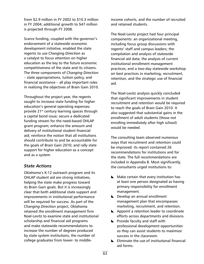from \$2.9 million in FY 2002 to \$10.3 million in FY 2004; additional growth to \$47 million is projected through FY 2008.

Scarce funding, coupled with the governor's endorsement of a statewide economic development initiative, enabled the state regents to use *Changing Direction* as a catalyst to focus attention on higher education as the key to the future economic competitiveness of the state and its citizens. The three components of *Changing Direction* – state appropriations, tuition policy, and financial assistance – all play important roles in realizing the objectives of Brain Gain 2010.

Throughout the project year, the regents sought to increase state funding for higher education's general operating expenses; provide 21<sup>st</sup> century learning spaces through a capital bond issue; secure a dedicated funding stream for the need-based OHLAP grant program; enhance the amount and delivery of institutional student financial aid; reinforce the notion that all institutions should contribute to and be accountable for the goals of Brain Gain 2010; and rally state support for higher education as a concept and as a system.

## *State Actions*

Oklahoma's K-12 outreach program and its OHLAP student aid are strong initiatives, helping the state make progress toward its Brain Gain goals. But it is increasingly clear that both additional state support and improvements in institutional performance will be required for success. As part of the *Changing Direction* project, Oklahoma retained the enrollment management firm Noel-Levitz to examine state and institutional scholarship and financial aid programs and make statewide recommendations to increase the number of degrees produced by state system institutions, the number of college graduates from lower- to middleincome cohorts, and the number of recruited and retained students.

The Noel-Levitz project had four principal components: an organizational meeting, including focus group discussions with regents' staff and campus leaders; the compilation and analysis of statewide financial aid data; the analysis of current institutional enrollment management practices; and a two-day statewide workshop on best practices in marketing, recruitment, retention, and the strategic use of financial aid.

The Noel-Levitz analysis quickly concluded that significant improvements in student recruitment and retention would be required to reach the goals of Brain Gain 2010. It also suggested that substantial gains in the enrollment of adult students (those not enrolling immediately after high school) would be needed.

The consulting team observed numerous ways that recruitment and retention could be improved: its report contained 26 recommendations for institutions and for the state. The full recommendations are included in Appendix B. Most significantly, the consultants urged institutions to:

- $\blacktriangleright$  Make certain that every institution has at least one person designated as having primary responsibility for enrollment management.
- $\blacktriangleright$  Develop an annual enrollment management plan that encompasses marketing, recruitment, and retention.
- $\blacktriangle$  Appoint a retention leader to coordinate efforts across departments and divisions.
- $\blacktriangleright$  Provide faculty and staff with professional development opportunities so they can assist students to maximize success in the classroom.
- $\blacktriangleright$  Eliminate the use of institutional financial aid forms.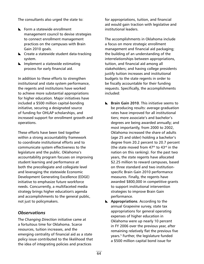The consultants also urged the state to:

- $\blacktriangleright$  Form a statewide enrollment management council to devise strategies to connect enrollment management practices on the campuses with Brain Gain 2010 goals.
- $\blacktriangleright$  Create a statewide student data-tracking system.
- $\blacktriangleright$  Implement a statewide estimating process for early financial aid.

In addition to these efforts to strengthen institutional and state system performance, the regents and institutions have worked to achieve more substantial appropriations for higher education. Major initiatives have included a \$500 million capital-bonding initiative, securing a designated source of funding for OHLAP scholarships, and increased support for enrollment growth and operations.

These efforts have been tied together within a strong accountability framework to coordinate institutional efforts and to communicate system effectiveness to the legislature and the public. Oklahoma's accountability program focuses on improving student learning and performance at both the precollegiate and collegiate level and leveraging the statewide Economic Development Generating Excellence (EDGE) initiative to emphasize future workforce needs. Concurrently, a multifaceted media strategy brings higher education's agenda and accomplishments to the general public, not just to policymakers.

## *Observations*

The *Changing Direction* initiative came at a fortuitous time for Oklahoma. Scarce resources, tuition increases, and the emerging centrality of financial aid as a state policy issue contributed to the likelihood that the idea of integrating policies and practices

for appropriations, tuition, and financial aid would gain traction with legislative and institutional leaders.

The accomplishments in Oklahoma include a focus on more strategic enrollment management and financial aid packaging; the building of an understanding of the interrelationships between appropriations, tuition, and financial aid among all stakeholders; and having college presidents justify tuition increases and institutional budgets to the state regents in order to be fiscally accountable for their funding requests. Specifically, the accomplishments included:

- **E** Brain Gain 2010. This initiative seems to be producing results: average graduation rates have improved for all institutional tiers; more associate's and bachelor's degrees are being awarded annually; and most importantly, from 2000 to 2002, Oklahoma increased the share of adults (age 25 and older) holding a bachelor's degree from 20.2 percent to 20.7 percent (the state moved from  $47<sup>th</sup>$  to  $43<sup>rd</sup>$  in the nation on this ranking). For the past two years, the state regents have allocated \$2.25 million to reward campuses, based on three standard and two institutionspecific Brain Gain 2010 performance measures. Finally, the regents have awarded \$800,000 in competitive grants to support institutional intervention strategies to improve Brain Gain performance.
- **Appropriations**. According to the annual Grapevine survey, state tax appropriations for general operating expenses of higher education in Oklahoma were up nearly 10 percent in FY 2006 over the previous year, after remaining relatively flat the previous five years.<sup>5</sup> Further, the legislature funded a \$500 million capital bond issue for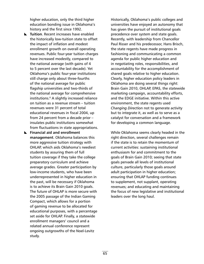higher education, only the third higher education bonding issue in Oklahoma's history and the first since 1992.

- **L** Tuition. Recent increases have enabled the historically low-tuition state to offset the impact of inflation and modest enrollment growth on overall operating revenues. Public four-year tuition charges have increased modestly, compared to the national average (with gains of 4 to 5 percent over the last decade). Yet Oklahoma's public four-year institutions still charge only about three-fourths of the national average for public flagship universities and two-thirds of the national average for comprehensive institutions.<sup>6</sup> A slightly increased reliance on tuition as a revenue stream – tuition revenues were 31 percent of total educational revenues in fiscal 2004, up from 24 percent from a decade prior – insulates public institutions somewhat from fluctuations in state appropriations.
- **EXECUTE:** Financial aid and enrollment **management**. Oklahoma balances this more aggressive tuition strategy with OHLAP, which aids Oklahoma's neediest students by assuring them of full tuition coverage if they take the college preparatory curriculum and achieve average grades. Greater participation by low-income students, who have been underrepresented in higher education in the past, will be necessary if Oklahoma is to achieve its Brain Gain 2010 goals. The future of OHLAP is more secure with the 2005 passage of the Indian Gaming Compact, which allows for a portion of gaming revenue to be allocated for educational purposes, with a percentage set aside for OHLAP. Finally, a statewide enrollment managers' council and a related annual conference represent ongoing outgrowths of the Noel-Levitz study.

Historically, Oklahoma's public colleges and universities have enjoyed an autonomy that has given the pursuit of institutional goals precedence over system and state goals. Recently, with leadership from Chancellor Paul Risser and his predecessor, Hans Brisch, the state regents have made progress in fashioning and communicating a common agenda for public higher education and in negotiating roles, responsibilities, and accountability for the accomplishment of shared goals relative to higher education. Clearly, higher education policy leaders in Oklahoma are doing several things right: Brain Gain 2010, OHLAP, EPAS, the statewide marketing campaign, accountability efforts, and the EDGE initiative. Within this active environment, the state regents used *Changing Direction* not to generate activity but to integrate it, as well as to serve as a catalyst for conversation and a framework for developing a common language.

While Oklahoma seems clearly headed in the right direction, several challenges remain if the state is to retain the momentum of current activities: sustaining institutional enthusiasm for and commitment to the goals of Brain Gain 2010; seeing that state goals pervade all levels of institutional culture, particularly those goals around adult participation in higher education; ensuring that OHLAP funding continues to supplement, not supplant, operating revenues; and educating and maintaining the focus of new legislative and institutional leaders over the long haul.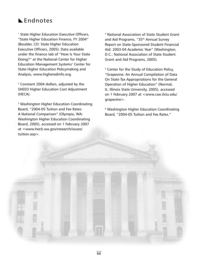## **L** Endnotes

<sup>1</sup> State Higher Education Executive Officers, "State Higher Education Finance, FY 2004" (Boulder, CO: State Higher Education Executive Officers, 2005). Data available under the finance tab of "How Is Your State Doing?" at the National Center for Higher Education Management Systems' Center for State Higher Education Policymaking and Analysis, www.higheredinfo.org.

<sup>2</sup> Constant 2004 dollars, adjusted by the SHEEO Higher Education Cost Adjustment (HECA).

<sup>3</sup> Washington Higher Education Coordinating Board, "2004-05 Tuition and Fee Rates: A National Comparison" (Olympia, WA: Washington Higher Education Coordinating Board, 2005), accessed on 1 February 2007 at <www.hecb.wa.gov/research/issues/ tuition.asp>.

<sup>4</sup> National Association of State Student Grant and Aid Programs, "35th Annual Survey Report on State-Sponsored Student Financial Aid: 2003-04 Academic Year" (Washington, D.C.: National Association of State Student Grant and Aid Programs, 2005).

<sup>5</sup> Center for the Study of Education Policy, "Grapevine: An Annual Compilation of Data On State Tax Appropriations for the General Operation of Higher Education" (Normal, IL: Illinois State University, 2005), accessed on 1 February 2007 at <www.coe.ilstu.edu/ grapevine>.

<sup>6</sup> Washington Higher Education Coordinating Board, "2004-05 Tuition and Fee Rates."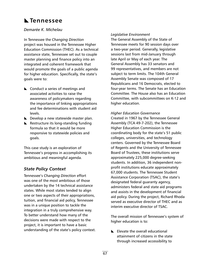# [**Tennessee**

### *Demarée K. Michelau*

In Tennessee the *Changing Direction* project was housed in the Tennessee Higher Education Commission (THEC). As a technical assistance state, Tennessee set out to couple master planning and finance policy into an integrated and coherent framework that would promote the goals of a public agenda for higher education. Specifically, the state's goals were to:

- $\blacktriangle$  Conduct a series of meetings and associated activities to raise the awareness of policymakers regarding the importance of linking appropriations and fee determinations with student aid levels.
- $\blacktriangleright$  Develop a new statewide master plan.
- $\blacktriangleright$  Restructure its long-standing funding formula so that it would be more responsive to statewide policies and goals.

This case study is an exploration of Tennessee's progress in accomplishing its ambitious and meaningful agenda.

## *State Policy Context*

Tennessee's *Changing Direction* effort was one of the most ambitious of those undertaken by the 14 technical assistance states. While most states tended to align one or two aspects of their appropriations, tuition, and financial aid policy, Tennessee was in a unique position to tackle the integration in a truly comprehensive way. To better understand how many of the decisions were made with respect to the project, it is important to have a basic understanding of the state's policy context.

#### *Legislative Environment*

The General Assembly of the State of Tennessee meets for 90 session days over a two-year period. Generally, legislative sessions last from mid-January through late April or May of each year. The General Assembly has 33 senators and 99 representatives, and members are not subject to term limits. The 104th General Assembly Senate was composed of 17 Republicans and 16 Democrats, elected to four-year terms. The Senate has an Education Committee. The House also has an Education Committee, with subcommittees on K-12 and higher education.

#### *Higher Education Governance*

Created in 1967 by the Tennessee General Assembly (TCA 49-7-202), the Tennessee Higher Education Commission is the coordinating body for the state's 51 public colleges, universities, and technology centers. Governed by the Tennessee Board of Regents and the University of Tennessee Board of Trustees, these institutions serve approximately 225,000 degree-seeking students. In addition, 36 independent nonprofit institutions educate approximately 67,000 students. The Tennessee Student Assistance Corporation (TSAC), the state's designated federal guaranty agency, administers federal and state aid programs and assists in the development of financial aid policy. During the project, Richard Rhoda served as executive director of THEC and as interim executive director of TSAC.

The overall mission of Tennessee's system of higher education is to:

 $\blacktriangleright$  Elevate the overall educational attainment of citizens in the state through increased accessibility to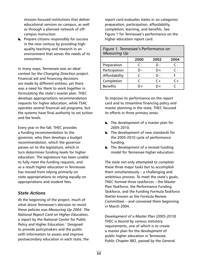mission-focused institutions that deliver educational services on campus, as well as through a planned network of offcampus instruction.

 $\blacktriangleright$  Prepare citizens responsibly for success in the new century by providing highquality teaching and research in an environment that serves the needs of its consumers.

In many ways, Tennessee was an ideal context for the *Changing Direction* project. Financial aid and financing decisions are made by different entities, yet there was a need for them to work together in formulating the state's master plan. THEC develops appropriations recommendation requests for higher education, while TSAC operates several financial aid programs, but the systems have final authority to set tuition and fee levels.

Every year in the fall, THEC provides a funding recommendation to the governor, who then develops a budget recommendation, which the governor passes on to the legislature, which in turn determines funding levels for higher education. The legislature has been unable to fully meet the funding requests, and as a result higher education in Tennessee has moved from relying primarily on state appropriations to relying equally on appropriations and student fees.

## *State Actions*

At the beginning of the project, much of what drove Tennessee's decision to revisit these policies was *Measuring Up 2004: The National Report Card on Higher Education*, a report by the National Center for Public Policy and Higher Education.<sup>1</sup> Designed to provide policymakers and the public with information to assess and improve postsecondary education in each state, the

report card evaluates states in six categories: preparation, participation, affordability, completion, learning, and benefits. See Figure 1 for Tennessee's performance on the higher education report card.

| Figure 1. Tennessee's Performance on<br><b>Measuring Up</b> |                |      |                |  |  |
|-------------------------------------------------------------|----------------|------|----------------|--|--|
|                                                             | 2000           | 2002 | 2004           |  |  |
| Preparation                                                 | $\mathsf{C}$ - | n -  | r -            |  |  |
| Participation                                               | D -            | D+   | $\mathsf{C}$ - |  |  |
| Affordability                                               | $\subset$      | - ח  | F              |  |  |
| Completion                                                  | C              | $C+$ | $C +$          |  |  |
| <b>Benefits</b>                                             | D+             | D+   |                |  |  |

To improve its performance on the report card and to streamline financing policy and master planning in the state, THEC focused its efforts in three primary areas:

- $\blacktriangleright$  The development of a master plan for 2005-2010.
- $\blacktriangleright$  The development of new standards for the 2005-2010 cycle of performance funding.
- $\blacktriangleright$  The development of a revised funding model for Tennessee higher education.

The state not only attempted to complete these three major tasks but to accomplish them simultaneously – a challenging and ambitious process. To meet the state's goals, THEC formed three taskforces – the Master Plan Taskforce, the Performance Funding Taskforce, and the Funding Formula Taskforce (better known as the Formula Review Committee) – and convened them beginning in March 2004.

*Development of a Master Plan (2005-2010)*  THEC is bound by various statutory requirements, one of which is to create a master plan for the development of public higher education in Tennessee. Public Chapter 882, passed by the General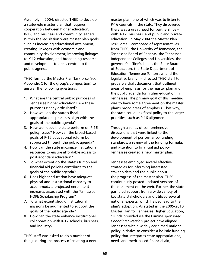Assembly in 2004, directed THEC to develop a statewide master plan that requires cooperation between higher education, K-12, and business and community leaders. Within the legislation were master plan goals such as increasing educational attainment; creating linkages with economic and community development; improving linkages to K-12 education; and broadening research and development to areas central to the public agenda.

THEC formed the Master Plan Taskforce (see Appendix C for the group's composition) to answer the following questions:

- 1. What are the central public purposes of Tennessee higher education? Are these purposes clearly articulated?
- 2. How well do the state's fiscal appropriations practices align with the goals of the public agenda?
- 3. How well does the state perform on P-16 policy issues? How can the broad-based goals of P-16 educational reform be supported through the public agenda?
- 4. How can the state maximize institutional resources to ensure affordable access to postsecondary education?
- 5. To what extent do the state's tuition and financial aid policies contribute to the goals of the public agenda?
- 6. Does higher education have adequate physical and instructional capacity to accommodate projected enrollment increases associated with the Tennessee HOPE Scholarship Program?
- 7. To what extent should institutional missions be augmented to support the goals of the public agenda?
- 8. How can the state enhance institutional collaboration with K-12 schools, business, and industry?

THEC staff was asked to do a number of things during the process of creating a new master plan, one of which was to listen to P-16 councils in the state. They discovered there was a great need for partnerships – with K-12, business, and public and private education. In May 2004 the Master Plan Task Force – composed of representatives from THEC, the University of Tennessee, the Tennessee Board of Regents, the Tennessee Independent Colleges and Universities, the governor's office/cabinet, the State Board of Education, the State Department of Education, Tennessee Tomorrow, and the legislative branch – directed THEC staff to prepare a draft document that outlined areas of emphasis for the master plan and the public agenda for higher education in Tennessee. The primary goal of this meeting was to have some agreement on the master plan's broad areas of emphasis. That way, the state could link fiscal policy to the larger priorities, such as P-16 alignment.

Through a series of comprehensive discussions that were linked to the development of performance-funding standards, a review of the funding formula, and attention to financial aid policy, Tennessee created a new master plan.

Tennessee employed several effective strategies for informing interested stakeholders and the public about the progress of the master plan. THEC continuously posted updated versions of the document on the web. Further, the state garnered support from a wide variety of key state stakeholders and utilized several national experts, which helped lead to the plan's adoption. As stated in the 2005-2010 Master Plan for Tennessee Higher Education, "Funds provided via the Lumina sponsored *Changing Direction* project have aligned Tennessee with a widely acclaimed national policy initiative to consider a holistic funding policy that integrates state appropriations, need- and merit-based financial aid,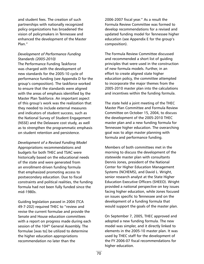and student fees. The creation of such partnerships with nationally recognized policy organizations has broadened the vision of policymakers in Tennessee and enhanced the development of the Master Plan."

#### *Development of Performance Funding Standards (2005-2010)*

The Performance Funding Taskforce was charged with the development of new standards for the 2005-10 cycle of performance funding (see Appendix D for the group's composition). The taskforce worked to ensure that the standards were aligned with the areas of emphasis identified by the Master Plan Taskforce. An important aspect of this group's work was the realization that they needed to include external measures and indicators of student success, such as the National Survey of Student Engagement (NSSE) and the Delaware cost study, as well as to strengthen the programmatic emphasis on student retention and persistence.

*Development of a Revised Funding Model* Appropriations recommendations and budgets for both THEC and TSAC were historically based on the educational needs of the state and were generated from an enrollment-driven funding formula that emphasized promoting access to postsecondary education. Due to fiscal constraints and political realities, the funding formula had not been fully funded since the mid-1980s.

Guiding legislation passed in 2004 (TCA 49-7-202) required THEC to "review and revise the current formulae and provide the Senate and House education committees with a report on progress made during each session of the 104<sup>th</sup> General Assembly. The formulae [was to] be utilized to determine the higher education appropriations recommendation no later than the

2006-2007 fiscal year." As a result the Formula Review Committee was formed to develop recommendations for a revised and updated funding model for Tennessee higher education (see Appendix E for the group's composition).

The Formula Review Committee discussed and recommended a short list of guiding principles that were used in the construction of new formula models. Further, in an effort to create aligned state higher education policy, the committee attempted to incorporate the major themes from the 2005-2010 master plan into the calculations and incentives within the funding formula.

The state held a joint meeting of the THEC Master Plan Committee and Formula Review Committee on October 15, 2004, to discuss the development of the 2005-2010 THEC master plan and a new funding formula for Tennessee higher education. The overarching goal was to align master planning with formula and performance funding.

Members of both committees met in the morning to discuss the development of the statewide master plan with consultants Dennis Jones, president of the National Center for Higher Education Management Systems (NCHEMS), and David L. Wright, senior research analyst at the State Higher Education Executive Officers (SHEEO). Wright provided a national perspective on key issues facing higher education, while Jones focused on issues specific to Tennessee and on the development of a funding formula that would support the goals of the master plan.

On September 7, 2005, THEC approved and adopted a new funding formula. The new model was simpler, and it directly linked to elements in the 2005-10 master plan. It was used by THEC staff for the development of the FY 2006-07 fiscal recommendations for higher education.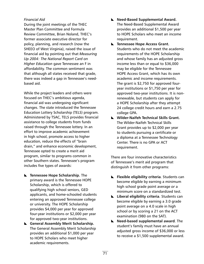#### *Financial Aid*

During the joint meetings of the THEC Master Plan Committee and Formula Review Committee, Brian Noland, THEC's former associate executive director for policy, planning, and research (now the SHEEO of West Virginia), raised the issue of financial aid by pointing out that *Measuring Up 2004: The National Report Card on Higher Education* gave Tennessee an F in affordability. The common sentiment was that although all states received that grade, there was indeed a gap in Tennessee's needbased aid.

While the project leaders and others were focused on THEC's ambitious agenda, financial aid was undergoing significant changes. The state introduced the Tennessee Education Lottery Scholarship (TELS) program. Administered by TSAC, TELS provides financial assistance to college students from funds raised through the Tennessee lottery. In an effort to improve academic achievement in high school, promote access to higher education, reduce the effects of "brain drain," and enhance economic development, Tennessee opted to create a merit aid program, similar to programs common in other Southern states. Tennessee's program includes five types of awards:

- **EXECUTE:** Tennessee Hope Scholarship. The primary award is the Tennessee HOPE Scholarship, which is offered to qualifying high school seniors, GED applicants, and home-schooled students entering an approved Tennessee college or university. The HOPE Scholarship provides \$4,000 per year for approved four-year institutions or \$2,000 per year for approved two-year institutions.
- **E** General Assembly Merit Scholarship. The General Assembly Merit Scholarship provides an additional \$1,000 per year to HOPE Scholars who meet higher academic requirements.
- **Need-Based Supplemental Award.** The Need-Based Supplemental Award provides an additional \$1,500 per year to HOPE Scholars who meet an income requirement.
- **EXECUTE:** Tennessee Hope Access Grant. Students who do not meet the academic requirements of the HOPE Scholarship and whose family has an adjusted gross income less than or equal to \$36,000 may be eligible for the Tennessee HOPE Access Grant, which has its own academic and income requirements. The grant is \$2,750 for approved fouryear institutions or \$1,750 per year for approved two-year institutions. It is nonrenewable, but students can apply for a HOPE Scholarship after they attempt 24 college credit hours and earn a 2.75 college GPA.
- [ **Wilder-Naifeh Technical Skills Grant.**  The Wilder-Naifeh Technical Skills Grant provides up to \$2,000 per year to students pursuing a certificate or a diploma at a Tennessee Technology Center. There is no GPA or ACT requirement.

There are four innovative characteristics of Tennessee's merit aid program that distinguish it from other programs:

- **EXA** Flexible eligibility criteria. Students can become eligible by earning a minimum high school grade point average *or* a minimum score on a standardized test.
- **Liberal eligibility criteria**. Students can become eligible by earning a 3.0 grade point average on a 4.0 scale in high school *or* by scoring a 21 on the ACT examination (980 on the SAT).
- **Need-based supplemental award.** The student's family must have an annual adjusted gross income of \$36,000 or less to receive a \$1,500 supplemental award.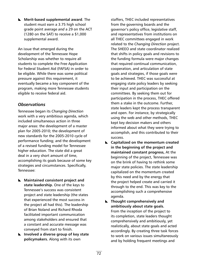**E** Merit-based supplemental award. The student must earn a 3.75 high school grade point average *and* a 29 on the ACT (1280 on the SAT) to receive a \$1,000 supplemental award.

An issue that emerged during the development of the Tennessee Hope Scholarship was whether to require all students to complete the Free Application for Federal Student Aid (FAFSA) in order to be eligible. While there was some political pressure against this requirement, it eventually became a key component of the program, making more Tennessee students eligible to receive federal aid.

## *Observations*

Tennessee began its *Changing Direction* work with a very ambitious agenda, which included simultaneous action in three major areas: the development of a master plan for 2005-2010; the development of new standards for the 2005-2010 cycle of performance funding; and the development of a revised funding model for Tennessee higher education. The state did a great deal in a very short amount of time, accomplishing its goals because of some key strategies and circumstances. Specifically, Tennessee:

- **E** Maintained consistent project and **state leadership.** One of the keys to Tennessee's success was consistent project and state leadership (the states that experienced the most success in the project all had this). The leadership of Brian Noland and Richard Rhoda facilitated important communication among stakeholders and ensured that a constant and accurate message was conveyed from start to finish.
- **E** Involved a diverse group of key state **policymakers.** Along with its own

staffers, THEC included representatives from the governing boards and the governor's policy office, legislative staff, and representatives from institutions on all THEC committees engaged in work related to the *Changing Direction* project. The SHEEO and state coordinator realized that shifts in policy goals and revisions to the funding formula were major changes that required continual communication, cooperation, and articulation of state goals and strategies, if those goals were to be achieved. THEC was successful at engaging state policy leaders by seeking their input and participation on the committees. By seeking them out for participation in the process, THEC offered them a stake in the outcome. Further, state leaders kept the process transparent and open. For instance, by strategically using the web and other methods, THEC kept key decision makers and others informed about what they were trying to accomplish, and this contributed to their success.

- **EX** Capitalized on the momentum created **in the beginning of the project and maintained constant progress,** At the beginning of the project, Tennessee was on the brink of having to rethink some major state policies. The state leadership capitalized on the momentum created by this need and by the energy that the project helped create and carried it through to the end. This was key to the accomplishing such a comprehensive agenda.
- **EXECUTE:** Thought comprehensively and **ambitiously about state goals.**  From the inception of the project to its completion, state leaders thought comprehensively and ambitiously, yet realistically, about state goals and acted accordingly. By creating three task forces to work on various issues simultaneously and by holding frequent meetings and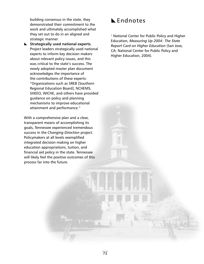building consensus in the state, they demonstrated their commitment to the work and ultimately accomplished what they set out to do in an aligned and strategic manner.

**E** Strategically used national experts. Project leaders strategically used national experts to inform key decision makers about relevant policy issues, and this was critical to the state's success. The newly adopted master plan document acknowledges the importance of the contributions of these experts: "Organizations such as SREB [Southern Regional Education Board], NCHEMS, SHEEO, WICHE, and others have provided guidance on policy and planning mechanisms to improve educational attainment and performance."

With a comprehensive plan and a clear, transparent means of accomplishing its goals, Tennessee experienced tremendous success in the *Changing Direction* project. Policymakers at all levels exemplified integrated decision making on higher education appropriations, tuition, and financial aid policy in the state. Tennessee will likely feel the positive outcomes of this process far into the future.

# **K** Endnotes

<sup>1</sup> National Center for Public Policy and Higher Education, *Measuring Up 2004: The State Report Card on Higher Education* (San Jose, CA: National Center for Public Policy and Higher Education, 2004).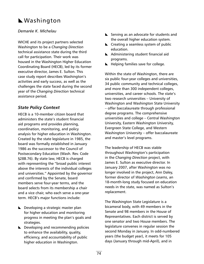# Nushington

### *Demarée K. Michelau*

WICHE and its project partners selected Washington to be a *Changing Direction*  technical assistance state during the third call for participation. Their work was housed in the Washington Higher Education Coordinating Board (HECB), led by its former executive director, James E. Sulton. This case study report describes Washington's activities and early success, as well as the challenges the state faced during the second year of the *Changing Direction* technical assistance period.

## *State Policy Context*

HECB is a 10-member citizen board that administers the state's student financial aid programs and provides planning, coordination, monitoring, and policy analysis for higher education in Washington. Created by the state legislature in 1985, the board was formally established in January 1986 as the successor to the Council of Postsecondary Education (Wash. Rev. Code §28B.76). By state law, HECB is charged with representing the "broad public interest above the interests of the individual colleges and universities." Appointed by the governor and confirmed by the Senate, board members serve four-year terms, and the board selects from its membership a chair and a vice chair, who each serve a one-year term. HECB's major functions include:

- $\blacktriangleright$  Developing a strategic master plan for higher education and monitoring progress in meeting the plan's goals and strategies.
- $\blacktriangleright$  Developing and recommending policies to enhance the availability, quality, efficiency, and accountability of public higher education in Washington.
- $\blacktriangleright$  Serving as an advocate for students and the overall higher education system.
- $\blacktriangle$  Creating a seamless system of public education.
- $\blacktriangle$  Administering student financial aid programs.
- $\blacktriangleright$  Helping families save for college.

Within the state of Washington, there are six public four-year colleges and universities, 34 public community and technical colleges, and more than 300 independent colleges, universities, and career schools. The state's two research universities – University of Washington and Washington State University – offer baccalaureate through professional degree programs. The comprehensive universities and college – Central Washington University, Eastern Washington University, Evergreen State College, and Western Washington University – offer baccalaureate and master's level programs.

The leadership of HECB was stable throughout Washington's participation in the *Changing Direction* project, with James E. Sulton as executive director. In January 2007, after Washington was no longer involved in the project, Ann Daley, former director of *Washington Learns*, an 18-month-long study focused on education needs in the state, was named as Sulton's replacement.

The Washington State Legislature is a bicameral body, with 49 members in the Senate and 98 members in the House of Representatives. Each district is served by one senator and two House members. The legislature convenes in regular session the second Monday in January. In odd-numbered years (the budget year), it meets for 105 days (January through mid-April), and in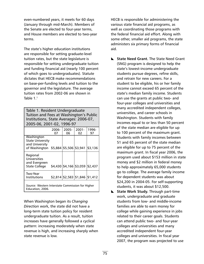even-numbered years, it meets for 60 days (January through mid-March). Members of the Senate are elected to four-year terms, and House members are elected to two-year terms.

The state's higher education institutions are responsible for setting graduate-level tuition rates, but the state legislature is responsible for setting undergraduate tuition and funding financial aid (nearly 100 percent of which goes to undergraduates). Statute dictates that HECB make recommendations on base-per-funding levels and tuition to the governor and the legislature. The average tuition rates from 2002-06 are shown in Table 1.1

| Table 1. Resident Undergraduate<br>Tuition and Fees at Washington's Public<br>Institutions, State Averages: 2006-07,<br>2005-06, 2001-02, 1996-97 |             |                         |                                 |             |
|---------------------------------------------------------------------------------------------------------------------------------------------------|-------------|-------------------------|---------------------------------|-------------|
|                                                                                                                                                   | 2006-<br>07 | 2005-<br>06             | $2001 -$<br>02                  | 1996-<br>97 |
| Washington<br><b>State University</b><br>and University<br>of Washington                                                                          |             | \$5,884 \$5,506 \$3,941 |                                 | \$3,136     |
| Regional<br>Universities<br>and Evergreen<br><b>State College</b>                                                                                 |             |                         | \$4,430 \$4,166 \$3,059 \$2,437 |             |
| Two-Year<br>Institutions                                                                                                                          |             |                         | \$2,814 \$2,583 \$1,846 \$1,412 |             |
| Source: Western Interstate Commission for Higher<br>Education, 2006.                                                                              |             |                         |                                 |             |

When Washington began its *Changing Direction* work, the state did not have a long-term state tuition policy for resident undergraduate tuition. As a result, tuition increases have generally followed a cyclical pattern: increasing moderately when state revenue is high, and increasing sharply when state revenue is low.

HECB is responsible for administering the various state financial aid programs, as well as coordinating those programs with the federal financial aid effort. Along with some other, smaller aid programs, the state administers six primary forms of financial aid.

- **L** State Need Grant. The State Need Grant (SNG) program is designed to help the state's lowest-income undergraduate students pursue degrees, refine skills, and retrain for new careers. For a student to be eligible, his or her family income cannot exceed 65 percent of the state's median family income. Students can use the grants at public two- and four-year colleges and universities and many accredited independent colleges, universities, and career schools in Washington. Students with family incomes equal to or less than 50 percent of the state median are eligible for up to 100 percent of the maximum grant. Students with family incomes between 51 and 65 percent of the state median are eligible for up to 75 percent of the maximum grant. In fiscal year 2006, the program used about \$153 million in state money and \$2 million in federal money to help approximately 65,000 students go to college. The average family income for dependent students was about \$24,200 in 2004-05. For self-supporting students, it was about \$12,500.
- **E** State Work Study. Through part-time work, undergraduate and graduate students from low- and middle-income families are able to earn money for college while gaining experience in jobs related to their career goals. Students can attend public two- and four-year colleges and universities and many accredited independent four-year colleges and universities. In fiscal year 2007, the program was projected to use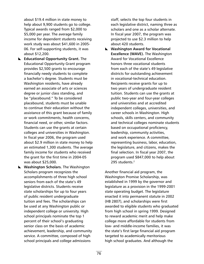about \$19.4 million in state money to help about 9,900 students go to college. Typical awards ranged from \$2,000 to \$5,000 per year. The average family income for dependent students receiving work study was about \$41,600 in 2005- 06. For self-supporting students, it was about \$12,200.

- **Educational Opportunity Grant.** The Educational Opportunity Grant program provides \$2,500 grants to encourage financially needy students to complete a bachelor's degree. Students must be Washington residents, have already earned an associate of arts or sciences degree or junior class standing, and be "placebound." To be considered placebound, students must be unable to continue their education without the assistance of this grant because of family or work commitments, health concerns, financial need, or other, similar factors. Students can use the grants at certain colleges and universities in Washington. In fiscal year 2006, the program used about \$2.9 million in state money to help an estimated 1,300 students. The average family income for students who received the grant for the first time in 2004-05 was about \$25,000.
- **L** Washington Scholars. The Washington Scholars program recognizes the accomplishments of three high school seniors from each of the state's 49 legislative districts. Students receive state scholarships for up to four years of public resident undergraduate tuition and fees. The scholarships can be used at any Washington public or independent college or university. High school principals nominate the top 1 percent of their school's graduating senior class on the basis of academic achievement, leadership, and community service. A committee, composed of high school principals and college admissions

staff, selects the top four students in each legislative district, naming three as scholars and one as a scholar alternate. In fiscal year 2007, the program was projected to use \$2.3 million to help about 420 students.

**K** Washington Award for Vocational **Excellence (WAVE).** The Washington Award for Vocational Excellence honors three vocational students from each of the state's 49 legislative districts for outstanding achievement in vocational-technical education. Recipients receive grants for up to two years of undergraduate resident tuition. Students can use the grants at public two-year and four-year colleges and universities and at accredited independent colleges, universities, and career schools in Washington. High schools, skills centers, and community and technical colleges nominate students based on occupational proficiency, leadership, community activities, and work experience. A committee, representing business, labor, education, the legislature, and citizens, makes the final selection. In fiscal year 2007, the program used \$847,000 to help about 295 students.<sup>2</sup>

Another financial aid program, the Washington Promise Scholarship, was established in 1999 by the governor and legislature as a provision in the 1999-2001 state operating budget. The legislature enacted it into permanent statute in 2002 (HB 2807), and scholarships were first awarded to eligible students who graduated from high school in spring 1999. Designed to reward academic merit and help make college more affordable for students from low- and middle-income families, it was the state's first large financial aid program targeted to academically meritorious high school graduates. And although the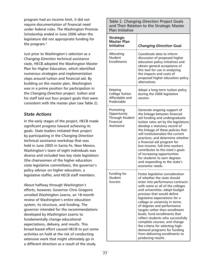program had an income limit, it did not require documentation of financial need under federal rules. The Washington Promise Scholarship ended in June 2006 when the legislature did not appropriate funding for the program.<sup>3</sup>

Just prior to Washington's selection as a *Changing Direction* technical assistance state, HECB adopted the Washington Master Plan for Higher Education, which identified numerous strategies and implementation steps around tuition and financial aid. By building on the master plan, Washington was in a prime position for participation in the *Changing Direction* project. Sulton and his staff laid out four project goals that were consistent with the master plan (see Table 2).

## *State Actions*

In the early stages of the project, HECB made significant progress toward achieving its goals. State leaders initiated their project by participating in the *Changing Direction*  technical assistance workshop that was held in June 2005 in Santa Fe, New Mexico. Washington's team of eight individuals was diverse and included two key state legislators (the chairwomen of the higher education state legislative committees), the governor's policy advisor on higher education, a legislative staffer, and HECB staff members.

About halfway through Washington's efforts, however, Governor Chris Gregoire unveiled *Washington Learns*, an 18-month review of Washington's entire education system, its structure, and funding. The governor intended for the recommendations developed by *Washington Learns* to fundamentally change educational expectations, delivery, and results. This broad-based effort caused HECB to put some activities on hold at the risk of conducting extensive work that might ultimately go in a different direction as a result of the study.

Table 2. *Changing Direction* Project Goals and Their Relation to the Strategic Master Plan Initiative

| <b>Strategic</b><br><b>Master Plan</b><br><b>Initiative</b>            | <b>Changing Direction Goal</b>                                                                                                                                                                                                                                                                                                                                                                                                                                                                                                                                               |
|------------------------------------------------------------------------|------------------------------------------------------------------------------------------------------------------------------------------------------------------------------------------------------------------------------------------------------------------------------------------------------------------------------------------------------------------------------------------------------------------------------------------------------------------------------------------------------------------------------------------------------------------------------|
| Allocating<br>Student<br><b>Enrollments</b>                            | Coordinate data to inform<br>discussion of proposed higher<br>education policy initiatives and<br>obtain general acceptance of<br>this tool for use in analyzing<br>the impacts and costs of<br>proposed higher education policy<br>alternatives.                                                                                                                                                                                                                                                                                                                            |
| Keeping<br><b>College Tuition</b><br>Affordable and<br>Predictable     | Adopt a long-term tuition policy<br>during the 2006 legislative<br>session.                                                                                                                                                                                                                                                                                                                                                                                                                                                                                                  |
| Promoting<br>Opportunity<br>Through Student<br>Financial<br>Assistance | Generate ongoing support of<br>the linkage between financial<br>aid funding and undergraduate<br>tuition rates set by the legislature;<br>develop a statutory record of<br>the linkage of these policies that<br>will institutionalize the current<br>practices; and determine whether<br>a financial aid program for<br>low-income, full-time workers<br>contributes to the state's goals<br>of increasing opportunities<br>for students to earn degrees<br>and responding to the state's<br>economic needs.                                                                |
| <b>Funding for</b><br>Student<br>Success                               | Foster legislative consideration<br>of whether the state should<br>enter into performance contracts<br>with some or all of the colleges<br>and universities; adopt budget<br>provisos that would define<br>legislative expectations for a<br>college or university in terms<br>of degrees and performance<br>targets rather than enrollment<br>levels; fund enrollments that<br>reflect students who successfully<br>complete courses; and change<br>the criteria for selecting high-<br>demand programs for funding<br>from delivering enrollments to<br>producing results. |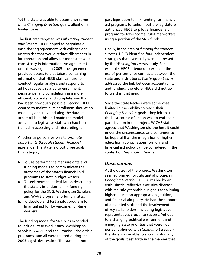Yet the state was able to accomplish some of its *Changing Direction* goals, albeit on a limited basis.

The first area targeted was *allocating student enrollments*. HECB hoped to negotiate a data-sharing agreement with colleges and universities that would reduce differences in interpretation and allow for more statewide consistency in information. An agreement on this was signed in 2005; the agreement provided access to a database containing information that HECB staff can use to conduct regular analysis and respond to ad hoc requests related to enrollment, persistence, and completions in a more efficient, accurate, and complete way than had been previously possible. Second, HECB wanted to maintain its enrollment simulation model by annually updating the data. It accomplished this and made the model available to legislative staff who had been trained in accessing and interpreting it.

Another targeted area was to *promote opportunity through student financial assistance*. The state laid out three goals in this category:

- $\blacktriangleright$  To use performance measure data and funding models to communicate the outcomes of the state's financial aid programs to state budget writers.
- $\blacktriangleright$  To seek permanent legislation describing the state's intention to link funding policy for the SNG, Washington Scholars, and WAVE programs to tuition rates.
- $\blacktriangleright$  To develop and test a pilot program for financial aid for low-income, full-time workers.

The funding model for SNG was expanded to include State Work Study, Washington Scholars, WAVE, and the Promise Scholarship programs, and all were utilized during the 2005 legislative session. The state did not

pass legislation to link funding for financial aid programs to tuition, but the legislature authorized HECB to pilot a financial aid program for low-income, full-time workers, using a portion of the SNG funds.

Finally, in the area of *funding for student success*, HECB identified four independent strategies that eventually were addressed by the *Washington Learns* study. For example, HECB intended to examine the use of performance contracts between the state and institutions. *Washington Learns*  addressed the link between accountability and funding; therefore, HECB did not go forward in that area.

Since the state leaders were somewhat limited in their ability to reach their *Changing Direction* goals, they felt that the best course of action was to end their participation in the project. WICHE staff agreed that Washington did the best it could under the circumstances and continues to be hopeful that the integration of higher education appropriations, tuition, and financial aid policy can be considered in the context of *Washington Learns.*

### *Observations*

At the outset of the project, Washington seemed primed for substantial progress in *Changing Direction*. HECB was led by an enthusiastic, reflective executive director with realistic yet ambitious goals for aligning higher education appropriations, tuition, and financial aid policy. He had the support of a talented staff and the involvement of key stakeholders, including legislative representatives crucial to success. Yet due to a changing political environment and emerging state priorities that were not perfectly aligned with *Changing Direction*, the state was unable to accomplish many of the goals it set forth in the manner that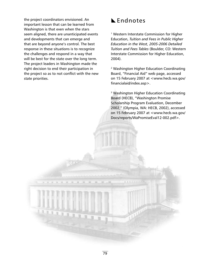the project coordinators envisioned. An important lesson that can be learned from Washington is that even when the stars seem aligned, there are unanticipated events and developments that can emerge and that are beyond anyone's control. The best response in these situations is to recognize the challenges and respond in a way that will be best for the state over the long term. The project leaders in Washington made the right decision to end their participation in the project so as to not conflict with the new state priorities.

## **K** Endnotes

<sup>1</sup> Western Interstate Commission for Higher Education, *Tuition and Fees in Public Higher Education in the West, 2005-2006 Detailed Tuition and Fees Tables* (Boulder, CO: Western Interstate Commission for Higher Education, 2004).

2 Washington Higher Education Coordinating Board, "Financial Aid" web page, accessed on 15 February 2007 at <www.hecb.wa.gov/ financialaid/index.asp>.

<sup>3</sup> Washington Higher Education Coordinating Board (HECB), "Washington Promise Scholarship Program Evaluation, December 2002," (Olympia, WA: HECB, 2002), accessed on 15 February 2007 at <www.hecb.wa.gov/ Docs/reports/WaPromiseEval12-002.pdf>.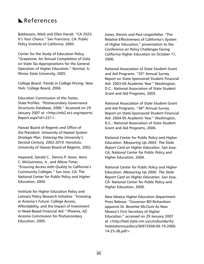## **References**

Baldassare, Mark and Ellen Hanak. "CA 2025: It's Your Choice." San Francisco, CA: Public Policy Institute of California, 2005.

Center for the Study of Education Policy. "Grapevine: An Annual Compilation of Data on State Tax Appropriations for the General Operation of Higher Education." Normal, IL: Illinois State University, 2005.

College Board. *Trends in College Pricing*. New York: College Board, 2006.

Education Commission of the States, State Profiles. "Postsecondary Governance Structures Database, 2006." Accessed on 29 January 2007 at <http://mb2.ecs.org/reports/ Report.aspx?id=221>.

Hawaii Board of Regents and Office of the President. *University of Hawaii System Strategic Plan: Entering the University's Second Century, 2002-2010*. Honolulu: University of Hawaii Board of Regents, 2002.

Hayward, Gerald C., Dennis P. Jones, Aims C. McGuinness, Jr., and Allene Timar. "Ensuring Access with Quality to California's Community Colleges." San Jose, CA: The National Center for Public Policy and Higher Education, 2004.

Institute for Higher Education Policy and Latina/o Policy Research Initiative. "Investing in Arizona's Future: College Access, Affordability, and the Impact of Investment in Need-Based Financial Aid." Phoenix, AZ: Arizona Commission for Postsecondary Education, 2005.

Jones, Dennis and Paul Lingenfelter, "The Relative Effectiveness of California's System of Higher Education," presentation to the Conference on Policy Challenges Facing California Higher Education on October 17, 2006.

National Association of State Student Grant and Aid Programs. "35<sup>th</sup> Annual Survey Report on State-Sponsored Student Financial Aid: 2003-04 Academic Year." Washington, D.C.: National Association of State Student Grant and Aid Programs, 2005.

National Association of State Student Grant and Aid Programs. "36th Annual Survey Report on State-Sponsored Student Financial Aid: 2004-05 Academic Year." Washington, D.C.: National Association of State Student Grant and Aid Programs, 2006.

National Center for Public Policy and Higher Education. *Measuring Up 2004: The State Report Card on Higher Education*. San Jose, CA: National Center for Public Policy and Higher Education, 2004.

National Center for Public Policy and Higher Education. *Measuring Up 2006: The State Report Card on Higher Education*. San Jose, CA: National Center for Public Policy and Higher Education, 2006.

New Mexico Higher Education Department Press Release. "Governor Bill Richardson appoints Dr. Beverlee McClure As New Mexico's First Secretary of Higher Education," accessed on 29 January 2007 at <http://hed.state.nm.us/cms/kunde/rts/ hedstatenmus/docs/36972938-06-19-2006- 14-25-38.pdf>.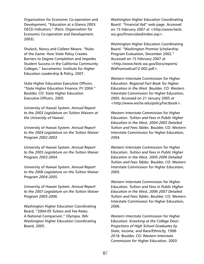Organisation for Economic Co-operation and Development, "Education at a Glance 2003: OECD Indicators," (Paris: Organisation for Economic Co-operation and Development, 2003).

Shulock, Nancy and Colleen Moore. "Rules of the Game: How State Policy Creates Barriers to Degree Completion and Impedes Student Success in the California Community Colleges." Sacramento: Institute for Higher Education Leadership & Policy, 2007.

State Higher Education Executive Officers. "State Higher Education Finance, FY 2004." Boulder, CO: State Higher Education Executive Officers, 2005.

University of Hawaii System. *Annual Report to the 2003 Legislature on Tuition Waivers at the University of Hawaii*.

University of Hawaii System. *Annual Report to the 2004 Legislature on the Tuition Waiver Program 2002-2003*.

University of Hawaii System. *Annual Report to the 2005 Legislature on the Tuition Waiver Program 2003-2004*.

University of Hawaii System. *Annual Report to the 2006 Legislature on the Tuition Waiver Program 2004-2005*.

University of Hawaii System. *Annual Report to the 2007 Legislature on the Tuition Waiver Program 2005-2006*.

Washington Higher Education Coordinating Board. "2004-05 Tuition and Fee Rates: A National Comparison." Olympia, WA: Washington Higher Education Coordinating Board, 2005.

Washington Higher Education Coordinating Board. "Financial Aid" web page. Accessed on 15 February 2007 at <http://www.hecb. wa.gov/financialaid/index.asp>.

Washington Higher Education Coordinating Board. "Washington Promise Scholarship Program Evaluation, December 2002." Accessed on 15 February 2007 at <http://www.hecb.wa.gov/Docs/reports/ WaPromiseEval12-002.pdf>.

Western Interstate Commission for Higher Education. *Regional Fact Book for Higher Education in the West*. Boulder, CO: Western Interstate Commission for Higher Education, 2005. Accessed on 21 January 2005 at <http://www.wiche.edu/policy/Factbook>.

Western Interstate Commission for Higher Education. *Tuition and Fees in Public Higher Education in the West, 2004-2005 Detailed Tuition and Fees Tables*. Boulder, CO: Western Interstate Commission for Higher Education, 2004.

Western Interstate Commission for Higher Education. *Tuition and Fees in Public Higher Education in the West, 2005-2006 Detailed Tuition and Fees Tables*. Boulder, CO: Western Interstate Commission for Higher Education, 2005.

Western Interstate Commission for Higher Education. *Tuition and Fees in Public Higher Education in the West, 2006-2007 Detailed Tuition and Fees Tables*. Boulder, CO: Western Interstate Commission for Higher Education, 2006.

Western Interstate Commission for Higher Education. *Knocking at the College Door: Projections of High School Graduates by State, Income, and Race/Ethnicity, 1998- 2018.* Boulder, CO: Western Interstate Commission for Higher Education, 2003.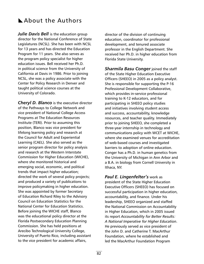## **About the Authors**

*Julie Davis Bell* is the education group director for the National Conference of State Legislatures (NCSL). She has been with NCSL for 13 years and has directed the Education Program for 11 years. She also serves as the program policy specialist for higher education issues. Bell received her Ph.D. in political science from the University of California at Davis in 1986. Prior to joining NCSL, she was a policy associate with the Center for Policy Research in Denver and taught political science courses at the University of Colorado.

*Cheryl D. Blanco* is the executive director of the Pathways to College Network and vice president of National College Access Programs at The Education Resources Institute (TERI). Prior to assuming this position, Blanco was vice president for lifelong learning policy and research at the Council for Adult and Experiential Learning (CAEL). She also served as the senior program director for policy analysis and research at the Western Interstate Commission for Higher Education (WICHE), where she monitored historical and emerging social, economic, and political trends that impact higher education; directed the work of several policy projects; and produced a variety of publications to improve policymaking in higher education. She was appointed by former Secretary of Education Richard Riley to the Advisory Council on Education Statistics for the National Center for Education Statistics. Before joining the WICHE staff, Blanco was the educational policy director at the Florida Postsecondary Education Planning Commission. She has held positions at Arecibo Technological University College, University of Puerto Rico, including assistant to the vice president for academic affairs,

director of the division of continuing education, coordinator for professional development, and tenured associate professor in the English Department. She received her Ph.D. in higher education from Florida State University.

*Sharmila Basu Conger* joined the staff of the State Higher Education Executive Officers (SHEEO) in 2005 as a policy analyst. She is responsible for supporting the P-16 Professional Development Collaborative, which provides in-service professional training to K-12 educators, and for participating in SHEEO policy studies and initiatives involving student access and success, accountability, knowledge resources, and teacher quality. Immediately prior to joining SHEEO, she completed a three-year internship in technology and communications policy with WCET at WICHE, where she examined venues for accreditation of web-based courses and investigated barriers to adoption of online education. Conger has a Ph.D. in human genetics from the University of Michigan in Ann Arbor and a B.A. in biology from Cornell University in Ithaca, NY.

*Paul E. Lingenfelter's* work as president of the State Higher Education Executive Officers (SHEEO) has focused on successful participation in higher education, accountability, and finance. Under his leadership, SHEEO organized and staffed the National Commission on Accountability in Higher Education, which in 2005 issued its report *Accountability for Better Results: A National Imperative for Higher Education*. He previously served as vice president of the John D. and Catherine T. MacArthur Foundation, where he established and led the MacArthur Foundation Program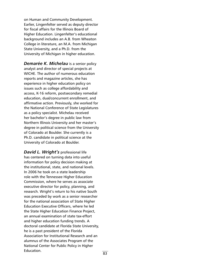on Human and Community Development. Earlier, Lingenfelter served as deputy director for fiscal affairs for the Illinois Board of Higher Education. Lingenfelter's educational background includes an A.B. from Wheaton College in literature, an M.A. from Michigan State University, and a Ph.D. from the University of Michigan in higher education.

*Demarée K. Michelau* is a senior policy analyst and director of special projects at WICHE. The author of numerous education reports and magazine articles, she has experience in higher education policy on issues such as college affordability and access, K-16 reform, postsecondary remedial education, dual/concurrent enrollment, and affirmative action. Previously, she worked for the National Conference of State Legislatures as a policy specialist. Michelau received her bachelor's degree in public law from Northern Illinois University and her master's degree in political science from the University of Colorado at Boulder. She currently is a Ph.D. candidate in political science at the University of Colorado at Boulder.

*David L. Wright's* professional life has centered on turning data into useful information for policy decision making at the institutional, state, and national levels. In 2006 he took on a state leadership role with the Tennessee Higher Education Commission, where he serves as associate executive director for policy, planning, and research. Wright's return to his native South was preceded by work as a senior researcher for the national association of State Higher Education Executive Officers, where he led the State Higher Education Finance Project, an annual examination of state tax-effort and higher education funding trends. A doctoral candidate at Florida State University, he is a past president of the Florida Association for Institutional Research and an alumnus of the Associates Program of the National Center for Public Policy in Higher Education.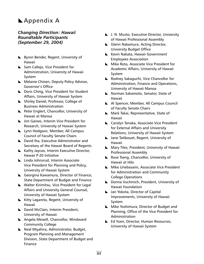# **Appendix A**

## *Changing Direction: Hawaii Roundtable Participants (September 29, 2004)*

- **EX Byron Bender, Regent, University of** Hawaii
- Sam Callejo, Vice President for Administration, University of Hawaii System
- **Melanie Chinen, Deputy Policy Advisor,** Governor's Office
- Doris Ching, Vice President for Student Affairs, University of Hawaii System
- **EXA** Shirley Daniel, Professor, College of Business Administration
- Peter Englert, Chancellor, University of Hawaii at Manoa
- **L** Jim Gaines, Interim Vice President for Research, University of Hawaii System
- **Lynn Hodgson, Member, All Campus** Council of Faculty Senate Chairs
- David Iha, Executive Administrator and Secretary of the Hawaii Board of Regents
- $\blacktriangleright$  Kathy Jaycox, Interim Executive Director, Hawaii P-20 Initiative
- Linda Johnsrud, Interim Associate Vice President for Planning and Policy, University of Hawaii System
- Georgina Kawamura, Director of Finance, State Department of Budget and Finance
- N Walter Kirimitsu, Vice President for Legal Affairs and University General Counsel, University of Hawaii System
- $\blacktriangleright$  Kitty Lagareta, Regent, University of Hawaii
- David McClain, Interim President, University of Hawaii
- Angela Meixell, Chancellor, Windward Community College
- Neal Miyahira, Administrator, Budget, Program Planning and Management Division, State Department of Budget and Finance
- J. N. Musto, Executive Director, University of Hawaii Professional Assembly
- **L** Glenn Nakamura, Acting Director, University Budget Office
- Kevin Nakata, Hawaii Government Employees Association
- Mike Rota, Associate Vice President for Academic Affairs, University of Hawaii System
- Rodney Sakaguchi, Vice Chancellor for Administration, Finance and Operations, University of Hawaii Manoa
- Norman Sakamoto, Senator, State of Hawaii
- Al Spencer, Member, All Campus Council of Faculty Senate Chairs
- Mark Takai, Representative, State of Hawaii
- **L** Carolyn Tanaka, Associate Vice President for External Affairs and University Relations, University of Hawaii System
- **■** Jane Tatibouet, Regent, University of Hawaii
- **Mary Tiles, President, University of Hawaii** Professional Assembly
- Rose Tseng, Chancellor, University of Hawaii at Hilo
- Mike Unebasami, Associate Vice President for Administration and Community College Operations
- **L** Donna Vuchinich, President, University of Hawaii Foundation
- **■** Jan Yokota, Director of Capital Improvements, University of Hawaii System
- Mike Yoshimura, Director of Budget and Planning, Office of the Vice President for Administration
- Ed Yuen, Director, Human Resources, University of Hawaii System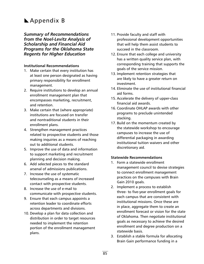# **Appendix B**

### *Summary of Recommendations from the Noel-Levitz Analysis of Scholarship and Financial Aid Programs for the Oklahoma State Regents for Higher Education*

#### **Institutional Recommendations**

- 1. Make certain that every institution has at least one person designated as having primary responsibility for enrollment management.
- 2. Require institutions to develop an annual enrollment management plan that encompasses marketing, recruitment, and retention.
- 3. Make certain that (where appropriate) institutions are focused on transfer and nontraditional students in their enrollment plans.
- 4. Strengthen management practices related to prospective students and those making inquiries as a means of reaching out to additional students.
- 5. Improve the use of data and information to support marketing and recruitment planning and decision making.
- 6. Add selected pieces to the standard arsenal of admissions publications.
- 7. Increase the use of systematic telecounseling as a means of increased contact with prospective students.
- 8. Increase the use of e-mail to communicate with prospective students.
- 9. Ensure that each campus appoints a retention leader to coordinate efforts across departments and divisions.
- 10. Develop a plan for data collection and distribution in order to target resources needed to implement the retention portion of the enrollment management plans.
- 11. Provide faculty and staff with professional development opportunities that will help them assist students to succeed in the classroom.
- 12. Ensure that each college and university has a written quality service plan, with corresponding training that supports the goals of the service mission.
- 13. Implement retention strategies that are likely to have a greater return on investment.
- 14. Eliminate the use of institutional financial aid forms.
- 15. Accelerate the delivery of upper-class financial aid awards.
- 16. Coordinate OHLAP awards with other programs to preclude unintended stacking.
- 17. Build on the momentum created by the statewide workshop to encourage campuses to increase the use of differential packaging in awarding institutional tuition waivers and other discretionary aid.

#### **Statewide Recommendations**

- 1. Form a statewide enrollment management council to devise strategies to connect enrollment management practices on the campuses with Brain Gain 2010 goals.
- 2. Implement a process to establish three- to five-year enrollment goals for each campus that are consistent with institutional missions. Once these are in place, aggregate them to create an enrollment forecast or vision for the state of Oklahoma. Then negotiate institutional goals as necessary to achieve the desired enrollment and degree production on a statewide basis.
- 3. Establish a stable formula for allocating Brain Gain performance funding in a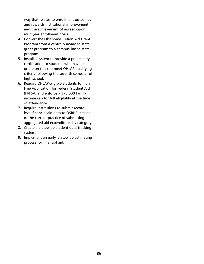way that relates to enrollment outcomes and rewards institutional improvement and the achievement of agreed-upon multiyear enrollment goals.

- 4. Convert the Oklahoma Tuition Aid Grant Program from a centrally awarded state grant program to a campus-based state program.
- 5. Install a system to provide a preliminary certification to students who have met or are on track to meet OHLAP qualifying criteria following the seventh semester of high school.
- 6. Require OHLAP-eligible students to file a Free Application for Federal Student Aid (FAFSA) and enforce a \$75,000 family income cap for full eligibility at the time of attendance.
- 7. Require institutions to submit recordlevel financial aid data to OSRHE instead of the current practice of submitting aggregated aid expenditures by category.
- 8. Create a statewide student data-tracking system.
- 9. Implement an early, statewide estimating process for financial aid.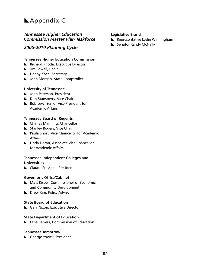# **Appendix C**

## *Tennessee Higher Education Commission Master Plan Taskforce*

*2005-2010 Planning Cycle*

#### **Tennessee Higher Education Commission**

- Richard Rhoda, Executive Director
- **L** Jim Powell, Chair
- **L** Debby Koch, Secretary
- **L** John Morgan, State Comptroller

#### **University of Tennessee**

- b John Peterson, President
- Don Stansberry, Vice Chair
- Bob Levy, Senior Vice President for Academic Affairs

#### **Tennessee Board of Regents**

- $\blacktriangle$  Charles Manning, Chancellor
- Stanley Rogers, Vice Chair
- **E** Paula Short, Vice Chancellor for Academic **Affairs**
- **L** Linda Doran, Associate Vice Chancellor for Academic Affairs

#### **Tennessee Independent Colleges and Universities**

Claude Pressnell, President

#### **Governor's Office/Cabinet**

- **Matt Kisber, Commissioner of Economic** and Community Development
- **L** Drew Kim, Policy Advisor

#### **State Board of Education**

Gary Nixon, Executive Director

#### **State Department of Education**

**L** Lana Seivers, Commission of Education

#### **Tennessee Tomorrow**

George Yowell, President

#### **Legislative Branch**

- $\blacktriangleright$  Representative Leslie Winningham
- Senator Randy McNally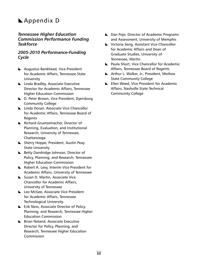## **Appendix D**

## *Tennessee Higher Education Commission Performance Funding Taskforce*

### *2005-2010 Performance-Funding Cycle*

- Augustus Bankhead, Vice President for Academic Affairs, Tennessee State **University**
- **Linda Bradley, Associate Executive** Director for Academic Affairs, Tennessee Higher Education Commission
- D. Peter Brown, Vice President, Dyersburg Community College
- **Linda Doran, Associate Vice Chancellor** for Academic Affairs, Tennessee Board of **Regents**
- Richard Gruetzemacher, Director of Planning, Evaluation, and Institutional Research, University of Tennessee, Chattanooga
- Sherry Hoppe, President, Austin Peay State University
- E Betty Dandridge Johnson, Director of Policy, Planning, and Research, Tennessee Higher Education Commission
- Robert A. Levy, Interim Vice President for Academic Affairs, University of Tennessee
- $\blacktriangleright$  Susan D. Martin, Associate Vice Chancellor for Academic Affairs, University of Tennessee
- Leo McGee, Associate Vice President for Academic Affairs, Tennessee Technological University
- Erik Ness, Associate Director of Policy, Planning, and Research, Tennessee Higher Education Commission
- **E** Brian Noland, Associate Executive Director for Policy, Planning, and Research, Tennessee Higher Education Commission
- **L** Dan Poje, Director of Academic Programs and Assessment, University of Memphis
- **L** Victoria Seng, Assistant Vice Chancellor for Academic Affairs and Dean of Graduate Studies, University of Tennessee, Martin
- **E** Paula Short, Vice Chancellor for Academic Affairs, Tennessee Board of Regents
- **L** Arthur L. Walker, Jr., President, Motlow State Community College
- Ellen Weed, Vice President for Academic Affairs, Nashville State Technical Community College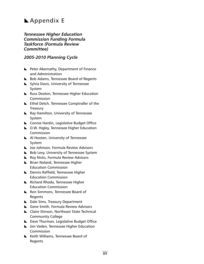# **Appendix E**

### *Tennessee Higher Education Commission Funding Formula Taskforce (Formula Review Committee)*

## *2005-2010 Planning Cycle*

- Peter Abernathy, Department of Finance and Administration
- Bob Adams, Tennessee Board of Regents
- Sylvia Davis, University of Tennessee System
- **L** Russ Deaton, Tennessee Higher Education Commission
- Ethel Detch, Tennessee Comptroller of the **Treasury**
- **E** Ray Hamilton, University of Tennessee System
- **L** Connie Hardin, Legislative Budget Office
- **L** O.W. Higley, Tennessee Higher Education **Commission**
- Al Hooten, University of Tennessee System
- **L** Joe Johnson, Formula Review Advisors
- $\blacktriangleright$  Bob Levy, University of Tennessee System
- Roy Nicks, Formula Review Advisors
- **EXTERN** Brian Noland, Tennessee Higher Education Commission
- **L** Dennis Raffield, Tennessee Higher Education Commission
- **E** Richard Rhoda, Tennessee Higher Education Commission
- Ron Simmons, Tennessee Board of Regents
- Dale Sims, Treasury Department
- Gene Smith, Formula Review Advisors
- **■** Claire Stinson, Northeast State Technical Community College
- Dave Thurman, Legislative Budget Office
- **L** Jim Vaden, Tennessee Higher Education **Commission**
- Keith Williams, Tennessee Board of Regents